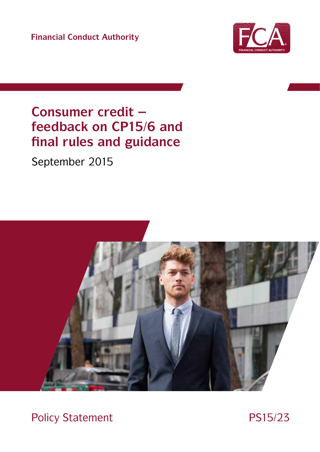**Financial Conduct Authority** 



# Consumer credit feedback on CP15/6 and final rules and guidance

September 2015



**Policy Statement** 

PS15/23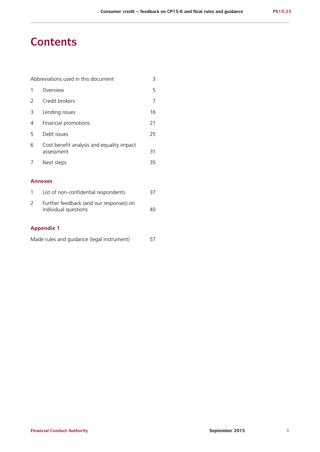# **Contents**

| Abbreviations used in this document<br>3 |                                                         |    |
|------------------------------------------|---------------------------------------------------------|----|
| 1                                        | Overview                                                | 5  |
| 2                                        | Credit brokers                                          | 7  |
| 3                                        | Lending issues                                          | 16 |
| 4                                        | Financial promotions                                    | 21 |
| 5                                        | Debt issues                                             | 25 |
| 6                                        | Cost benefit analysis and equality impact<br>assessment | 31 |
| 7                                        | Next steps                                              | 35 |
|                                          |                                                         |    |
|                                          | <b>Annexes</b>                                          |    |
| 1                                        | List of non-confidential respondents                    | 37 |

| Further feedback (and our responses) on |    |
|-----------------------------------------|----|
| individual questions                    | 40 |

# **Appendix 1**

| Made rules and guidance (legal instrument) |  | 57 |
|--------------------------------------------|--|----|
|--------------------------------------------|--|----|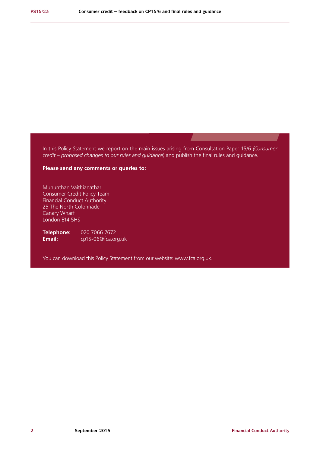In this Policy Statement we report on the main issues arising from Consultation Paper 15/6 *(Consumer credit – proposed changes to our rules and guidance*) and publish the final rules and guidance.

# **Please send any comments or queries to:**

Muhunthan Vaithianathar Consumer Credit Policy Team Financial Conduct Authority 25 The North Colonnade Canary Wharf London E14 5HS

**Telephone:** 020 7066 7672<br>**Email:** cp15-06@fca.or **Email:** cp15-06@fca.org.uk

You can download this Policy Statement from our website: www.fca.org.uk.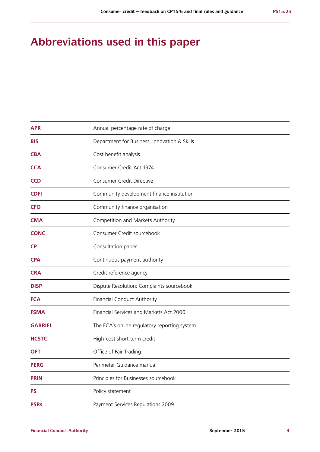# **Abbreviations used in this paper**

| <b>APR</b>     | Annual percentage rate of charge             |
|----------------|----------------------------------------------|
| <b>BIS</b>     | Department for Business, Innovation & Skills |
| <b>CBA</b>     | Cost benefit analysis                        |
| <b>CCA</b>     | Consumer Credit Act 1974                     |
| <b>CCD</b>     | <b>Consumer Credit Directive</b>             |
| <b>CDFI</b>    | Community development finance institution    |
| <b>CFO</b>     | Community finance organisation               |
| <b>CMA</b>     | Competition and Markets Authority            |
| <b>CONC</b>    | Consumer Credit sourcebook                   |
| <b>CP</b>      | Consultation paper                           |
| <b>CPA</b>     | Continuous payment authority                 |
| <b>CRA</b>     | Credit reference agency                      |
| <b>DISP</b>    | Dispute Resolution: Complaints sourcebook    |
| <b>FCA</b>     | Financial Conduct Authority                  |
| <b>FSMA</b>    | Financial Services and Markets Act 2000      |
| <b>GABRIEL</b> | The FCA's online regulatory reporting system |
| <b>HCSTC</b>   | High-cost short-term credit                  |
| <b>OFT</b>     | Office of Fair Trading                       |
| <b>PERG</b>    | Perimeter Guidance manual                    |
| <b>PRIN</b>    | Principles for Businesses sourcebook         |
| <b>PS</b>      | Policy statement                             |
| <b>PSRs</b>    | Payment Services Regulations 2009            |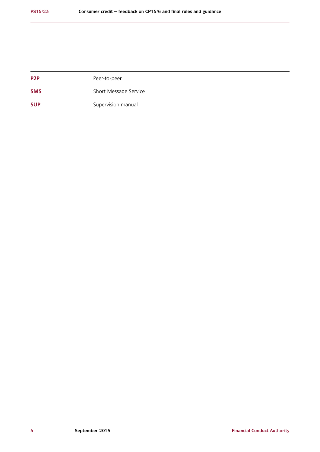| P <sub>2</sub> P | Peer-to-peer          |
|------------------|-----------------------|
| <b>SMS</b>       | Short Message Service |
| <b>SUP</b>       | Supervision manual    |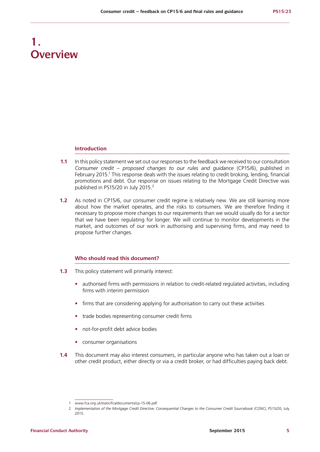# **1. Overview**

### **Introduction**

- **1.1** In this policy statement we set out our responses to the feedback we received to our consultation *Consumer credit – proposed changes to our rules and guidance* (CP15/6), published in February 2015.<sup>1</sup> This response deals with the issues relating to credit broking, lending, financial promotions and debt. Our response on issues relating to the Mortgage Credit Directive was published in PS15/20 in July 2015.<sup>2</sup>
- **1.2** As noted in CP15/6, our consumer credit regime is relatively new. We are still learning more about how the market operates, and the risks to consumers. We are therefore finding it necessary to propose more changes to our requirements than we would usually do for a sector that we have been regulating for longer. We will continue to monitor developments in the market, and outcomes of our work in authorising and supervising firms, and may need to propose further changes.

# **Who should read this document?**

- **1.3** This policy statement will primarily interest:
	- authorised firms with permissions in relation to credit-related regulated activities, including firms with interim permission
	- **•** firms that are considering applying for authorisation to carry out these activities
	- **•** trade bodies representing consumer credit firms
	- **•** not-for-profit debt advice bodies
	- **•** consumer organisations
- **1.4** This document may also interest consumers, in particular anyone who has taken out a loan or other credit product, either directly or via a credit broker, or had difficulties paying back debt.

<sup>1</sup> www.fca.org.uk/static/fca/documents/cp-15-06.pdf

<sup>2</sup> *Implementation of the Mortgage Credit Directive: Consequential Changes to the Consumer Credit Sourcebook (CONC)*, PS15/20, July 2015.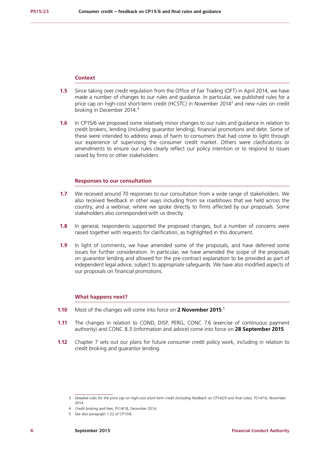### **Context**

- **1.5** Since taking over credit regulation from the Office of Fair Trading (OFT) in April 2014, we have made a number of changes to our rules and guidance. In particular, we published rules for a price cap on high-cost short-term credit (HCSTC) in November 2014<sup>3</sup> and new rules on credit broking in December 2014.<sup>4</sup>
- **1.6** In CP15/6 we proposed some relatively minor changes to our rules and guidance in relation to credit brokers, lending (including guarantor lending), financial promotions and debt. Some of these were intended to address areas of harm to consumers that had come to light through our experience of supervising the consumer credit market. Others were clarifications or amendments to ensure our rules clearly reflect our policy intention or to respond to issues raised by firms or other stakeholders.

### **Responses to our consultation**

- **1.7** We received around 70 responses to our consultation from a wide range of stakeholders. We also received feedback in other ways including from six roadshows that we held across the country, and a webinar, where we spoke directly to firms affected by our proposals. Some stakeholders also corresponded with us directly.
- **1.8** In general, respondents supported the proposed changes, but a number of concerns were raised together with requests for clarification, as highlighted in this document.
- **1.9** In light of comments, we have amended some of the proposals, and have deferred some issues for further consideration. In particular, we have amended the scope of the proposals on guarantor lending and allowed for the pre-contract explanation to be provided as part of independent legal advice, subject to appropriate safeguards. We have also modified aspects of our proposals on financial promotions.

### **What happens next?**

- **1.10** Most of the changes will come into force on **2 November 2015**. 5
- **1.11** The changes in relation to COND, DISP, PERG, CONC 7.6 (exercise of continuous payment authority) and CONC 8.3 (information and advice) come into force on **28 September 2015**.
- **1.12** Chapter 7 sets out our plans for future consumer credit policy work, including in relation to credit broking and guarantor lending.

<sup>3</sup> *Detailed rules for the price cap on high-cost short-term credit (including feedback on CP14/20 and final rules),* PS14/16, November 2014.

<sup>4</sup> *Credit broking and fees*, PS14/18, December 2014.

<sup>5</sup> See also paragraph 1.22 of CP15/6.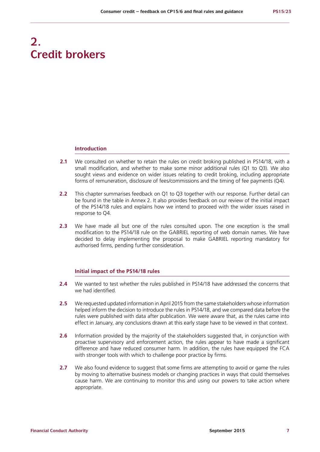# **2. Credit brokers**

### **Introduction**

- **2.1** We consulted on whether to retain the rules on credit broking published in PS14/18, with a small modification, and whether to make some minor additional rules (Q1 to Q3). We also sought views and evidence on wider issues relating to credit broking, including appropriate forms of remuneration, disclosure of fees/commissions and the timing of fee payments (Q4).
- **2.2** This chapter summarises feedback on Q1 to Q3 together with our response. Further detail can be found in the table in Annex 2. It also provides feedback on our review of the initial impact of the PS14/18 rules and explains how we intend to proceed with the wider issues raised in response to Q4.
- **2.3** We have made all but one of the rules consulted upon. The one exception is the small modification to the PS14/18 rule on the GABRIEL reporting of web domain names. We have decided to delay implementing the proposal to make GABRIEL reporting mandatory for authorised firms, pending further consideration.

### **Initial impact of the PS14/18 rules**

- **2.4** We wanted to test whether the rules published in PS14/18 have addressed the concerns that we had identified.
- **2.5** We requested updated information in April 2015 from the same stakeholders whose information helped inform the decision to introduce the rules in PS14/18, and we compared data before the rules were published with data after publication. We were aware that, as the rules came into effect in January, any conclusions drawn at this early stage have to be viewed in that context.
- **2.6** Information provided by the majority of the stakeholders suggested that, in conjunction with proactive supervisory and enforcement action, the rules appear to have made a significant difference and have reduced consumer harm. In addition, the rules have equipped the FCA with stronger tools with which to challenge poor practice by firms.
- **2.7** We also found evidence to suggest that some firms are attempting to avoid or game the rules by moving to alternative business models or changing practices in ways that could themselves cause harm. We are continuing to monitor this and using our powers to take action where appropriate.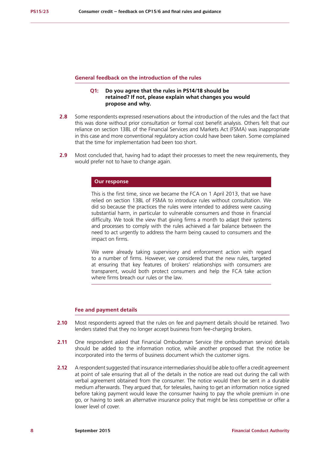### **General feedback on the introduction of the rules**

# **Q1: Do you agree that the rules in PS14/18 should be retained? If not, please explain what changes you would propose and why.**

- **2.8** Some respondents expressed reservations about the introduction of the rules and the fact that this was done without prior consultation or formal cost benefit analysis. Others felt that our reliance on section 138L of the Financial Services and Markets Act (FSMA) was inappropriate in this case and more conventional regulatory action could have been taken. Some complained that the time for implementation had been too short.
- **2.9** Most concluded that, having had to adapt their processes to meet the new requirements, they would prefer not to have to change again.

### **Our response**

This is the first time, since we became the FCA on 1 April 2013, that we have relied on section 138L of FSMA to introduce rules without consultation. We did so because the practices the rules were intended to address were causing substantial harm, in particular to vulnerable consumers and those in financial difficulty. We took the view that giving firms a month to adapt their systems and processes to comply with the rules achieved a fair balance between the need to act urgently to address the harm being caused to consumers and the impact on firms.

We were already taking supervisory and enforcement action with regard to a number of firms. However, we considered that the new rules, targeted at ensuring that key features of brokers' relationships with consumers are transparent, would both protect consumers and help the FCA take action where firms breach our rules or the law.

### **Fee and payment details**

- **2.10** Most respondents agreed that the rules on fee and payment details should be retained. Two lenders stated that they no longer accept business from fee-charging brokers.
- **2.11** One respondent asked that Financial Ombudsman Service (the ombudsman service) details should be added to the information notice, while another proposed that the notice be incorporated into the terms of business document which the customer signs.
- **2.12** A respondent suggested that insurance intermediaries should be able to offer a credit agreement at point of sale ensuring that all of the details in the notice are read out during the call with verbal agreement obtained from the consumer. The notice would then be sent in a durable medium afterwards. They argued that, for telesales, having to get an information notice signed before taking payment would leave the consumer having to pay the whole premium in one go, or having to seek an alternative insurance policy that might be less competitive or offer a lower level of cover.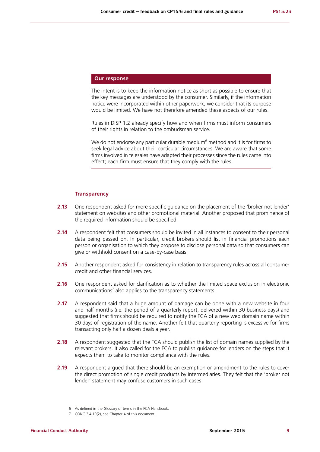# **Our response**

The intent is to keep the information notice as short as possible to ensure that the key messages are understood by the consumer. Similarly, if the information notice were incorporated within other paperwork, we consider that its purpose would be limited. We have not therefore amended these aspects of our rules.

Rules in DISP 1.2 already specify how and when firms must inform consumers of their rights in relation to the ombudsman service.

We do not endorse any particular durable medium $^6$  method and it is for firms to seek legal advice about their particular circumstances. We are aware that some firms involved in telesales have adapted their processes since the rules came into effect; each firm must ensure that they comply with the rules.

### **Transparency**

- 2.13 One respondent asked for more specific guidance on the placement of the 'broker not lender' statement on websites and other promotional material. Another proposed that prominence of the required information should be specified.
- **2.14** A respondent felt that consumers should be invited in all instances to consent to their personal data being passed on. In particular, credit brokers should list in financial promotions each person or organisation to which they propose to disclose personal data so that consumers can give or withhold consent on a case-by-case basis.
- **2.15** Another respondent asked for consistency in relation to transparency rules across all consumer credit and other financial services.
- **2.16** One respondent asked for clarification as to whether the limited space exclusion in electronic communications<sup>7</sup> also applies to the transparency statements.
- **2.17** A respondent said that a huge amount of damage can be done with a new website in four and half months (i.e. the period of a quarterly report, delivered within 30 business days) and suggested that firms should be required to notify the FCA of a new web domain name within 30 days of registration of the name. Another felt that quarterly reporting is excessive for firms transacting only half a dozen deals a year.
- **2.18** A respondent suggested that the FCA should publish the list of domain names supplied by the relevant brokers. It also called for the FCA to publish guidance for lenders on the steps that it expects them to take to monitor compliance with the rules.
- **2.19** A respondent argued that there should be an exemption or amendment to the rules to cover the direct promotion of single credit products by intermediaries. They felt that the 'broker not lender' statement may confuse customers in such cases.

<sup>6</sup> As defined in the Glossary of terms in the FCA Handbook.

<sup>7</sup> CONC 3.4.1R(2), see Chapter 4 of this document.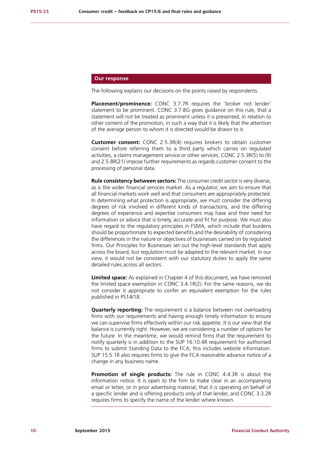# **Our response**

The following explains our decisions on the points raised by respondents.

**Placement/prominence:** CONC 3.7.7R requires the 'broker not lender' statement to be prominent. CONC 3.7.8G gives guidance on this rule, that a statement will not be treated as prominent unless it is presented, in relation to other content of the promotion, in such a way that it is likely that the attention of the average person to whom it is directed would be drawn to it.

**Customer consent:** CONC 2.5.3R(4) requires brokers to obtain customer consent before referring them to a third party which carries on regulated activities, a claims management service or other services. CONC 2.5.3R(5) to (9) and 2.5.8R(21) impose further requirements as regards customer consent to the processing of personal data.

**Rule consistency between sectors:** The consumer credit sector is very diverse, as is the wider financial services market. As a regulator, we aim to ensure that all financial markets work well and that consumers are appropriately protected. In determining what protection is appropriate, we must consider the differing degrees of risk involved in different kinds of transactions, and the differing degrees of experience and expertise consumers may have and their need for information or advice that is timely, accurate and fit for purpose. We must also have regard to the regulatory principles in FSMA, which include that burdens should be proportionate to expected benefits and the desirability of considering the differences in the nature or objectives of businesses carried on by regulated firms. Our Principles for Businesses set out the high-level standards that apply across the board, but regulation must be adapted to the relevant market. In our view, it would not be consistent with our statutory duties to apply the same detailed rules across all sectors.

**Limited space:** As explained in Chapter 4 of this document, we have removed the limited space exemption in CONC 3.4.1R(2). For the same reasons, we do not consider it appropriate to confer an equivalent exemption for the rules published in PS14/18.

**Quarterly reporting:** The requirement is a balance between not overloading firms with our requirements and having enough timely information to ensure we can supervise firms effectively within our risk appetite. It is our view that the balance is currently right. However, we are considering a number of options for the future. In the meantime, we would remind firms that the requirement to notify quarterly is in addition to the SUP 16.10.4R requirement for authorised firms to submit Standing Data to the FCA; this includes website information. SUP 15.5.1R also requires firms to give the FCA reasonable advance notice of a change in any business name.

**Promotion of single products:** The rule in CONC 4.4.3R is about the information notice. It is open to the firm to make clear in an accompanying email or letter, or in prior advertising material, that it is operating on behalf of a specific lender and is offering products only of that lender, and CONC 3.3.2R requires firms to specify the name of the lender where known.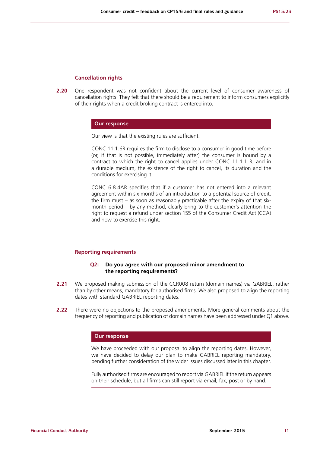#### **Cancellation rights**

**2.20** One respondent was not confident about the current level of consumer awareness of cancellation rights. They felt that there should be a requirement to inform consumers explicitly of their rights when a credit broking contract is entered into.

### **Our response**

Our view is that the existing rules are sufficient.

CONC 11.1.6R requires the firm to disclose to a consumer in good time before (or, if that is not possible, immediately after) the consumer is bound by a contract to which the right to cancel applies under CONC 11.1.1 R, and in a durable medium, the existence of the right to cancel, its duration and the conditions for exercising it.

CONC 6.8.4AR specifies that if a customer has not entered into a relevant agreement within six months of an introduction to a potential source of credit, the firm must – as soon as reasonably practicable after the expiry of that sixmonth period – by any method, clearly bring to the customer's attention the right to request a refund under section 155 of the Consumer Credit Act (CCA) and how to exercise this right.

# **Reporting requirements**

### **Q2: Do you agree with our proposed minor amendment to the reporting requirements?**

- **2.21** We proposed making submission of the CCR008 return (domain names) via GABRIEL, rather than by other means, mandatory for authorised firms. We also proposed to align the reporting dates with standard GABRIEL reporting dates.
- **2.22** There were no objections to the proposed amendments. More general comments about the frequency of reporting and publication of domain names have been addressed under Q1 above.

### **Our response**

We have proceeded with our proposal to align the reporting dates. However, we have decided to delay our plan to make GABRIEL reporting mandatory, pending further consideration of the wider issues discussed later in this chapter.

Fully authorised firms are encouraged to report via GABRIEL if the return appears on their schedule, but all firms can still report via email, fax, post or by hand.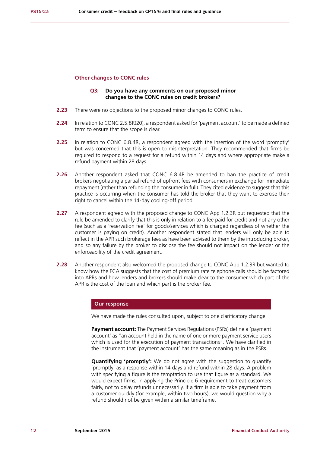### **Other changes to CONC rules**

# **Q3: Do you have any comments on our proposed minor changes to the CONC rules on credit brokers?**

- **2.23** There were no objections to the proposed minor changes to CONC rules.
- **2.24** In relation to CONC 2.5.8R(20), a respondent asked for 'payment account' to be made a defined term to ensure that the scope is clear.
- **2.25** In relation to CONC 6.8.4R, a respondent agreed with the insertion of the word 'promptly' but was concerned that this is open to misinterpretation. They recommended that firms be required to respond to a request for a refund within 14 days and where appropriate make a refund payment within 28 days.
- **2.26** Another respondent asked that CONC 6.8.4R be amended to ban the practice of credit brokers negotiating a partial refund of upfront fees with consumers in exchange for immediate repayment (rather than refunding the consumer in full). They cited evidence to suggest that this practice is occurring when the consumer has told the broker that they want to exercise their right to cancel within the 14-day cooling-off period.
- **2.27** A respondent agreed with the proposed change to CONC App 1.2.3R but requested that the rule be amended to clarify that this is only in relation to a fee paid for credit and not any other fee (such as a 'reservation fee' for goods/services which is charged regardless of whether the customer is paying on credit). Another respondent stated that lenders will only be able to reflect in the APR such brokerage fees as have been advised to them by the introducing broker, and so any failure by the broker to disclose the fee should not impact on the lender or the enforceability of the credit agreement.
- **2.28** Another respondent also welcomed the proposed change to CONC App 1.2.3R but wanted to know how the FCA suggests that the cost of premium rate telephone calls should be factored into APRs and how lenders and brokers should make clear to the consumer which part of the APR is the cost of the loan and which part is the broker fee.

# **Our response**

We have made the rules consulted upon, subject to one clarificatory change.

**Payment account:** The Payment Services Regulations (PSRs) define a 'payment account' as "an account held in the name of one or more payment service users which is used for the execution of payment transactions". We have clarified in the instrument that 'payment account' has the same meaning as in the PSRs.

**Quantifying 'promptly':** We do not agree with the suggestion to quantify 'promptly' as a response within 14 days and refund within 28 days. A problem with specifying a figure is the temptation to use that figure as a standard. We would expect firms, in applying the Principle 6 requirement to treat customers fairly, not to delay refunds unnecessarily. If a firm is able to take payment from a customer quickly (for example, within two hours), we would question why a refund should not be given within a similar timeframe.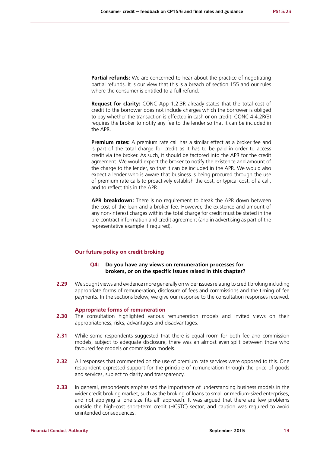**Partial refunds:** We are concerned to hear about the practice of negotiating partial refunds. It is our view that this is a breach of section 155 and our rules where the consumer is entitled to a full refund.

**Request for clarity:** CONC App 1.2.3R already states that the total cost of credit to the borrower does not include charges which the borrower is obliged to pay whether the transaction is effected in cash or on credit. CONC 4.4.2R(3) requires the broker to notify any fee to the lender so that it can be included in the APR.

**Premium rates:** A premium rate call has a similar effect as a broker fee and is part of the total charge for credit as it has to be paid in order to access credit via the broker. As such, it should be factored into the APR for the credit agreement. We would expect the broker to notify the existence and amount of the charge to the lender, so that it can be included in the APR. We would also expect a lender who is aware that business is being procured through the use of premium rate calls to proactively establish the cost, or typical cost, of a call, and to reflect this in the APR.

**APR breakdown:** There is no requirement to break the APR down between the cost of the loan and a broker fee. However, the existence and amount of any non-interest charges within the total charge for credit must be stated in the pre-contract information and credit agreement (and in advertising as part of the representative example if required).

# **Our future policy on credit broking**

### **Q4: Do you have any views on remuneration processes for brokers, or on the specific issues raised in this chapter?**

**2.29** We sought views and evidence more generally on wider issues relating to credit broking including appropriate forms of remuneration, disclosure of fees and commissions and the timing of fee payments. In the sections below, we give our response to the consultation responses received.

### **Appropriate forms of remuneration**

- **2.30** The consultation highlighted various remuneration models and invited views on their appropriateness, risks, advantages and disadvantages.
- **2.31** While some respondents suggested that there is equal room for both fee and commission models, subject to adequate disclosure, there was an almost even split between those who favoured fee models or commission models.
- **2.32** All responses that commented on the use of premium rate services were opposed to this. One respondent expressed support for the principle of remuneration through the price of goods and services, subject to clarity and transparency.
- **2.33** In general, respondents emphasised the importance of understanding business models in the wider credit broking market, such as the broking of loans to small or medium-sized enterprises, and not applying a 'one size fits all' approach. It was argued that there are few problems outside the high-cost short-term credit (HCSTC) sector, and caution was required to avoid unintended consequences.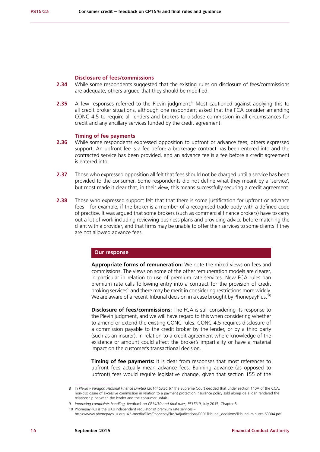### **Disclosure of fees/commissions**

- **2.34** While some respondents suggested that the existing rules on disclosure of fees/commissions are adequate, others argued that they should be modified.
- **2.35** A few responses referred to the Plevin judgment.<sup>8</sup> Most cautioned against applying this to all credit broker situations, although one respondent asked that the FCA consider amending CONC 4.5 to require all lenders and brokers to disclose commission in all circumstances for credit and any ancillary services funded by the credit agreement.

# **Timing of fee payments**

- **2.36** While some respondents expressed opposition to upfront or advance fees, others expressed support. An upfront fee is a fee before a brokerage contract has been entered into and the contracted service has been provided, and an advance fee is a fee before a credit agreement is entered into.
- **2.37** Those who expressed opposition all felt that fees should not be charged until a service has been provided to the consumer. Some respondents did not define what they meant by a 'service', but most made it clear that, in their view, this means successfully securing a credit agreement.
- **2.38** Those who expressed support felt that that there is some justification for upfront or advance fees – for example, if the broker is a member of a recognised trade body with a defined code of practice. It was argued that some brokers (such as commercial finance brokers) have to carry out a lot of work including reviewing business plans and providing advice before matching the client with a provider, and that firms may be unable to offer their services to some clients if they are not allowed advance fees.

### **Our response**

**Appropriate forms of remuneration:** We note the mixed views on fees and commissions. The views on some of the other remuneration models are clearer, in particular in relation to use of premium rate services. New FCA rules ban premium rate calls following entry into a contract for the provision of credit broking services<sup>9</sup> and there may be merit in considering restrictions more widely. We are aware of a recent Tribunal decision in a case brought by PhonepayPlus.<sup>10</sup>

**Disclosure of fees/commissions:** The FCA is still considering its response to the Plevin judgment, and we will have regard to this when considering whether to amend or extend the existing CONC rules. CONC 4.5 requires disclosure of a commission payable to the credit broker by the lender, or by a third party (such as an insurer), in relation to a credit agreement where knowledge of the existence or amount could affect the broker's impartiality or have a material impact on the customer's transactional decision.

**Timing of fee payments:** It is clear from responses that most references to upfront fees actually mean advance fees. Banning advance (as opposed to upfront) fees would require legislative change, given that section 155 of the

<sup>8</sup> In *Plevin v Paragon Personal Finance Limited [2014] UKSC 61* the Supreme Court decided that under section 140A of the CCA, non-disclosure of excessive commission in relation to a payment protection insurance policy sold alongside a loan rendered the relationship between the lender and the consumer unfair.

<sup>9</sup> *Improving complaints handling, feedback on CP14/30 and final rules, PS15/19*, July 2015, Chapter 3.

<sup>10</sup> PhonepayPlus is the UK's independent regulator of premium rate services –

https://www.phonepayplus.org.uk/~/media/Files/PhonepayPlus/Adjudications/0001Tribunal\_decisions/Tribunal-minutes-63304.pdf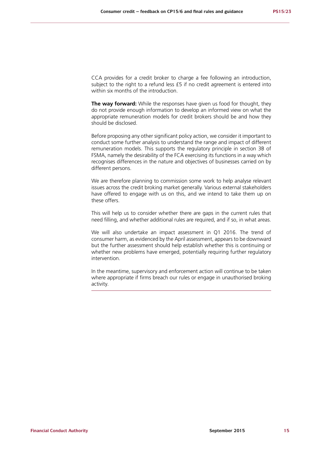CCA provides for a credit broker to charge a fee following an introduction, subject to the right to a refund less £5 if no credit agreement is entered into within six months of the introduction.

**The way forward:** While the responses have given us food for thought, they do not provide enough information to develop an informed view on what the appropriate remuneration models for credit brokers should be and how they should be disclosed.

Before proposing any other significant policy action, we consider it important to conduct some further analysis to understand the range and impact of different remuneration models. This supports the regulatory principle in section 3B of FSMA, namely the desirability of the FCA exercising its functions in a way which recognises differences in the nature and objectives of businesses carried on by different persons.

We are therefore planning to commission some work to help analyse relevant issues across the credit broking market generally. Various external stakeholders have offered to engage with us on this, and we intend to take them up on these offers.

This will help us to consider whether there are gaps in the current rules that need filling, and whether additional rules are required, and if so, in what areas.

We will also undertake an impact assessment in Q1 2016. The trend of consumer harm, as evidenced by the April assessment, appears to be downward but the further assessment should help establish whether this is continuing or whether new problems have emerged, potentially requiring further regulatory intervention.

In the meantime, supervisory and enforcement action will continue to be taken where appropriate if firms breach our rules or engage in unauthorised broking activity.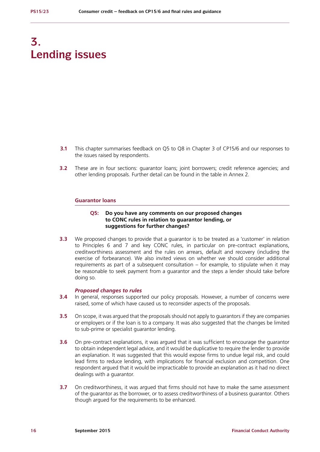# **3. Lending issues**

- **3.1** This chapter summarises feedback on Q5 to Q8 in Chapter 3 of CP15/6 and our responses to the issues raised by respondents.
- **3.2** These are in four sections: guarantor loans: joint borrowers: credit reference agencies: and other lending proposals. Further detail can be found in the table in Annex 2.

### **Guarantor loans**

# **Q5: Do you have any comments on our proposed changes to CONC rules in relation to guarantor lending, or suggestions for further changes?**

**3.3** We proposed changes to provide that a guarantor is to be treated as a 'customer' in relation to Principles 6 and 7 and key CONC rules, in particular on pre-contract explanations, creditworthiness assessment and the rules on arrears, default and recovery (including the exercise of forbearance). We also invited views on whether we should consider additional requirements as part of a subsequent consultation – for example, to stipulate when it may be reasonable to seek payment from a guarantor and the steps a lender should take before doing so.

# *Proposed changes to rules*

- **3.4** In general, responses supported our policy proposals. However, a number of concerns were raised, some of which have caused us to reconsider aspects of the proposals.
- **3.5** On scope, it was argued that the proposals should not apply to guarantors if they are companies or employers or if the loan is to a company. It was also suggested that the changes be limited to sub-prime or specialist guarantor lending.
- **3.6** On pre-contract explanations, it was argued that it was sufficient to encourage the guarantor to obtain independent legal advice, and it would be duplicative to require the lender to provide an explanation. It was suggested that this would expose firms to undue legal risk, and could lead firms to reduce lending, with implications for financial exclusion and competition. One respondent argued that it would be impracticable to provide an explanation as it had no direct dealings with a guarantor.
- **3.7** On creditworthiness, it was argued that firms should not have to make the same assessment of the guarantor as the borrower, or to assess creditworthiness of a business guarantor. Others though argued for the requirements to be enhanced.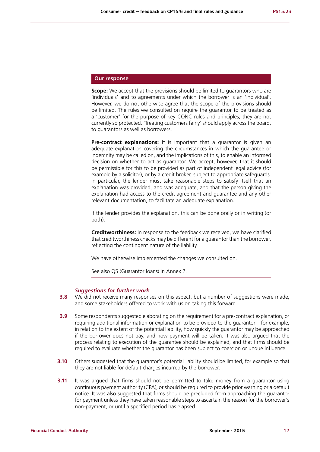# **Our response**

**Scope:** We accept that the provisions should be limited to quarantors who are 'individuals' and to agreements under which the borrower is an 'individual'. However, we do not otherwise agree that the scope of the provisions should be limited. The rules we consulted on require the guarantor to be treated as a 'customer' for the purpose of key CONC rules and principles; they are not currently so protected. 'Treating customers fairly' should apply across the board, to guarantors as well as borrowers.

**Pre-contract explanations:** It is important that a quarantor is given an adequate explanation covering the circumstances in which the guarantee or indemnity may be called on, and the implications of this, to enable an informed decision on whether to act as guarantor. We accept, however, that it should be permissible for this to be provided as part of independent legal advice (for example by a solicitor), or by a credit broker, subject to appropriate safeguards. In particular, the lender must take reasonable steps to satisfy itself that an explanation was provided, and was adequate, and that the person giving the explanation had access to the credit agreement and guarantee and any other relevant documentation, to facilitate an adequate explanation.

If the lender provides the explanation, this can be done orally or in writing (or both).

**Creditworthiness:** In response to the feedback we received, we have clarified that creditworthiness checks may be different for a guarantor than the borrower, reflecting the contingent nature of the liability.

We have otherwise implemented the changes we consulted on.

See also Q5 (Guarantor loans) in Annex 2.

### *Suggestions for further work*

- **3.8** We did not receive many responses on this aspect, but a number of suggestions were made, and some stakeholders offered to work with us on taking this forward.
- **3.9** Some respondents suggested elaborating on the requirement for a pre-contract explanation, or requiring additional information or explanation to be provided to the guarantor – for example, in relation to the extent of the potential liability, how quickly the guarantor may be approached if the borrower does not pay, and how payment will be taken. It was also argued that the process relating to execution of the guarantee should be explained, and that firms should be required to evaluate whether the guarantor has been subject to coercion or undue influence.
- **3.10** Others suggested that the guarantor's potential liability should be limited, for example so that they are not liable for default charges incurred by the borrower.
- **3.11** It was argued that firms should not be permitted to take money from a quarantor using continuous payment authority (CPA), or should be required to provide prior warning or a default notice. It was also suggested that firms should be precluded from approaching the guarantor for payment unless they have taken reasonable steps to ascertain the reason for the borrower's non-payment, or until a specified period has elapsed.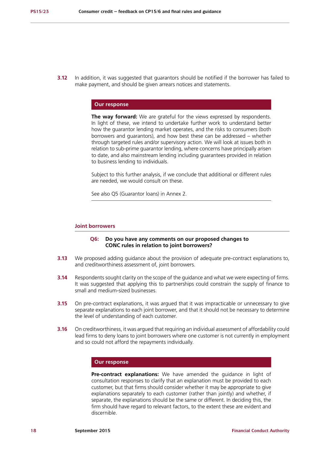**3.12** In addition, it was suggested that guarantors should be notified if the borrower has failed to make payment, and should be given arrears notices and statements.

# **Our response**

**The way forward:** We are grateful for the views expressed by respondents. In light of these, we intend to undertake further work to understand better how the guarantor lending market operates, and the risks to consumers (both borrowers and guarantors), and how best these can be addressed – whether through targeted rules and/or supervisory action. We will look at issues both in relation to sub-prime guarantor lending, where concerns have principally arisen to date, and also mainstream lending including guarantees provided in relation to business lending to individuals.

Subject to this further analysis, if we conclude that additional or different rules are needed, we would consult on these.

See also Q5 (Guarantor loans) in Annex 2.

# **Joint borrowers**

### **Q6: Do you have any comments on our proposed changes to CONC rules in relation to joint borrowers?**

- **3.13** We proposed adding guidance about the provision of adequate pre-contract explanations to, and creditworthiness assessment of, joint borrowers.
- **3.14** Respondents sought clarity on the scope of the guidance and what we were expecting of firms. It was suggested that applying this to partnerships could constrain the supply of finance to small and medium-sized businesses.
- **3.15** On pre-contract explanations, it was argued that it was impracticable or unnecessary to give separate explanations to each joint borrower, and that it should not be necessary to determine the level of understanding of each customer.
- **3.16** On creditworthiness, it was argued that requiring an individual assessment of affordability could lead firms to deny loans to joint borrowers where one customer is not currently in employment and so could not afford the repayments individually.

# **Our response**

**Pre-contract explanations:** We have amended the quidance in light of consultation responses to clarify that an explanation must be provided to each customer, but that firms should consider whether it may be appropriate to give explanations separately to each customer (rather than jointly) and whether, if separate, the explanations should be the same or different. In deciding this, the firm should have regard to relevant factors, to the extent these are evident and discernible.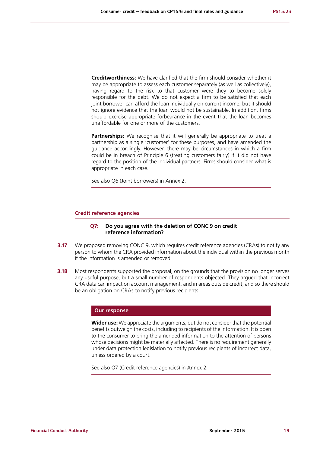**Creditworthiness:** We have clarified that the firm should consider whether it may be appropriate to assess each customer separately (as well as collectively), having regard to the risk to that customer were they to become solely responsible for the debt. We do not expect a firm to be satisfied that each joint borrower can afford the loan individually on current income, but it should not ignore evidence that the loan would not be sustainable. In addition, firms should exercise appropriate forbearance in the event that the loan becomes unaffordable for one or more of the customers.

**Partnerships:** We recognise that it will generally be appropriate to treat a partnership as a single 'customer' for these purposes, and have amended the guidance accordingly. However, there may be circumstances in which a firm could be in breach of Principle 6 (treating customers fairly) if it did not have regard to the position of the individual partners. Firms should consider what is appropriate in each case.

See also Q6 (Joint borrowers) in Annex 2.

### **Credit reference agencies**

### **Q7: Do you agree with the deletion of CONC 9 on credit reference information?**

- **3.17** We proposed removing CONC 9, which requires credit reference agencies (CRAs) to notify any person to whom the CRA provided information about the individual within the previous month if the information is amended or removed.
- **3.18** Most respondents supported the proposal, on the grounds that the provision no longer serves any useful purpose, but a small number of respondents objected. They argued that incorrect CRA data can impact on account management, and in areas outside credit, and so there should be an obligation on CRAs to notify previous recipients.

### **Our response**

**Wider use:** We appreciate the arguments, but do not consider that the potential benefits outweigh the costs, including to recipients of the information. It is open to the consumer to bring the amended information to the attention of persons whose decisions might be materially affected. There is no requirement generally under data protection legislation to notify previous recipients of incorrect data, unless ordered by a court.

See also Q7 (Credit reference agencies) in Annex 2.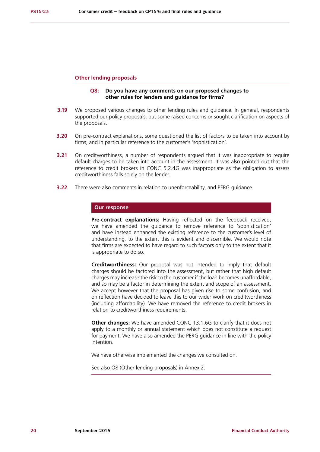### **Other lending proposals**

# **Q8: Do you have any comments on our proposed changes to other rules for lenders and guidance for firms?**

- **3.19** We proposed various changes to other lending rules and guidance. In general, respondents supported our policy proposals, but some raised concerns or sought clarification on aspects of the proposals.
- **3.20** On pre-contract explanations, some questioned the list of factors to be taken into account by firms, and in particular reference to the customer's 'sophistication'.
- **3.21** On creditworthiness, a number of respondents argued that it was inappropriate to require default charges to be taken into account in the assessment. It was also pointed out that the reference to credit brokers in CONC 5.2.4G was inappropriate as the obligation to assess creditworthiness falls solely on the lender.
- **3.22** There were also comments in relation to unenforceability, and PERG guidance.

## **Our response**

Pre-contract explanations: Having reflected on the feedback received, we have amended the guidance to remove reference to 'sophistication' and have instead enhanced the existing reference to the customer's level of understanding, to the extent this is evident and discernible. We would note that firms are expected to have regard to such factors only to the extent that it is appropriate to do so.

**Creditworthiness:** Our proposal was not intended to imply that default charges should be factored into the assessment, but rather that high default charges may increase the risk to the customer if the loan becomes unaffordable, and so may be a factor in determining the extent and scope of an assessment. We accept however that the proposal has given rise to some confusion, and on reflection have decided to leave this to our wider work on creditworthiness (including affordability). We have removed the reference to credit brokers in relation to creditworthiness requirements.

**Other changes:** We have amended CONC 13.1.6G to clarify that it does not apply to a monthly or annual statement which does not constitute a request for payment. We have also amended the PERG guidance in line with the policy intention.

We have otherwise implemented the changes we consulted on.

See also Q8 (Other lending proposals) in Annex 2.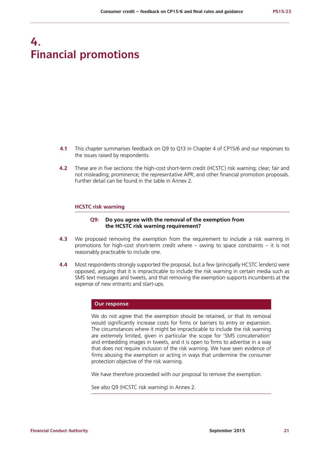# **4. Financial promotions**

- **4.1** This chapter summarises feedback on Q9 to Q13 in Chapter 4 of CP15/6 and our responses to the issues raised by respondents.
- **4.2** These are in five sections: the high-cost short-term credit (HCSTC) risk warning; clear, fair and not misleading; prominence; the representative APR; and other financial promotion proposals. Further detail can be found in the table in Annex 2.

### **HCSTC risk warning**

# **Q9: Do you agree with the removal of the exemption from the HCSTC risk warning requirement?**

- **4.3** We proposed removing the exemption from the requirement to include a risk warning in promotions for high-cost short-term credit where – owing to space constraints – it is not reasonably practicable to include one.
- **4.4** Most respondents strongly supported the proposal, but a few (principally HCSTC lenders) were opposed, arguing that it is impracticable to include the risk warning in certain media such as SMS text messages and tweets, and that removing the exemption supports incumbents at the expense of new entrants and start-ups.

### **Our response**

We do not agree that the exemption should be retained, or that its removal would significantly increase costs for firms or barriers to entry or expansion. The circumstances where it might be impracticable to include the risk warning are extremely limited, given in particular the scope for 'SMS concatenation' and embedding images in tweets, and it is open to firms to advertise in a way that does not require inclusion of the risk warning. We have seen evidence of firms abusing the exemption or acting in ways that undermine the consumer protection objective of the risk warning.

We have therefore proceeded with our proposal to remove the exemption.

See also Q9 (HCSTC risk warning) in Annex 2.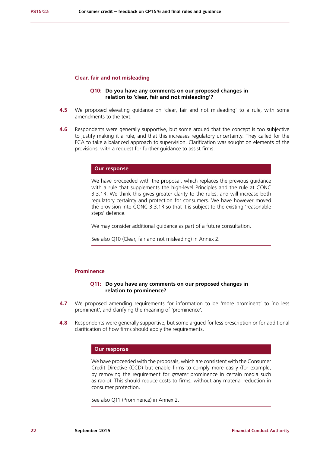### **Clear, fair and not misleading**

# **Q10: Do you have any comments on our proposed changes in relation to 'clear, fair and not misleading'?**

- **4.5** We proposed elevating guidance on 'clear, fair and not misleading' to a rule, with some amendments to the text.
- **4.6** Respondents were generally supportive, but some argued that the concept is too subjective to justify making it a rule, and that this increases regulatory uncertainty. They called for the FCA to take a balanced approach to supervision. Clarification was sought on elements of the provisions, with a request for further guidance to assist firms.

### **Our response**

We have proceeded with the proposal, which replaces the previous guidance with a rule that supplements the high-level Principles and the rule at CONC 3.3.1R. We think this gives greater clarity to the rules, and will increase both regulatory certainty and protection for consumers. We have however moved the provision into CONC 3.3.1R so that it is subject to the existing 'reasonable steps' defence.

We may consider additional guidance as part of a future consultation.

See also Q10 (Clear, fair and not misleading) in Annex 2.

#### **Prominence**

### **Q11: Do you have any comments on our proposed changes in relation to prominence?**

- **4.7** We proposed amending requirements for information to be 'more prominent' to 'no less prominent', and clarifying the meaning of 'prominence'.
- **4.8** Respondents were generally supportive, but some argued for less prescription or for additional clarification of how firms should apply the requirements.

### **Our response**

We have proceeded with the proposals, which are consistent with the Consumer Credit Directive (CCD) but enable firms to comply more easily (for example, by removing the requirement for *greater* prominence in certain media such as radio). This should reduce costs to firms, without any material reduction in consumer protection.

See also Q11 (Prominence) in Annex 2.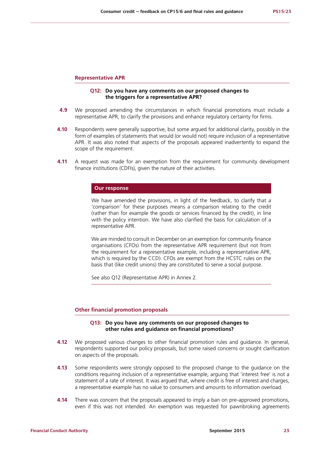### **Representative APR**

# **Q12: Do you have any comments on our proposed changes to the triggers for a representative APR?**

- **4.9** We proposed amending the circumstances in which financial promotions must include a representative APR, to clarify the provisions and enhance regulatory certainty for firms.
- **4.10** Respondents were generally supportive, but some argued for additional clarity, possibly in the form of examples of statements that would (or would not) require inclusion of a representative APR. It was also noted that aspects of the proposals appeared inadvertently to expand the scope of the requirement.
- **4.11** A request was made for an exemption from the requirement for community development finance institutions (CDFIs), given the nature of their activities.

## **Our response**

We have amended the provisions, in light of the feedback, to clarify that a 'comparison' for these purposes means a comparison relating to the credit (rather than for example the goods or services financed by the credit), in line with the policy intention. We have also clarified the basis for calculation of a representative APR.

We are minded to consult in December on an exemption for community finance organisations (CFOs) from the representative APR requirement (but not from the requirement for a representative example, including a representative APR, which is required by the CCD). CFOs are exempt from the HCSTC rules on the basis that (like credit unions) they are constituted to serve a social purpose.

See also Q12 (Representative APR) in Annex 2.

### **Other financial promotion proposals**

# **Q13: Do you have any comments on our proposed changes to other rules and guidance on financial promotions?**

- **4.12** We proposed various changes to other financial promotion rules and guidance. In general, respondents supported our policy proposals, but some raised concerns or sought clarification on aspects of the proposals.
- **4.13** Some respondents were strongly opposed to the proposed change to the guidance on the conditions requiring inclusion of a representative example, arguing that 'interest free' is not a statement of a rate of interest. It was argued that, where credit is free of interest and charges, a representative example has no value to consumers and amounts to information overload.
- **4.14** There was concern that the proposals appeared to imply a ban on pre-approved promotions, even if this was not intended. An exemption was requested for pawnbroking agreements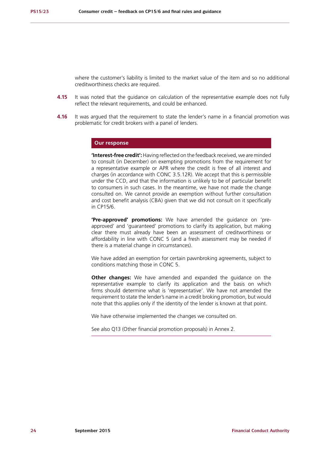where the customer's liability is limited to the market value of the item and so no additional creditworthiness checks are required.

- **4.15** It was noted that the guidance on calculation of the representative example does not fully reflect the relevant requirements, and could be enhanced.
- **4.16** It was argued that the requirement to state the lender's name in a financial promotion was problematic for credit brokers with a panel of lenders.

### **Our response**

**'Interest-free credit':** Having reflected on the feedback received, we are minded to consult (in December) on exempting promotions from the requirement for a representative example or APR where the credit is free of all interest and charges (in accordance with CONC 3.5.12R). We accept that this is permissible under the CCD, and that the information is unlikely to be of particular benefit to consumers in such cases. In the meantime, we have not made the change consulted on. We cannot provide an exemption without further consultation and cost benefit analysis (CBA) given that we did not consult on it specifically in CP15/6.

**'Pre-approved' promotions:** We have amended the guidance on 'preapproved' and 'guaranteed' promotions to clarify its application, but making clear there must already have been an assessment of creditworthiness or affordability in line with CONC 5 (and a fresh assessment may be needed if there is a material change in circumstances).

We have added an exemption for certain pawnbroking agreements, subject to conditions matching those in CONC 5.

**Other changes:** We have amended and expanded the guidance on the representative example to clarify its application and the basis on which firms should determine what is 'representative'. We have not amended the requirement to state the lender's name in a credit broking promotion, but would note that this applies only if the identity of the lender is known at that point.

We have otherwise implemented the changes we consulted on.

See also Q13 (Other financial promotion proposals) in Annex 2.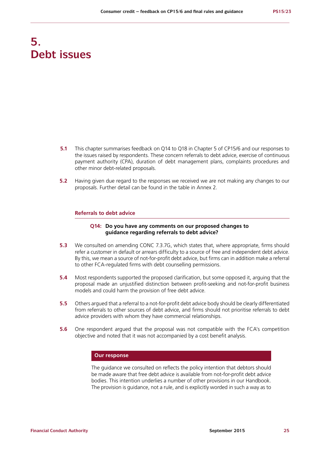# **5. Debt issues**

- **5.1** This chapter summarises feedback on Q14 to Q18 in Chapter 5 of CP15/6 and our responses to the issues raised by respondents. These concern referrals to debt advice, exercise of continuous payment authority (CPA), duration of debt management plans, complaints procedures and other minor debt-related proposals.
- **5.2** Having given due regard to the responses we received we are not making any changes to our proposals. Further detail can be found in the table in Annex 2.

### **Referrals to debt advice**

# **Q14: Do you have any comments on our proposed changes to guidance regarding referrals to debt advice?**

- **5.3** We consulted on amending CONC 7.3.7G, which states that, where appropriate, firms should refer a customer in default or arrears difficulty to a source of free and independent debt advice. By this, we mean a source of not-for-profit debt advice, but firms can in addition make a referral to other FCA-regulated firms with debt counselling permissions.
- **5.4** Most respondents supported the proposed clarification, but some opposed it, arguing that the proposal made an unjustified distinction between profit-seeking and not-for-profit business models and could harm the provision of free debt advice.
- **5.5** Others argued that a referral to a not-for-profit debt advice body should be clearly differentiated from referrals to other sources of debt advice, and firms should not prioritise referrals to debt advice providers with whom they have commercial relationships.
- **5.6** One respondent argued that the proposal was not compatible with the FCA's competition objective and noted that it was not accompanied by a cost benefit analysis.

# **Our response**

The guidance we consulted on reflects the policy intention that debtors should be made aware that free debt advice is available from not-for-profit debt advice bodies. This intention underlies a number of other provisions in our Handbook. The provision is guidance, not a rule, and is explicitly worded in such a way as to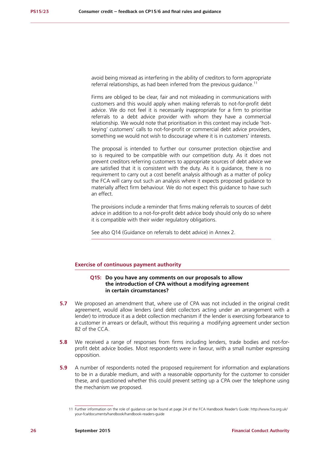avoid being misread as interfering in the ability of creditors to form appropriate referral relationships, as had been inferred from the previous quidance.<sup>11</sup>

Firms are obliged to be clear, fair and not misleading in communications with customers and this would apply when making referrals to not-for-profit debt advice. We do not feel it is necessarily inappropriate for a firm to prioritise referrals to a debt advice provider with whom they have a commercial relationship. We would note that prioritisation in this context may include 'hotkeying' customers' calls to not-for-profit or commercial debt advice providers, something we would not wish to discourage where it is in customers' interests.

The proposal is intended to further our consumer protection objective and so is required to be compatible with our competition duty. As it does not prevent creditors referring customers to appropriate sources of debt advice we are satisfied that it is consistent with the duty. As it is guidance, there is no requirement to carry out a cost benefit analysis although as a matter of policy the FCA will carry out such an analysis where it expects proposed guidance to materially affect firm behaviour. We do not expect this guidance to have such an effect.

The provisions include a reminder that firms making referrals to sources of debt advice in addition to a not-for-profit debt advice body should only do so where it is compatible with their wider regulatory obligations.

See also Q14 (Guidance on referrals to debt advice) in Annex 2.

### **Exercise of continuous payment authority**

# **Q15: Do you have any comments on our proposals to allow the introduction of CPA without a modifying agreement in certain circumstances?**

- **5.7** We proposed an amendment that, where use of CPA was not included in the original credit agreement, would allow lenders (and debt collectors acting under an arrangement with a lender) to introduce it as a debt collection mechanism if the lender is exercising forbearance to a customer in arrears or default, without this requiring a modifying agreement under section 82 of the CCA.
- **5.8** We received a range of responses from firms including lenders, trade bodies and not-forprofit debt advice bodies. Most respondents were in favour, with a small number expressing opposition.
- **5.9** A number of respondents noted the proposed requirement for information and explanations to be in a durable medium, and with a reasonable opportunity for the customer to consider these, and questioned whether this could prevent setting up a CPA over the telephone using the mechanism we proposed.

<sup>11</sup> Further information on the role of guidance can be found at page 24 of the FCA Handbook Reader's Guide: http://www.fca.org.uk/ your-fca/documents/handbook/handbook-readers-guide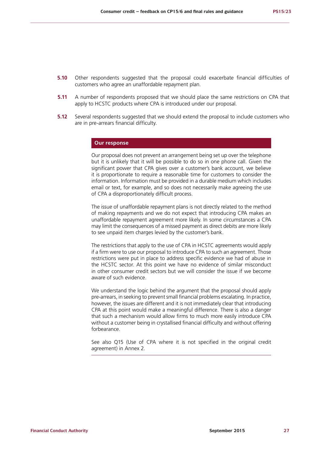- **5.10** Other respondents suggested that the proposal could exacerbate financial difficulties of customers who agree an unaffordable repayment plan.
- **5.11** A number of respondents proposed that we should place the same restrictions on CPA that apply to HCSTC products where CPA is introduced under our proposal.
- **5.12** Several respondents suggested that we should extend the proposal to include customers who are in pre-arrears financial difficulty.

### **Our response**

Our proposal does not prevent an arrangement being set up over the telephone but it is unlikely that it will be possible to do so in one phone call. Given the significant power that CPA gives over a customer's bank account, we believe it is proportionate to require a reasonable time for customers to consider the information. Information must be provided in a durable medium which includes email or text, for example, and so does not necessarily make agreeing the use of CPA a disproportionately difficult process.

The issue of unaffordable repayment plans is not directly related to the method of making repayments and we do not expect that introducing CPA makes an unaffordable repayment agreement more likely. In some circumstances a CPA may limit the consequences of a missed payment as direct debits are more likely to see unpaid item charges levied by the customer's bank.

The restrictions that apply to the use of CPA in HCSTC agreements would apply if a firm were to use our proposal to introduce CPA to such an agreement. Those restrictions were put in place to address specific evidence we had of abuse in the HCSTC sector. At this point we have no evidence of similar misconduct in other consumer credit sectors but we will consider the issue if we become aware of such evidence.

We understand the logic behind the argument that the proposal should apply pre-arrears, in seeking to prevent small financial problems escalating. In practice, however, the issues are different and it is not immediately clear that introducing CPA at this point would make a meaningful difference. There is also a danger that such a mechanism would allow firms to much more easily introduce CPA without a customer being in crystallised financial difficulty and without offering forbearance.

See also Q15 (Use of CPA where it is not specified in the original credit agreement) in Annex 2.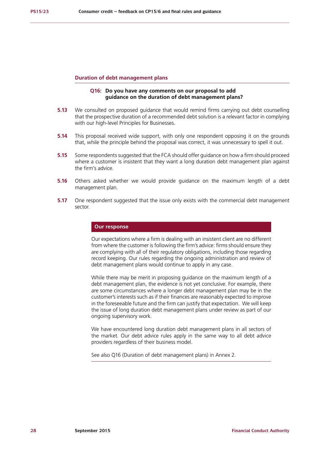### **Duration of debt management plans**

# **Q16: Do you have any comments on our proposal to add guidance on the duration of debt management plans?**

- **5.13** We consulted on proposed guidance that would remind firms carrying out debt counselling that the prospective duration of a recommended debt solution is a relevant factor in complying with our high-level Principles for Businesses.
- **5.14** This proposal received wide support, with only one respondent opposing it on the grounds that, while the principle behind the proposal was correct, it was unnecessary to spell it out.
- **5.15** Some respondents suggested that the FCA should offer guidance on how a firm should proceed where a customer is insistent that they want a long duration debt management plan against the firm's advice.
- **5.16** Others asked whether we would provide guidance on the maximum length of a debt management plan.
- **5.17** One respondent suggested that the issue only exists with the commercial debt management sector.

# **Our response**

Our expectations where a firm is dealing with an insistent client are no different from where the customer is following the firm's advice: firms should ensure they are complying with all of their regulatory obligations, including those regarding record keeping. Our rules regarding the ongoing administration and review of debt management plans would continue to apply in any case.

While there may be merit in proposing guidance on the maximum length of a debt management plan, the evidence is not yet conclusive. For example, there are some circumstances where a longer debt management plan may be in the customer's interests such as if their finances are reasonably expected to improve in the foreseeable future and the firm can justify that expectation. We will keep the issue of long duration debt management plans under review as part of our ongoing supervisory work.

We have encountered long duration debt management plans in all sectors of the market. Our debt advice rules apply in the same way to all debt advice providers regardless of their business model.

See also Q16 (Duration of debt management plans) in Annex 2.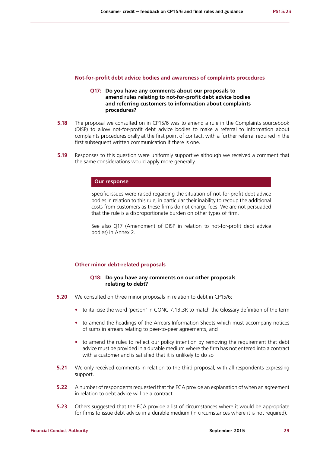#### **Not-for-profit debt advice bodies and awareness of complaints procedures**

# **Q17: Do you have any comments about our proposals to amend rules relating to not-for-profit debt advice bodies and referring customers to information about complaints procedures?**

- **5.18** The proposal we consulted on in CP15/6 was to amend a rule in the Complaints sourcebook (DISP) to allow not-for-profit debt advice bodies to make a referral to information about complaints procedures orally at the first point of contact, with a further referral required in the first subsequent written communication if there is one.
- **5.19** Responses to this question were uniformly supportive although we received a comment that the same considerations would apply more generally.

### **Our response**

Specific issues were raised regarding the situation of not-for-profit debt advice bodies in relation to this rule, in particular their inability to recoup the additional costs from customers as these firms do not charge fees. We are not persuaded that the rule is a disproportionate burden on other types of firm.

See also Q17 (Amendment of DISP in relation to not-for-profit debt advice bodies) in Annex 2.

### **Other minor debt-related proposals**

# **Q18: Do you have any comments on our other proposals relating to debt?**

- **5.20** We consulted on three minor proposals in relation to debt in CP15/6:
	- to italicise the word 'person' in CONC 7.13.3R to match the Glossary definition of the term
	- **•** to amend the headings of the Arrears Information Sheets which must accompany notices of sums in arrears relating to peer-to-peer agreements, and
	- **•** to amend the rules to reflect our policy intention by removing the requirement that debt advice must be provided in a durable medium where the firm has not entered into a contract with a customer and is satisfied that it is unlikely to do so
- **5.21** We only received comments in relation to the third proposal, with all respondents expressing support.
- **5.22** A number of respondents requested that the FCA provide an explanation of when an agreement in relation to debt advice will be a contract.
- **5.23** Others suggested that the FCA provide a list of circumstances where it would be appropriate for firms to issue debt advice in a durable medium (in circumstances where it is not required).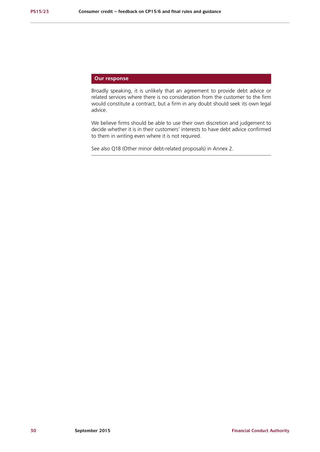# **Our response**

Broadly speaking, it is unlikely that an agreement to provide debt advice or related services where there is no consideration from the customer to the firm would constitute a contract, but a firm in any doubt should seek its own legal advice.

We believe firms should be able to use their own discretion and judgement to decide whether it is in their customers' interests to have debt advice confirmed to them in writing even where it is not required.

See also Q18 (Other minor debt-related proposals) in Annex 2.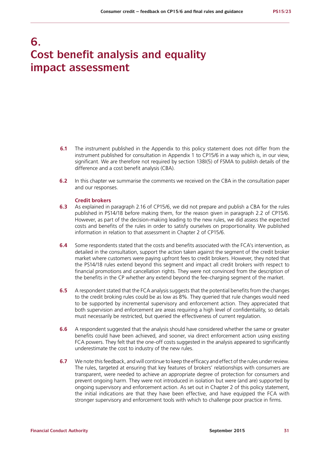# **6. Cost benefit analysis and equality impact assessment**

- **6.1** The instrument published in the Appendix to this policy statement does not differ from the instrument published for consultation in Appendix 1 to CP15/6 in a way which is, in our view, significant. We are therefore not required by section 138I(5) of FSMA to publish details of the difference and a cost benefit analysis (CBA).
- **6.2** In this chapter we summarise the comments we received on the CBA in the consultation paper and our responses.

### **Credit brokers**

- **6.3** As explained in paragraph 2.16 of CP15/6, we did not prepare and publish a CBA for the rules published in PS14/18 before making them, for the reason given in paragraph 2.2 of CP15/6. However, as part of the decision-making leading to the new rules, we did assess the expected costs and benefits of the rules in order to satisfy ourselves on proportionality. We published information in relation to that assessment in Chapter 2 of CP15/6.
- **6.4** Some respondents stated that the costs and benefits associated with the FCA's intervention, as detailed in the consultation, support the action taken against the segment of the credit broker market where customers were paying upfront fees to credit brokers. However, they noted that the PS14/18 rules extend beyond this segment and impact all credit brokers with respect to financial promotions and cancellation rights. They were not convinced from the description of the benefits in the CP whether any extend beyond the fee-charging segment of the market.
- **6.5** A respondent stated that the FCA analysis suggests that the potential benefits from the changes to the credit broking rules could be as low as 8%. They queried that rule changes would need to be supported by incremental supervisory and enforcement action. They appreciated that both supervision and enforcement are areas requiring a high level of confidentiality, so details must necessarily be restricted, but queried the effectiveness of current regulation.
- **6.6** A respondent suggested that the analysis should have considered whether the same or greater benefits could have been achieved, and sooner, via direct enforcement action using existing FCA powers. They felt that the one-off costs suggested in the analysis appeared to significantly underestimate the cost to industry of the new rules.
- **6.7** We note this feedback, and will continue to keep the efficacy and effect of the rules under review. The rules, targeted at ensuring that key features of brokers' relationships with consumers are transparent, were needed to achieve an appropriate degree of protection for consumers and prevent ongoing harm. They were not introduced in isolation but were (and are) supported by ongoing supervisory and enforcement action. As set out in Chapter 2 of this policy statement, the initial indications are that they have been effective, and have equipped the FCA with stronger supervisory and enforcement tools with which to challenge poor practice in firms.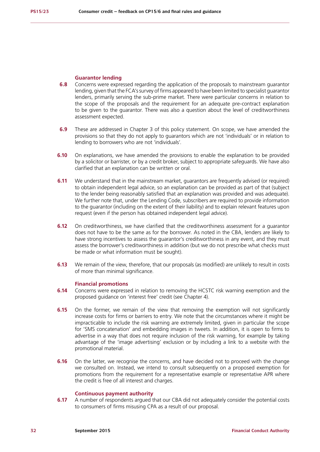### **Guarantor lending**

- **6.8** Concerns were expressed regarding the application of the proposals to mainstream guarantor lending, given that the FCA's survey of firms appeared to have been limited to specialist guarantor lenders, primarily serving the sub-prime market. There were particular concerns in relation to the scope of the proposals and the requirement for an adequate pre-contract explanation to be given to the guarantor. There was also a question about the level of creditworthiness assessment expected.
- **6.9** These are addressed in Chapter 3 of this policy statement. On scope, we have amended the provisions so that they do not apply to guarantors which are not 'individuals' or in relation to lending to borrowers who are not 'individuals'.
- **6.10** On explanations, we have amended the provisions to enable the explanation to be provided by a solicitor or barrister, or by a credit broker, subject to appropriate safeguards. We have also clarified that an explanation can be written or oral.
- **6.11** We understand that in the mainstream market, quarantors are frequently advised (or required) to obtain independent legal advice, so an explanation can be provided as part of that (subject to the lender being reasonably satisfied that an explanation was provided and was adequate). We further note that, under the Lending Code, subscribers are required to provide information to the guarantor (including on the extent of their liability) and to explain relevant features upon request (even if the person has obtained independent legal advice).
- **6.12** On creditworthiness, we have clarified that the creditworthiness assessment for a guarantor does not have to be the same as for the borrower. As noted in the CBA, lenders are likely to have strong incentives to assess the quarantor's creditworthiness in any event, and they must assess the borrower's creditworthiness in addition (but we do not prescribe what checks must be made or what information must be sought).
- **6.13** We remain of the view, therefore, that our proposals (as modified) are unlikely to result in costs of more than minimal significance.

# **Financial promotions**

- **6.14** Concerns were expressed in relation to removing the HCSTC risk warning exemption and the proposed guidance on 'interest free' credit (see Chapter 4).
- **6.15** On the former, we remain of the view that removing the exemption will not significantly increase costs for firms or barriers to entry. We note that the circumstances where it might be impracticable to include the risk warning are extremely limited, given in particular the scope for 'SMS concatenation' and embedding images in tweets. In addition, it is open to firms to advertise in a way that does not require inclusion of the risk warning, for example by taking advantage of the 'image advertising' exclusion or by including a link to a website with the promotional material.
- **6.16** On the latter, we recognise the concerns, and have decided not to proceed with the change we consulted on. Instead, we intend to consult subsequently on a proposed exemption for promotions from the requirement for a representative example or representative APR where the credit is free of all interest and charges.

### **Continuous payment authority**

**6.17** A number of respondents argued that our CBA did not adequately consider the potential costs to consumers of firms misusing CPA as a result of our proposal.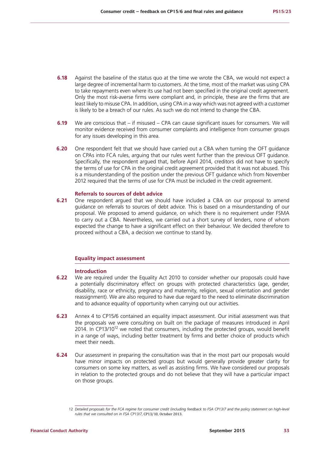- **6.18** Against the baseline of the status quo at the time we wrote the CBA, we would not expect a large degree of incremental harm to customers. At the time, most of the market was using CPA to take repayments even where its use had not been specified in the original credit agreement. Only the most risk-averse firms were compliant and, in principle, these are the firms that are least likely to misuse CPA. In addition, using CPA in a way which was not agreed with a customer is likely to be a breach of our rules. As such we do not intend to change the CBA.
- **6.19** We are conscious that if misused CPA can cause significant issues for consumers. We will monitor evidence received from consumer complaints and intelligence from consumer groups for any issues developing in this area.
- **6.20** One respondent felt that we should have carried out a CBA when turning the OFT guidance on CPAs into FCA rules, arguing that our rules went further than the previous OFT guidance. Specifically, the respondent argued that, before April 2014, creditors did not have to specify the terms of use for CPA in the original credit agreement provided that it was not abused. This is a misunderstanding of the position under the previous OFT guidance which from November 2012 required that the terms of use for CPA must be included in the credit agreement.

### **Referrals to sources of debt advice**

**6.21** One respondent argued that we should have included a CBA on our proposal to amend guidance on referrals to sources of debt advice. This is based on a misunderstanding of our proposal. We proposed to amend guidance, on which there is no requirement under FSMA to carry out a CBA. Nevertheless, we carried out a short survey of lenders, none of whom expected the change to have a significant effect on their behaviour. We decided therefore to proceed without a CBA, a decision we continue to stand by.

### **Equality impact assessment**

#### **Introduction**

- **6.22** We are required under the Equality Act 2010 to consider whether our proposals could have a potentially discriminatory effect on groups with protected characteristics (age, gender, disability, race or ethnicity, pregnancy and maternity, religion, sexual orientation and gender reassignment). We are also required to have due regard to the need to eliminate discrimination and to advance equality of opportunity when carrying out our activities.
- **6.23** Annex 4 to CP15/6 contained an equality impact assessment. Our initial assessment was that the proposals we were consulting on built on the package of measures introduced in April 2014. In CP13/10<sup>12</sup> we noted that consumers, including the protected groups, would benefit in a range of ways, including better treatment by firms and better choice of products which meet their needs.
- **6.24** Our assessment in preparing the consultation was that in the most part our proposals would have minor impacts on protected groups but would generally provide greater clarity for consumers on some key matters, as well as assisting firms. We have considered our proposals in relation to the protected groups and do not believe that they will have a particular impact on those groups.

<sup>12</sup> *Detailed proposals for the FCA regime for consumer credit (including feedback to FSA CP13/7 and the policy statement on high-level rules that we consulted on in FSA CP13/7*, CP13/10, October 2013.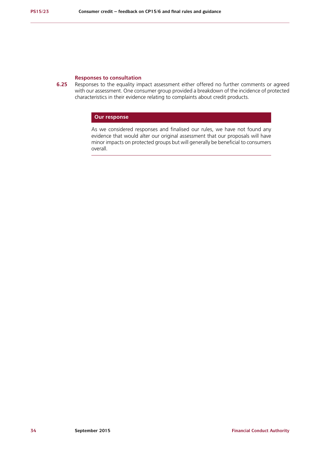### **Responses to consultation**

**6.25** Responses to the equality impact assessment either offered no further comments or agreed with our assessment. One consumer group provided a breakdown of the incidence of protected characteristics in their evidence relating to complaints about credit products.

# **Our response**

As we considered responses and finalised our rules, we have not found any evidence that would alter our original assessment that our proposals will have minor impacts on protected groups but will generally be beneficial to consumers overall.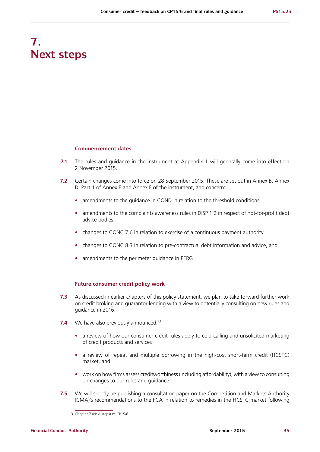# **7. Next steps**

#### **Commencement dates**

- **7.1** The rules and quidance in the instrument at Appendix 1 will generally come into effect on 2 November 2015.
- **7.2** Certain changes come into force on 28 September 2015. These are set out in Annex B, Annex D, Part 1 of Annex E and Annex F of the instrument, and concern:
	- **•** amendments to the guidance in COND in relation to the threshold conditions
	- amendments to the complaints awareness rules in DISP 1.2 in respect of not-for-profit debt advice bodies
	- **•** changes to CONC 7.6 in relation to exercise of a continuous payment authority
	- **•** changes to CONC 8.3 in relation to pre-contractual debt information and advice, and
	- **•** amendments to the perimeter guidance in PERG

#### **Future consumer credit policy work**

- **7.3** As discussed in earlier chapters of this policy statement, we plan to take forward further work on credit broking and guarantor lending with a view to potentially consulting on new rules and guidance in 2016.
- **7.4** We have also previously announced:<sup>13</sup>
	- **•** a review of how our consumer credit rules apply to cold-calling and unsolicited marketing of credit products and services
	- **•** a review of repeat and multiple borrowing in the high-cost short-term credit (HCSTC) market, and
	- work on how firms assess creditworthiness (including affordability), with a view to consulting on changes to our rules and guidance
- **7.5** We will shortly be publishing a consultation paper on the Competition and Markets Authority (CMA)'s recommendations to the FCA in relation to remedies in the HCSTC market following

<sup>13</sup> Chapter 7 (Next steps) of CP15/6.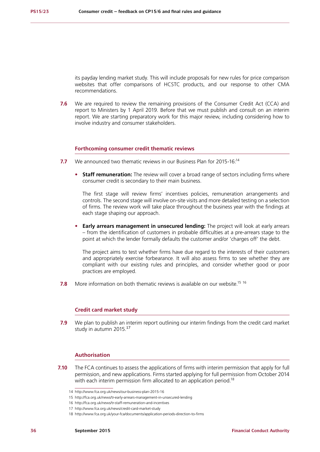its payday lending market study. This will include proposals for new rules for price comparison websites that offer comparisons of HCSTC products, and our response to other CMA recommendations.

**7.6** We are required to review the remaining provisions of the Consumer Credit Act (CCA) and report to Ministers by 1 April 2019. Before that we must publish and consult on an interim report. We are starting preparatory work for this major review, including considering how to involve industry and consumer stakeholders.

#### **Forthcoming consumer credit thematic reviews**

- **7.7** We announced two thematic reviews in our Business Plan for 2015-16:14
	- **• Staff remuneration:** The review will cover a broad range of sectors including firms where consumer credit is secondary to their main business.

The first stage will review firms' incentives policies, remuneration arrangements and controls. The second stage will involve on-site visits and more detailed testing on a selection of firms. The review work will take place throughout the business year with the findings at each stage shaping our approach.

**• Early arrears management in unsecured lending:** The project will look at early arrears – from the identification of customers in probable difficulties at a pre-arrears stage to the point at which the lender formally defaults the customer and/or 'charges off' the debt.

The project aims to test whether firms have due regard to the interests of their customers and appropriately exercise forbearance. It will also assess firms to see whether they are compliant with our existing rules and principles, and consider whether good or poor practices are employed.

**7.8** More information on both thematic reviews is available on our website.<sup>15 16</sup>

#### **Credit card market study**

**7.9** We plan to publish an interim report outlining our interim findings from the credit card market study in autumn 2015.<sup>17</sup>

#### **Authorisation**

**7.10** The FCA continues to assess the applications of firms with interim permission that apply for full permission, and new applications. Firms started applying for full permission from October 2014 with each interim permission firm allocated to an application period.<sup>18</sup>

<sup>14</sup> http://www.fca.org.uk/news/our-business-plan-2015-16

<sup>15</sup> http://fca.org.uk/news/tr-early-arrears-management-in-unsecured-lending

<sup>16</sup> http://fca.org.uk/news/tr-staff-remuneration-and-incentives

<sup>17</sup> http://www.fca.org.uk/news/credit-card-market-study

<sup>18</sup> http://www.fca.org.uk/your-fca/documents/application-periods-direction-to-firms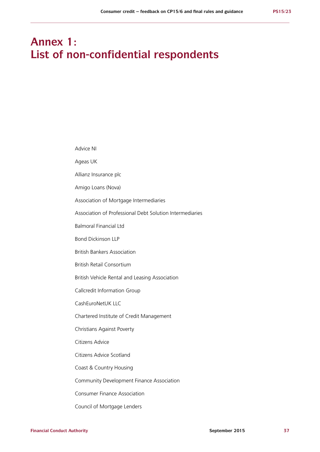# **Annex 1: List of non-confidential respondents**

| Advice NI                                                |
|----------------------------------------------------------|
| Ageas UK                                                 |
| Allianz Insurance plc                                    |
| Amigo Loans (Nova)                                       |
| Association of Mortgage Intermediaries                   |
| Association of Professional Debt Solution Intermediaries |
| <b>Balmoral Financial Ltd</b>                            |
| <b>Bond Dickinson LLP</b>                                |
| <b>British Bankers Association</b>                       |
| <b>British Retail Consortium</b>                         |
| British Vehicle Rental and Leasing Association           |
| Callcredit Information Group                             |
| CashEuroNetUK LLC                                        |
| Chartered Institute of Credit Management                 |
| Christians Against Poverty                               |
| Citizens Advice                                          |
| Citizens Advice Scotland                                 |
| Coast & Country Housing                                  |
| Community Development Finance Association                |
| <b>Consumer Finance Association</b>                      |
| Council of Mortgage Lenders                              |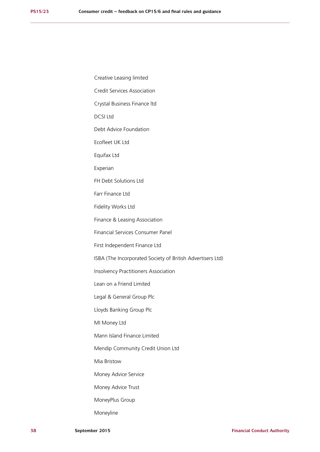Creative Leasing limited Credit Services Association Crystal Business Finance ltd DCSI Ltd Debt Advice Foundation Ecofleet UK Ltd Equifax Ltd Experian FH Debt Solutions Ltd Farr Finance Ltd Fidelity Works Ltd Finance & Leasing Association Financial Services Consumer Panel First Independent Finance Ltd ISBA (The Incorporated Society of British Advertisers Ltd) Insolvency Practitioners Association Lean on a Friend Limited Legal & General Group Plc Lloyds Banking Group Plc MI Money Ltd Mann Island Finance Limited Mendip Community Credit Union Ltd Mia Bristow Money Advice Service Money Advice Trust MoneyPlus Group

Moneyline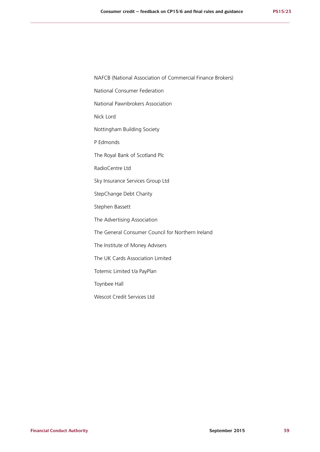NAFCB (National Association of Commercial Finance Brokers)

National Consumer Federation

National Pawnbrokers Association

Nick Lord

Nottingham Building Society

P Edmonds

The Royal Bank of Scotland Plc

RadioCentre Ltd

Sky Insurance Services Group Ltd

StepChange Debt Charity

Stephen Bassett

The Advertising Association

The General Consumer Council for Northern Ireland

The Institute of Money Advisers

The UK Cards Association Limited

Totemic Limited t/a PayPlan

Toynbee Hall

Wescot Credit Services Ltd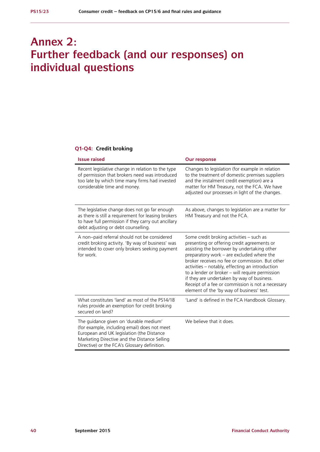# **Annex 2: Further feedback (and our responses) on individual questions**

#### **Q1-Q4: Credit broking**

| <b>Issue raised</b>                                                                                                                                                                                                                 | <b>Our response</b>                                                                                                                                                                                                                                                                                                                                                                                                                                                                          |
|-------------------------------------------------------------------------------------------------------------------------------------------------------------------------------------------------------------------------------------|----------------------------------------------------------------------------------------------------------------------------------------------------------------------------------------------------------------------------------------------------------------------------------------------------------------------------------------------------------------------------------------------------------------------------------------------------------------------------------------------|
| Recent legislative change in relation to the type<br>of permission that brokers need was introduced<br>too late by which time many firms had invested<br>considerable time and money.                                               | Changes to legislation (for example in relation<br>to the treatment of domestic premises suppliers<br>and the instalment credit exemption) are a<br>matter for HM Treasury, not the FCA. We have<br>adjusted our processes in light of the changes.                                                                                                                                                                                                                                          |
| The legislative change does not go far enough<br>as there is still a requirement for leasing brokers<br>to have full permission if they carry out ancillary<br>debt adjusting or debt counselling.                                  | As above, changes to legislation are a matter for<br>HM Treasury and not the FCA.                                                                                                                                                                                                                                                                                                                                                                                                            |
| A non-paid referral should not be considered<br>credit broking activity. 'By way of business' was<br>intended to cover only brokers seeking payment<br>for work.                                                                    | Some credit broking activities - such as<br>presenting or offering credit agreements or<br>assisting the borrower by undertaking other<br>preparatory work - are excluded where the<br>broker receives no fee or commission. But other<br>activities - notably, effecting an introduction<br>to a lender or broker - will require permission<br>if they are undertaken by way of business.<br>Receipt of a fee or commission is not a necessary<br>element of the 'by way of business' test. |
| What constitutes 'land' as most of the PS14/18<br>rules provide an exemption for credit broking<br>secured on land?                                                                                                                 | 'Land' is defined in the FCA Handbook Glossary.                                                                                                                                                                                                                                                                                                                                                                                                                                              |
| The guidance given on 'durable medium'<br>(for example, including email) does not meet<br>European and UK legislation (the Distance<br>Marketing Directive and the Distance Selling<br>Directive) or the FCA's Glossary definition. | We believe that it does.                                                                                                                                                                                                                                                                                                                                                                                                                                                                     |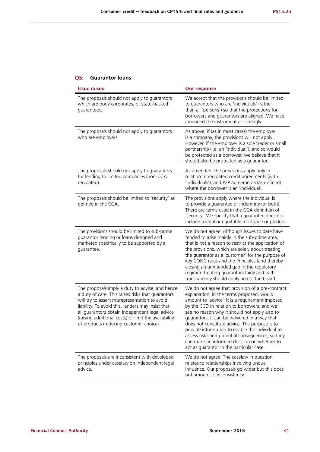#### **Q5: Guarantor loans**

| <b>Issue raised</b>                                                                                                                                                                                                                                                                                                                                             | <b>Our response</b>                                                                                                                                                                                                                                                                                                                                                                                                                                                                                                                                  |
|-----------------------------------------------------------------------------------------------------------------------------------------------------------------------------------------------------------------------------------------------------------------------------------------------------------------------------------------------------------------|------------------------------------------------------------------------------------------------------------------------------------------------------------------------------------------------------------------------------------------------------------------------------------------------------------------------------------------------------------------------------------------------------------------------------------------------------------------------------------------------------------------------------------------------------|
| The proposals should not apply to guarantors<br>which are body corporates, or state-backed<br>guarantees.                                                                                                                                                                                                                                                       | We accept that the provisions should be limited<br>to guarantors who are 'individuals' (rather<br>than all 'persons') so that the protections for<br>borrowers and guarantors are aligned. We have<br>amended the instrument accordingly.                                                                                                                                                                                                                                                                                                            |
| The proposals should not apply to guarantors<br>who are employers.                                                                                                                                                                                                                                                                                              | As above, if (as in most cases) the employer<br>is a company, the provisions will not apply.<br>However, if the employer is a sole trader or small<br>partnership (i.e. an 'individual'), and so would<br>be protected as a borrower, we believe that it<br>should also be protected as a quarantor.                                                                                                                                                                                                                                                 |
| The proposals should not apply to guarantors<br>for lending to limited companies (non-CCA<br>regulated).                                                                                                                                                                                                                                                        | As amended, the provisions apply only in<br>relation to regulated credit agreements (with<br>'individuals'), and P2P agreements (as defined)<br>where the borrower is an 'individual'.                                                                                                                                                                                                                                                                                                                                                               |
| The proposals should be limited to 'security' as<br>defined in the CCA.                                                                                                                                                                                                                                                                                         | The provisions apply where the individual is<br>to provide a guarantee or indemnity (or both).<br>There are terms used in the CCA definition of<br>'security'. We specify that a guarantee does not<br>include a legal or equitable mortgage or pledge.                                                                                                                                                                                                                                                                                              |
| The provisions should be limited to sub-prime<br>guarantor lending or loans designed and<br>marketed specifically to be supported by a<br>guarantee.                                                                                                                                                                                                            | We do not agree. Although issues to date have<br>tended to arise mainly in the sub-prime area,<br>that is not a reason to restrict the application of<br>the provisions, which are solely about treating<br>the guarantor as a 'customer' for the purpose of<br>key CONC rules and the Principles (and thereby<br>closing an unintended gap in the regulatory<br>regime). Treating guarantors fairly and with<br>transparency should apply across the board.                                                                                         |
| The proposals imply a duty to advise, and hence<br>a duty of care. This raises risks that guarantors<br>will try to assert misrepresentation to avoid<br>liability. To avoid this, lenders may insist that<br>all guarantors obtain independent legal advice<br>(raising additional costs) or limit the availability<br>of products (reducing customer choice). | We do not agree that provision of a pre-contract<br>explanation, in the terms proposed, would<br>amount to 'advice'. It is a requirement imposed<br>by the CCD in relation to borrowers, and we<br>see no reason why it should not apply also to<br>guarantors. It can be delivered in a way that<br>does not constitute advice. The purpose is to<br>provide information to enable the individual to<br>assess risks and potential consequences, so they<br>can make an informed decision on whether to<br>act as guarantor in the particular case. |
| The proposals are inconsistent with developed<br>principles under caselaw on independent legal<br>advice.                                                                                                                                                                                                                                                       | We do not agree. The caselaw in question<br>relates to relationships involving undue<br>influence. Our proposals go wider but this does<br>not amount to inconsistency.                                                                                                                                                                                                                                                                                                                                                                              |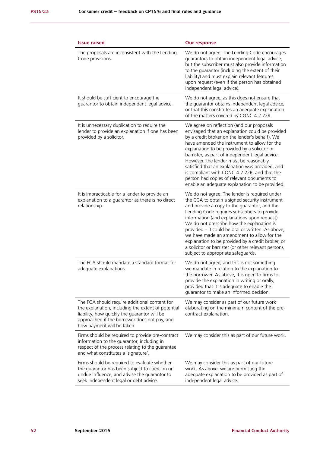| <b>Issue raised</b>                                                                                                                                                                                                               | <b>Our response</b>                                                                                                                                                                                                                                                                                                                                                                                                                                                                                                                                 |
|-----------------------------------------------------------------------------------------------------------------------------------------------------------------------------------------------------------------------------------|-----------------------------------------------------------------------------------------------------------------------------------------------------------------------------------------------------------------------------------------------------------------------------------------------------------------------------------------------------------------------------------------------------------------------------------------------------------------------------------------------------------------------------------------------------|
| The proposals are inconsistent with the Lending<br>Code provisions.                                                                                                                                                               | We do not agree. The Lending Code encourages<br>guarantors to obtain independent legal advice,<br>but the subscriber must also provide information<br>to the guarantor (including the extent of their<br>liability) and must explain relevant features<br>upon request (even if the person has obtained<br>independent legal advice).                                                                                                                                                                                                               |
| It should be sufficient to encourage the<br>guarantor to obtain independent legal advice.                                                                                                                                         | We do not agree, as this does not ensure that<br>the guarantor obtains independent legal advice,<br>or that this constitutes an adequate explanation<br>of the matters covered by CONC 4.2.22R.                                                                                                                                                                                                                                                                                                                                                     |
| It is unnecessary duplication to require the<br>lender to provide an explanation if one has been<br>provided by a solicitor.                                                                                                      | We agree on reflection (and our proposals<br>envisaged that an explanation could be provided<br>by a credit broker on the lender's behalf). We<br>have amended the instrument to allow for the<br>explanation to be provided by a solicitor or<br>barrister, as part of independent legal advice.<br>However, the lender must be reasonably<br>satisfied that an explanation was provided, and<br>is compliant with CONC 4.2.22R, and that the<br>person had copies of relevant documents to<br>enable an adequate explanation to be provided.      |
| It is impracticable for a lender to provide an<br>explanation to a guarantor as there is no direct<br>relationship.                                                                                                               | We do not agree. The lender is required under<br>the CCA to obtain a signed security instrument<br>and provide a copy to the guarantor, and the<br>Lending Code requires subscribers to provide<br>information (and explanations upon request).<br>We do not prescribe how the explanation is<br>provided - it could be oral or written. As above,<br>we have made an amendment to allow for the<br>explanation to be provided by a credit broker, or<br>a solicitor or barrister (or other relevant person),<br>subject to appropriate safeguards. |
| The FCA should mandate a standard format for<br>adequate explanations.                                                                                                                                                            | We do not agree, and this is not something<br>we mandate in relation to the explanation to<br>the borrower. As above, it is open to firms to<br>provide the explanation in writing or orally,<br>provided that it is adequate to enable the<br>guarantor to make an informed decision.                                                                                                                                                                                                                                                              |
| The FCA should require additional content for<br>the explanation, including the extent of potential<br>liability, how quickly the guarantor will be<br>approached if the borrower does not pay, and<br>how payment will be taken. | We may consider as part of our future work<br>elaborating on the minimum content of the pre-<br>contract explanation.                                                                                                                                                                                                                                                                                                                                                                                                                               |
| Firms should be required to provide pre-contract<br>information to the guarantor, including in<br>respect of the process relating to the guarantee<br>and what constitutes a 'signature'.                                         | We may consider this as part of our future work.                                                                                                                                                                                                                                                                                                                                                                                                                                                                                                    |
| Firms should be required to evaluate whether<br>the guarantor has been subject to coercion or<br>undue influence, and advise the guarantor to<br>seek independent legal or debt advice.                                           | We may consider this as part of our future<br>work. As above, we are permitting the<br>adequate explanation to be provided as part of<br>independent legal advice.                                                                                                                                                                                                                                                                                                                                                                                  |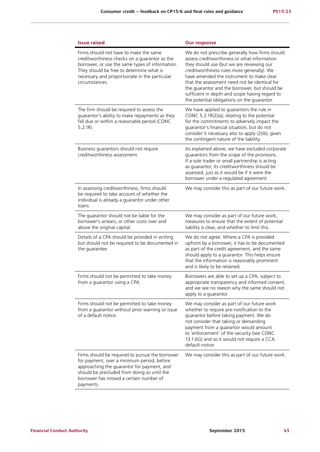| <b>Issue raised</b>                                                                                                                                                                                                                                       | <b>Our response</b>                                                                                                                                                                                                                                                                                                                                                                                                                      |
|-----------------------------------------------------------------------------------------------------------------------------------------------------------------------------------------------------------------------------------------------------------|------------------------------------------------------------------------------------------------------------------------------------------------------------------------------------------------------------------------------------------------------------------------------------------------------------------------------------------------------------------------------------------------------------------------------------------|
| Firms should not have to make the same<br>creditworthiness checks on a guarantor as the<br>borrower, or use the same types of information.<br>They should be free to determine what is<br>necessary and proportionate in the particular<br>circumstances. | We do not prescribe generally how firms should<br>assess creditworthiness or what information<br>they should use (but we are reviewing our<br>creditworthiness rules more generally). We<br>have amended the instrument to make clear<br>that the assessment need not be identical for<br>the quarantor and the borrower, but should be<br>sufficient in depth and scope having regard to<br>the potential obligations on the guarantor. |
| The firm should be required to assess the<br>guarantor's ability to make repayments as they<br>fall due or within a reasonable period (CONC<br>$5.2.1R$ ).                                                                                                | We have applied to guarantors the rule in<br>CONC 5.2.1R(2)(a), relating to the potential<br>for the commitments to adversely impact the<br>guarantor's financial situation, but do not<br>consider it necessary also to apply (2)(b), given<br>the contingent nature of the liability.                                                                                                                                                  |
| Business guarantors should not require<br>creditworthiness assessment.                                                                                                                                                                                    | As explained above, we have excluded corporate<br>guarantors from the scope of the provisions.<br>If a sole trader or small partnership is acting<br>as guarantor, its creditworthiness should be<br>assessed, just as it would be if it were the<br>borrower under a regulated agreement.                                                                                                                                               |
| In assessing creditworthiness, firms should<br>be required to take account of whether the<br>individual is already a guarantor under other<br>loans.                                                                                                      | We may consider this as part of our future work.                                                                                                                                                                                                                                                                                                                                                                                         |
| The guarantor should not be liable for the<br>borrower's arrears, or other costs over and<br>above the original capital.                                                                                                                                  | We may consider as part of our future work,<br>measures to ensure that the extent of potential<br>liability is clear, and whether to limit this.                                                                                                                                                                                                                                                                                         |
| Details of a CPA should be provided in writing<br>but should not be required to be documented in<br>the guarantee.                                                                                                                                        | We do not agree. Where a CPA is provided<br>upfront by a borrower, it has to be documented<br>as part of the credit agreement, and the same<br>should apply to a guarantor. This helps ensure<br>that the information is reasonably prominent<br>and is likely to be retained.                                                                                                                                                           |
| Firms should not be permitted to take money<br>from a guarantor using a CPA.                                                                                                                                                                              | Borrowers are able to set up a CPA, subject to<br>appropriate transparency and informed consent,<br>and we see no reason why the same should not<br>apply to a guarantor.                                                                                                                                                                                                                                                                |
| Firms should not be permitted to take money<br>from a guarantor without prior warning or issue<br>of a default notice.                                                                                                                                    | We may consider as part of our future work<br>whether to require pre-notification to the<br>guarantor before taking payment. We do<br>not consider that taking or demanding<br>payment from a guarantor would amount<br>to 'enforcement' of the security (see CONC<br>13.1.6G) and so it would not require a CCA<br>default notice.                                                                                                      |
| Firms should be required to pursue the borrower<br>for payment, over a minimum period, before<br>approaching the guarantor for payment, and<br>should be precluded from doing so until the<br>borrower has missed a certain number of<br>payments.        | We may consider this as part of our future work.                                                                                                                                                                                                                                                                                                                                                                                         |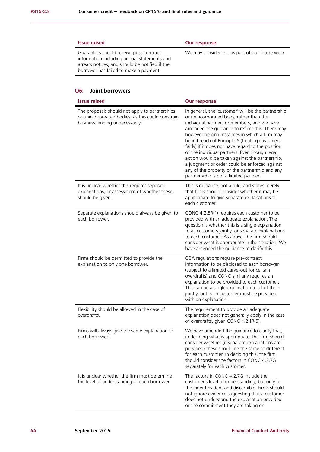| <b>Issue raised</b>                                                                                                                                                                | Our response                                     |
|------------------------------------------------------------------------------------------------------------------------------------------------------------------------------------|--------------------------------------------------|
| Guarantors should receive post-contract<br>information including annual statements and<br>arrears notices, and should be notified if the<br>borrower has failed to make a payment. | We may consider this as part of our future work. |

#### **Q6: Joint borrowers**

| <b>Issue raised</b>                                                                                                                    | <b>Our response</b>                                                                                                                                                                                                                                                                                                                                                                                                                                                                                                                                                                                     |
|----------------------------------------------------------------------------------------------------------------------------------------|---------------------------------------------------------------------------------------------------------------------------------------------------------------------------------------------------------------------------------------------------------------------------------------------------------------------------------------------------------------------------------------------------------------------------------------------------------------------------------------------------------------------------------------------------------------------------------------------------------|
| The proposals should not apply to partnerships<br>or unincorporated bodies, as this could constrain<br>business lending unnecessarily. | In general, the 'customer' will be the partnership<br>or unincorporated body, rather than the<br>individual partners or members, and we have<br>amended the guidance to reflect this. There may<br>however be circumstances in which a firm may<br>be in breach of Principle 6 (treating customers<br>fairly) if it does not have regard to the position<br>of the individual partners. Even though legal<br>action would be taken against the partnership,<br>a judgment or order could be enforced against<br>any of the property of the partnership and any<br>partner who is not a limited partner. |
| It is unclear whether this requires separate<br>explanations, or assessment of whether these<br>should be given.                       | This is guidance, not a rule, and states merely<br>that firms should consider whether it may be<br>appropriate to give separate explanations to<br>each customer.                                                                                                                                                                                                                                                                                                                                                                                                                                       |
| Separate explanations should always be given to<br>each borrower.                                                                      | CONC 4.2.5R(1) requires each customer to be<br>provided with an adequate explanation. The<br>question is whether this is a single explanation<br>to all customers jointly, or separate explanations<br>to each customer. As above, the firm should<br>consider what is appropriate in the situation. We<br>have amended the guidance to clarify this.                                                                                                                                                                                                                                                   |
| Firms should be permitted to provide the<br>explanation to only one borrower.                                                          | CCA regulations require pre-contract<br>information to be disclosed to each borrower<br>(subject to a limited carve-out for certain<br>overdrafts) and CONC similarly requires an<br>explanation to be provided to each customer.<br>This can be a single explanation to all of them<br>jointly, but each customer must be provided<br>with an explanation.                                                                                                                                                                                                                                             |
| Flexibility should be allowed in the case of<br>overdrafts.                                                                            | The requirement to provide an adequate<br>explanation does not generally apply in the case<br>of overdrafts, given CONC 4.2.1R(5).                                                                                                                                                                                                                                                                                                                                                                                                                                                                      |
| Firms will always give the same explanation to<br>each borrower.                                                                       | We have amended the guidance to clarify that,<br>in deciding what is appropriate, the firm should<br>consider whether (if separate explanations are<br>provided) these should be the same or different<br>for each customer. In deciding this, the firm<br>should consider the factors in CONC 4.2.7G<br>separately for each customer.                                                                                                                                                                                                                                                                  |
| It is unclear whether the firm must determine<br>the level of understanding of each borrower.                                          | The factors in CONC 4.2.7G include the<br>customer's level of understanding, but only to<br>the extent evident and discernible. Firms should<br>not ignore evidence suggesting that a customer<br>does not understand the explanation provided<br>or the commitment they are taking on.                                                                                                                                                                                                                                                                                                                 |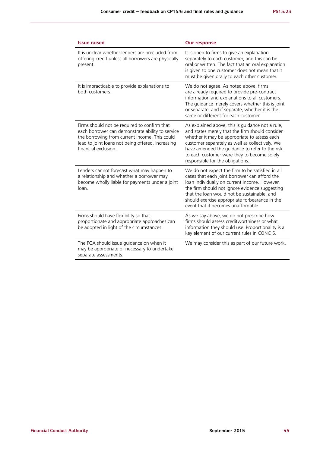| <b>Issue raised</b>                                                                                                                                                                                                            | <b>Our response</b>                                                                                                                                                                                                                                                                                                                          |
|--------------------------------------------------------------------------------------------------------------------------------------------------------------------------------------------------------------------------------|----------------------------------------------------------------------------------------------------------------------------------------------------------------------------------------------------------------------------------------------------------------------------------------------------------------------------------------------|
| It is unclear whether lenders are precluded from<br>offering credit unless all borrowers are physically<br>present.                                                                                                            | It is open to firms to give an explanation<br>separately to each customer, and this can be<br>oral or written. The fact that an oral explanation<br>is given to one customer does not mean that it<br>must be given orally to each other customer.                                                                                           |
| It is impracticable to provide explanations to<br>both customers.                                                                                                                                                              | We do not agree. As noted above, firms<br>are already required to provide pre-contract<br>information and explanations to all customers.<br>The guidance merely covers whether this is joint<br>or separate, and if separate, whether it is the<br>same or different for each customer.                                                      |
| Firms should not be required to confirm that<br>each borrower can demonstrate ability to service<br>the borrowing from current income. This could<br>lead to joint loans not being offered, increasing<br>financial exclusion. | As explained above, this is guidance not a rule,<br>and states merely that the firm should consider<br>whether it may be appropriate to assess each<br>customer separately as well as collectively. We<br>have amended the guidance to refer to the risk<br>to each customer were they to become solely<br>responsible for the obligations.  |
| Lenders cannot forecast what may happen to<br>a relationship and whether a borrower may<br>become wholly liable for payments under a joint<br>loan.                                                                            | We do not expect the firm to be satisfied in all<br>cases that each joint borrower can afford the<br>loan individually on current income. However,<br>the firm should not ignore evidence suggesting<br>that the loan would not be sustainable, and<br>should exercise appropriate forbearance in the<br>event that it becomes unaffordable. |
| Firms should have flexibility so that<br>proportionate and appropriate approaches can<br>be adopted in light of the circumstances.                                                                                             | As we say above, we do not prescribe how<br>firms should assess creditworthiness or what<br>information they should use. Proportionality is a<br>key element of our current rules in CONC 5.                                                                                                                                                 |
| The FCA should issue guidance on when it<br>may be appropriate or necessary to undertake<br>separate assessments.                                                                                                              | We may consider this as part of our future work.                                                                                                                                                                                                                                                                                             |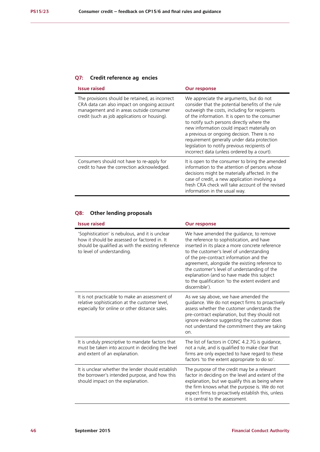## **Q7: Credit reference ag encies**

| <b>Issue raised</b>                                                                                                                                                                         | <b>Our response</b>                                                                                                                                                                                                                                                                                                                                                                                                                                                                   |
|---------------------------------------------------------------------------------------------------------------------------------------------------------------------------------------------|---------------------------------------------------------------------------------------------------------------------------------------------------------------------------------------------------------------------------------------------------------------------------------------------------------------------------------------------------------------------------------------------------------------------------------------------------------------------------------------|
| The provisions should be retained, as incorrect<br>CRA data can also impact on ongoing account<br>management and in areas outside consumer<br>credit (such as job applications or housing). | We appreciate the arguments, but do not<br>consider that the potential benefits of the rule<br>outweigh the costs, including for recipients<br>of the information. It is open to the consumer<br>to notify such persons directly where the<br>new information could impact materially on<br>a previous or ongoing decision. There is no<br>requirement generally under data protection<br>legislation to notify previous recipients of<br>incorrect data (unless ordered by a court). |
| Consumers should not have to re-apply for<br>credit to have the correction acknowledged.                                                                                                    | It is open to the consumer to bring the amended<br>information to the attention of persons whose<br>decisions might be materially affected. In the<br>case of credit, a new application involving a<br>fresh CRA check will take account of the revised<br>information in the usual way.                                                                                                                                                                                              |

## **Q8: Other lending proposals**

| <b>Issue raised</b>                                                                                                                                                                 | <b>Our response</b>                                                                                                                                                                                                                                                                                                                                                                                                                                 |
|-------------------------------------------------------------------------------------------------------------------------------------------------------------------------------------|-----------------------------------------------------------------------------------------------------------------------------------------------------------------------------------------------------------------------------------------------------------------------------------------------------------------------------------------------------------------------------------------------------------------------------------------------------|
| 'Sophistication' is nebulous, and it is unclear<br>how it should be assessed or factored in. It<br>should be qualified as with the existing reference<br>to level of understanding. | We have amended the guidance, to remove<br>the reference to sophistication, and have<br>inserted in its place a more concrete reference<br>to the customer's level of understanding<br>of the pre-contract information and the<br>agreement, alongside the existing reference to<br>the customer's level of understanding of the<br>explanation (and so have made this subject<br>to the qualification 'to the extent evident and<br>discernible'). |
| It is not practicable to make an assessment of<br>relative sophistication at the customer level,<br>especially for online or other distance sales.                                  | As we say above, we have amended the<br>guidance. We do not expect firms to proactively<br>assess whether the customer understands the<br>pre-contract explanation, but they should not<br>ignore evidence suggesting the customer does<br>not understand the commitment they are taking<br>on.                                                                                                                                                     |
| It is unduly prescriptive to mandate factors that<br>must be taken into account in deciding the level<br>and extent of an explanation.                                              | The list of factors in CONC 4.2.7G is guidance,<br>not a rule, and is qualified to make clear that<br>firms are only expected to have regard to these<br>factors 'to the extent appropriate to do so'.                                                                                                                                                                                                                                              |
| It is unclear whether the lender should establish<br>the borrower's intended purpose, and how this<br>should impact on the explanation.                                             | The purpose of the credit may be a relevant<br>factor in deciding on the level and extent of the<br>explanation, but we qualify this as being where<br>the firm knows what the purpose is. We do not<br>expect firms to proactively establish this, unless<br>it is central to the assessment.                                                                                                                                                      |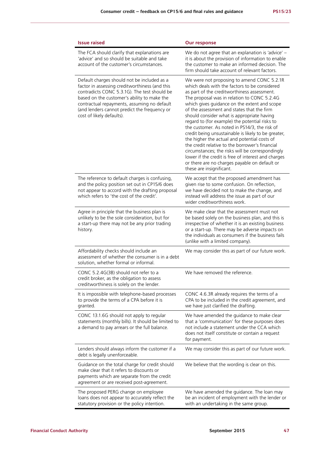| <b>Issue raised</b>                                                                                                                                                                                                                                                                                                      | <b>Our response</b>                                                                                                                                                                                                                                                                                                                                                                                                                                                                                                                                                                                                                                                                                                                                                                        |
|--------------------------------------------------------------------------------------------------------------------------------------------------------------------------------------------------------------------------------------------------------------------------------------------------------------------------|--------------------------------------------------------------------------------------------------------------------------------------------------------------------------------------------------------------------------------------------------------------------------------------------------------------------------------------------------------------------------------------------------------------------------------------------------------------------------------------------------------------------------------------------------------------------------------------------------------------------------------------------------------------------------------------------------------------------------------------------------------------------------------------------|
| The FCA should clarify that explanations are<br>'advice' and so should be suitable and take<br>account of the customer's circumstances.                                                                                                                                                                                  | We do not agree that an explanation is 'advice' -<br>it is about the provision of information to enable<br>the customer to make an informed decision. The<br>firm should take account of relevant factors.                                                                                                                                                                                                                                                                                                                                                                                                                                                                                                                                                                                 |
| Default charges should not be included as a<br>factor in assessing creditworthiness (and this<br>contradicts CONC 5.3.1G). The test should be<br>based on the customer's ability to make the<br>contractual repayments, assuming no default<br>(and lenders cannot predict the frequency or<br>cost of likely defaults). | We were not proposing to amend CONC 5.2.1R<br>which deals with the factors to be considered<br>as part of the creditworthiness assessment.<br>The proposal was in relation to CONC 5.2.4G<br>which gives guidance on the extent and scope<br>of the assessment and states that the firm<br>should consider what is appropriate having<br>regard to (for example) the potential risks to<br>the customer. As noted in PS14/3, the risk of<br>credit being unsustainable is likely to be greater,<br>the higher the actual and potential costs of<br>the credit relative to the borrower's financial<br>circumstances; the risks will be correspondingly<br>lower if the credit is free of interest and charges<br>or there are no charges payable on default or<br>these are insignificant. |
| The reference to default charges is confusing,<br>and the policy position set out in CP15/6 does<br>not appear to accord with the drafting proposal<br>which refers to 'the cost of the credit'.                                                                                                                         | We accept that the proposed amendment has<br>given rise to some confusion. On reflection,<br>we have decided not to make the change, and<br>instead will address the issue as part of our<br>wider creditworthiness work.                                                                                                                                                                                                                                                                                                                                                                                                                                                                                                                                                                  |
| Agree in principle that the business plan is<br>unlikely to be the sole consideration, but for<br>a start-up there may not be any prior trading<br>history.                                                                                                                                                              | We make clear that the assessment must not<br>be based solely on the business plan, and this is<br>irrespective of whether it is an existing business<br>or a start-up. There may be adverse impacts on<br>the individuals as consumers if the business fails<br>(unlike with a limited company).                                                                                                                                                                                                                                                                                                                                                                                                                                                                                          |
| Affordability checks should include an<br>assessment of whether the consumer is in a debt<br>solution, whether formal or informal.                                                                                                                                                                                       | We may consider this as part of our future work.                                                                                                                                                                                                                                                                                                                                                                                                                                                                                                                                                                                                                                                                                                                                           |
| CONC 5.2.4G(3B) should not refer to a<br>credit broker, as the obligation to assess<br>creditworthiness is solely on the lender.                                                                                                                                                                                         | We have removed the reference.                                                                                                                                                                                                                                                                                                                                                                                                                                                                                                                                                                                                                                                                                                                                                             |
| It is impossible with telephone-based processes<br>to provide the terms of a CPA before it is<br>granted.                                                                                                                                                                                                                | CONC 4.6.3R already requires the terms of a<br>CPA to be included in the credit agreement, and<br>we have just clarified the drafting.                                                                                                                                                                                                                                                                                                                                                                                                                                                                                                                                                                                                                                                     |
| CONC 13.1.6G should not apply to regular<br>statements (monthly bills). It should be limited to<br>a demand to pay arrears or the full balance.                                                                                                                                                                          | We have amended the guidance to make clear<br>that a 'communication' for these purposes does<br>not include a statement under the CCA which<br>does not itself constitute or contain a request<br>for payment.                                                                                                                                                                                                                                                                                                                                                                                                                                                                                                                                                                             |
| Lenders should always inform the customer if a<br>debt is legally unenforceable.                                                                                                                                                                                                                                         | We may consider this as part of our future work.                                                                                                                                                                                                                                                                                                                                                                                                                                                                                                                                                                                                                                                                                                                                           |
| Guidance on the total charge for credit should<br>make clear that it refers to discounts or<br>payments which are separate from the credit<br>agreement or are received post-agreement.                                                                                                                                  | We believe that the wording is clear on this.                                                                                                                                                                                                                                                                                                                                                                                                                                                                                                                                                                                                                                                                                                                                              |
| The proposed PERG change on employee<br>loans does not appear to accurately reflect the<br>statutory provision or the policy intention.                                                                                                                                                                                  | We have amended the guidance. The loan may<br>be an incident of employment with the lender or<br>with an undertaking in the same group.                                                                                                                                                                                                                                                                                                                                                                                                                                                                                                                                                                                                                                                    |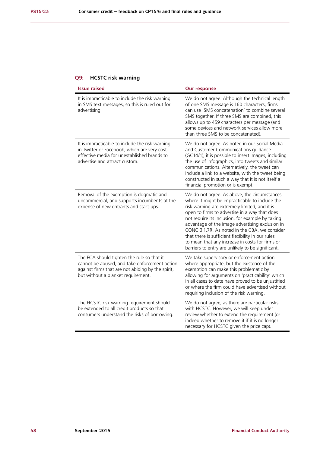## **Q9: HCSTC risk warning**

| <b>Issue raised</b>                                                                                                                                                                    | <b>Our response</b>                                                                                                                                                                                                                                                                                                                                                                                                                                                                                                   |
|----------------------------------------------------------------------------------------------------------------------------------------------------------------------------------------|-----------------------------------------------------------------------------------------------------------------------------------------------------------------------------------------------------------------------------------------------------------------------------------------------------------------------------------------------------------------------------------------------------------------------------------------------------------------------------------------------------------------------|
| It is impracticable to include the risk warning<br>in SMS text messages, so this is ruled out for<br>advertising.                                                                      | We do not agree. Although the technical length<br>of one SMS message is 160 characters, firms<br>can use 'SMS concatenation' to combine several<br>SMS together. If three SMS are combined, this<br>allows up to 459 characters per message (and<br>some devices and network services allow more<br>than three SMS to be concatenated).                                                                                                                                                                               |
| It is impracticable to include the risk warning<br>in Twitter or Facebook, which are very cost-<br>effective media for unestablished brands to<br>advertise and attract custom.        | We do not agree. As noted in our Social Media<br>and Customer Communications guidance<br>(GC14/1), it is possible to insert images, including<br>the use of infographics, into tweets and similar<br>communications. Alternatively, the tweet can<br>include a link to a website, with the tweet being<br>constructed in such a way that it is not itself a<br>financial promotion or is exempt.                                                                                                                      |
| Removal of the exemption is dogmatic and<br>uncommercial, and supports incumbents at the<br>expense of new entrants and start-ups.                                                     | We do not agree. As above, the circumstances<br>where it might be impracticable to include the<br>risk warning are extremely limited, and it is<br>open to firms to advertise in a way that does<br>not require its inclusion, for example by taking<br>advantage of the image advertising exclusion in<br>CONC 3.1.7R. As noted in the CBA, we consider<br>that there is sufficient flexibility in our rules<br>to mean that any increase in costs for firms or<br>barriers to entry are unlikely to be significant. |
| The FCA should tighten the rule so that it<br>cannot be abused, and take enforcement action<br>against firms that are not abiding by the spirit,<br>but without a blanket requirement. | We take supervisory or enforcement action<br>where appropriate, but the existence of the<br>exemption can make this problematic by<br>allowing for arguments on 'practicability' which<br>in all cases to date have proved to be unjustified<br>or where the firm could have advertised without<br>requiring inclusion of the risk warning.                                                                                                                                                                           |
| The HCSTC risk warning requirement should<br>be extended to all credit products so that<br>consumers understand the risks of borrowing.                                                | We do not agree, as there are particular risks<br>with HCSTC. However, we will keep under<br>review whether to extend the requirement (or<br>indeed whether to remove it if it is no longer<br>necessary for HCSTC given the price cap).                                                                                                                                                                                                                                                                              |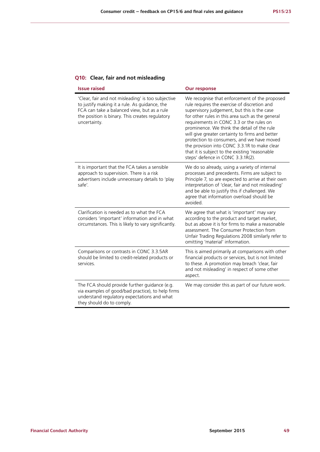|  |  |  |  |  |  | Q10: Clear, fair and not misleading |  |
|--|--|--|--|--|--|-------------------------------------|--|
|--|--|--|--|--|--|-------------------------------------|--|

| <b>Issue raised</b>                                                                                                                                                                                                   | <b>Our response</b>                                                                                                                                                                                                                                                                                                                                                                                                                                                                                                                 |
|-----------------------------------------------------------------------------------------------------------------------------------------------------------------------------------------------------------------------|-------------------------------------------------------------------------------------------------------------------------------------------------------------------------------------------------------------------------------------------------------------------------------------------------------------------------------------------------------------------------------------------------------------------------------------------------------------------------------------------------------------------------------------|
| 'Clear, fair and not misleading' is too subjective<br>to justify making it a rule. As guidance, the<br>FCA can take a balanced view, but as a rule<br>the position is binary. This creates regulatory<br>uncertainty. | We recognise that enforcement of the proposed<br>rule requires the exercise of discretion and<br>supervisory judgement, but this is the case<br>for other rules in this area such as the general<br>requirements in CONC 3.3 or the rules on<br>prominence. We think the detail of the rule<br>will give greater certainty to firms and better<br>protection to consumers, and we have moved<br>the provision into CONC 3.3.1R to make clear<br>that it is subject to the existing 'reasonable<br>steps' defence in CONC 3.3.1R(2). |
| It is important that the FCA takes a sensible<br>approach to supervision. There is a risk<br>advertisers include unnecessary details to 'play<br>safe'.                                                               | We do so already, using a variety of internal<br>processes and precedents. Firms are subject to<br>Principle 7, so are expected to arrive at their own<br>interpretation of 'clear, fair and not misleading'<br>and be able to justify this if challenged. We<br>agree that information overload should be<br>avoided.                                                                                                                                                                                                              |
| Clarification is needed as to what the FCA<br>considers 'important' information and in what<br>circumstances. This is likely to vary significantly.                                                                   | We agree that what is 'important' may vary<br>according to the product and target market,<br>but as above it is for firms to make a reasonable<br>assessment. The Consumer Protection from<br>Unfair Trading Regulations 2008 similarly refer to<br>omitting 'material' information.                                                                                                                                                                                                                                                |
| Comparisons or contrasts in CONC 3.3.5AR<br>should be limited to credit-related products or<br>services.                                                                                                              | This is aimed primarily at comparisons with other<br>financial products or services, but is not limited<br>to these. A promotion may breach 'clear, fair<br>and not misleading' in respect of some other<br>aspect.                                                                                                                                                                                                                                                                                                                 |
| The FCA should provide further guidance (e.g.<br>via examples of good/bad practice), to help firms<br>understand regulatory expectations and what<br>they should do to comply.                                        | We may consider this as part of our future work.                                                                                                                                                                                                                                                                                                                                                                                                                                                                                    |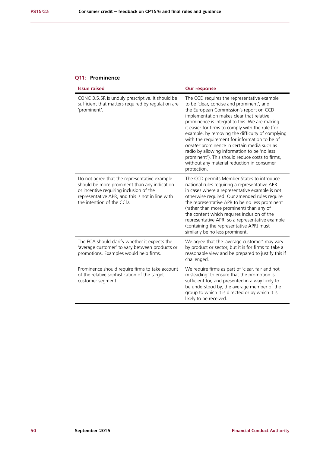#### **Q11: Prominence**

| <b>Issue raised</b>                                                                                                                                                                                                      | <b>Our response</b>                                                                                                                                                                                                                                                                                                                                                                                                                                                                                                                                                                                      |
|--------------------------------------------------------------------------------------------------------------------------------------------------------------------------------------------------------------------------|----------------------------------------------------------------------------------------------------------------------------------------------------------------------------------------------------------------------------------------------------------------------------------------------------------------------------------------------------------------------------------------------------------------------------------------------------------------------------------------------------------------------------------------------------------------------------------------------------------|
| CONC 3.5.5R is unduly prescriptive. It should be<br>sufficient that matters required by regulation are<br>'prominent'.                                                                                                   | The CCD requires the representative example<br>to be 'clear, concise and prominent', and<br>the European Commission's report on CCD<br>implementation makes clear that relative<br>prominence is integral to this. We are making<br>it easier for firms to comply with the rule (for<br>example, by removing the difficulty of complying<br>with the requirement for information to be of<br>greater prominence in certain media such as<br>radio by allowing information to be 'no less<br>prominent'). This should reduce costs to firms,<br>without any material reduction in consumer<br>protection. |
| Do not agree that the representative example<br>should be more prominent than any indication<br>or incentive requiring inclusion of the<br>representative APR, and this is not in line with<br>the intention of the CCD. | The CCD permits Member States to introduce<br>national rules requiring a representative APR<br>in cases where a representative example is not<br>otherwise required. Our amended rules require<br>the representative APR to be no less prominent<br>(rather than more prominent) than any of<br>the content which requires inclusion of the<br>representative APR, so a representative example<br>(containing the representative APR) must<br>similarly be no less prominent.                                                                                                                            |
| The FCA should clarify whether it expects the<br>'average customer' to vary between products or<br>promotions. Examples would help firms.                                                                                | We agree that the 'average customer' may vary<br>by product or sector, but it is for firms to take a<br>reasonable view and be prepared to justify this if<br>challenged.                                                                                                                                                                                                                                                                                                                                                                                                                                |
| Prominence should require firms to take account<br>of the relative sophistication of the target<br>customer segment.                                                                                                     | We require firms as part of 'clear, fair and not<br>misleading' to ensure that the promotion is<br>sufficient for, and presented in a way likely to<br>be understood by, the average member of the<br>group to which it is directed or by which it is<br>likely to be received.                                                                                                                                                                                                                                                                                                                          |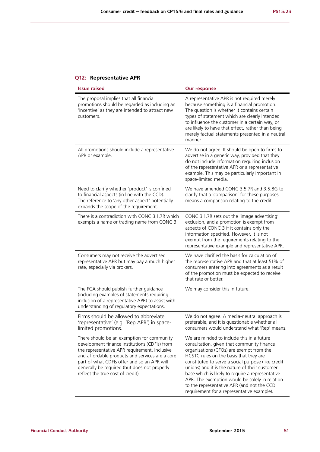## **Q12: Representative APR**

| <b>Issue raised</b>                                                                                                                                                                                                                                                                                                                 | <b>Our response</b>                                                                                                                                                                                                                                                                                                                                                                                                                                                                     |
|-------------------------------------------------------------------------------------------------------------------------------------------------------------------------------------------------------------------------------------------------------------------------------------------------------------------------------------|-----------------------------------------------------------------------------------------------------------------------------------------------------------------------------------------------------------------------------------------------------------------------------------------------------------------------------------------------------------------------------------------------------------------------------------------------------------------------------------------|
| The proposal implies that all financial<br>promotions should be regarded as including an<br>'incentive' as they are intended to attract new<br>customers.                                                                                                                                                                           | A representative APR is not required merely<br>because something is a financial promotion.<br>The question is whether it contains certain<br>types of statement which are clearly intended<br>to influence the customer in a certain way, or<br>are likely to have that effect, rather than being<br>merely factual statements presented in a neutral<br>manner.                                                                                                                        |
| All promotions should include a representative<br>APR or example.                                                                                                                                                                                                                                                                   | We do not agree. It should be open to firms to<br>advertise in a generic way, provided that they<br>do not include information requiring inclusion<br>of the representative APR or a representative<br>example. This may be particularly important in<br>space-limited media.                                                                                                                                                                                                           |
| Need to clarify whether 'product' is confined<br>to financial aspects (in line with the CCD).<br>The reference to 'any other aspect' potentially<br>expands the scope of the requirement.                                                                                                                                           | We have amended CONC 3.5.7R and 3.5.8G to<br>clarify that a 'comparison' for these purposes<br>means a comparison relating to the credit.                                                                                                                                                                                                                                                                                                                                               |
| There is a contradiction with CONC 3.1.7R which<br>exempts a name or trading name from CONC 3.                                                                                                                                                                                                                                      | CONC 3.1.7R sets out the 'image advertising'<br>exclusion, and a promotion is exempt from<br>aspects of CONC 3 if it contains only the<br>information specified. However, it is not<br>exempt from the requirements relating to the<br>representative example and representative APR.                                                                                                                                                                                                   |
| Consumers may not receive the advertised<br>representative APR but may pay a much higher<br>rate, especially via brokers.                                                                                                                                                                                                           | We have clarified the basis for calculation of<br>the representative APR and that at least 51% of<br>consumers entering into agreements as a result<br>of the promotion must be expected to receive<br>that rate or better.                                                                                                                                                                                                                                                             |
| The FCA should publish further guidance<br>(including examples of statements requiring<br>inclusion of a representative APR) to assist with<br>understanding of regulatory expectations.                                                                                                                                            | We may consider this in future.                                                                                                                                                                                                                                                                                                                                                                                                                                                         |
| Firms should be allowed to abbreviate<br>'representative' (e.g. 'Rep APR') in space-<br>limited promotions.                                                                                                                                                                                                                         | We do not agree. A media-neutral approach is<br>preferable, and it is questionable whether all<br>consumers would understand what 'Rep' means.                                                                                                                                                                                                                                                                                                                                          |
| There should be an exemption for community<br>development finance institutions (CDFIs) from<br>the representative APR requirement. Inclusive<br>and affordable products and services are a core<br>part of what CDFIs offer and so an APR will<br>generally be required (but does not properly<br>reflect the true cost of credit). | We are minded to include this in a future<br>consultation, given that community finance<br>organisations (CFOs) are exempt from the<br>HCSTC rules on the basis that they are<br>constituted to serve a social purpose (like credit<br>unions) and it is the nature of their customer<br>base which is likely to require a representative<br>APR. The exemption would be solely in relation<br>to the representative APR (and not the CCD<br>requirement for a representative example). |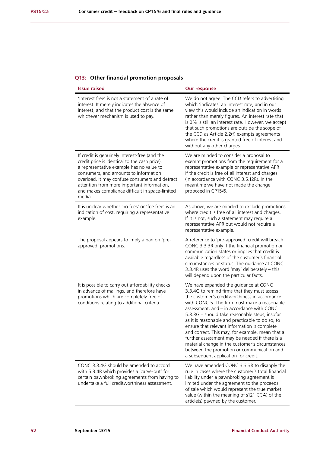## **Q13: Other financial promotion proposals**

| <b>Issue raised</b>                                                                                                                                                                                                                                                                                                                              | <b>Our response</b>                                                                                                                                                                                                                                                                                                                                                                                                                                                                                                                                                                                                                     |
|--------------------------------------------------------------------------------------------------------------------------------------------------------------------------------------------------------------------------------------------------------------------------------------------------------------------------------------------------|-----------------------------------------------------------------------------------------------------------------------------------------------------------------------------------------------------------------------------------------------------------------------------------------------------------------------------------------------------------------------------------------------------------------------------------------------------------------------------------------------------------------------------------------------------------------------------------------------------------------------------------------|
| 'Interest free' is not a statement of a rate of<br>interest. It merely indicates the absence of<br>interest, and that the product cost is the same<br>whichever mechanism is used to pay.                                                                                                                                                        | We do not agree. The CCD refers to advertising<br>which 'indicates' an interest rate, and in our<br>view this would include an indication in words<br>rather than merely figures. An interest rate that<br>is 0% is still an interest rate. However, we accept<br>that such promotions are outside the scope of<br>the CCD as Article 2.2(f) exempts agreements<br>where the credit is granted free of interest and<br>without any other charges.                                                                                                                                                                                       |
| If credit is genuinely interest-free (and the<br>credit price is identical to the cash price),<br>a representative example has no value to<br>consumers, and amounts to information<br>overload. It may confuse consumers and detract<br>attention from more important information,<br>and makes compliance difficult in space-limited<br>media. | We are minded to consider a proposal to<br>exempt promotions from the requirement for a<br>representative example or representative APR<br>if the credit is free of all interest and charges<br>(in accordance with CONC 3.5.12R). In the<br>meantime we have not made the change<br>proposed in CP15/6.                                                                                                                                                                                                                                                                                                                                |
| It is unclear whether 'no fees' or 'fee free' is an<br>indication of cost, requiring a representative<br>example.                                                                                                                                                                                                                                | As above, we are minded to exclude promotions<br>where credit is free of all interest and charges.<br>If it is not, such a statement may require a<br>representative APR but would not require a<br>representative example.                                                                                                                                                                                                                                                                                                                                                                                                             |
| The proposal appears to imply a ban on 'pre-<br>approved' promotions.                                                                                                                                                                                                                                                                            | A reference to 'pre-approved' credit will breach<br>CONC 3.3.3R only if the financial promotion or<br>communication states or implies that credit is<br>available regardless of the customer's financial<br>circumstances or status. The guidance at CONC<br>3.3.4R uses the word 'may' deliberately - this<br>will depend upon the particular facts.                                                                                                                                                                                                                                                                                   |
| It is possible to carry out affordability checks<br>in advance of mailings, and therefore have<br>promotions which are completely free of<br>conditions relating to additional criteria.                                                                                                                                                         | We have expanded the guidance at CONC<br>3.3.4G to remind firms that they must assess<br>the customer's creditworthiness in accordance<br>with CONC 5. The firm must make a reasonable<br>assessment, and - in accordance with CONC<br>5.3.3G - should take reasonable steps, insofar<br>as it is reasonable and practicable to do so, to<br>ensure that relevant information is complete<br>and correct. This may, for example, mean that a<br>further assessment may be needed if there is a<br>material change in the customer's circumstances<br>between the promotion or communication and<br>a subsequent application for credit. |
| CONC 3.3.4G should be amended to accord<br>with 5.3.4R which provides a 'carve-out' for<br>certain pawnbroking agreements from having to<br>undertake a full creditworthiness assessment.                                                                                                                                                        | We have amended CONC 3.3.3R to disapply the<br>rule in cases where the customer's total financial<br>liability under a pawnbroking agreement is<br>limited under the agreement to the proceeds<br>of sale which would represent the true market<br>value (within the meaning of s121 CCA) of the<br>article(s) pawned by the customer.                                                                                                                                                                                                                                                                                                  |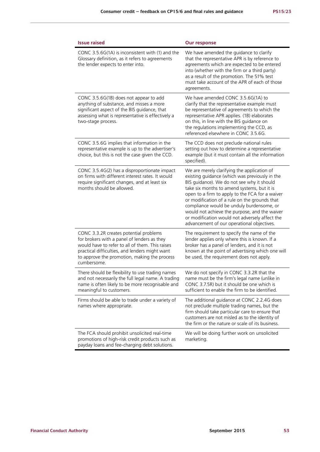| <b>Issue raised</b>                                                                                                                                                                                                                                       | <b>Our response</b>                                                                                                                                                                                                                                                                                                                                                                                                                                                                          |
|-----------------------------------------------------------------------------------------------------------------------------------------------------------------------------------------------------------------------------------------------------------|----------------------------------------------------------------------------------------------------------------------------------------------------------------------------------------------------------------------------------------------------------------------------------------------------------------------------------------------------------------------------------------------------------------------------------------------------------------------------------------------|
| CONC $3.5.6G(1A)$ is inconsistent with (1) and the<br>Glossary definition, as it refers to agreements<br>the lender expects to enter into.                                                                                                                | We have amended the guidance to clarify<br>that the representative APR is by reference to<br>agreements which are expected to be entered<br>into (whether with the firm or a third party)<br>as a result of the promotion. The 51% test<br>must take account of the APR of each of those<br>agreements.                                                                                                                                                                                      |
| CONC 3.5.6G(1B) does not appear to add<br>anything of substance, and misses a more<br>significant aspect of the BIS guidance, that<br>assessing what is representative is effectively a<br>two-stage process.                                             | We have amended CONC 3.5.6G(1A) to<br>clarify that the representative example must<br>be representative of agreements to which the<br>representative APR applies. (1B) elaborates<br>on this, in line with the BIS guidance on<br>the regulations implementing the CCD, as<br>referenced elsewhere in CONC 3.5.6G.                                                                                                                                                                           |
| CONC 3.5.6G implies that information in the<br>representative example is up to the advertiser's<br>choice, but this is not the case given the CCD.                                                                                                        | The CCD does not preclude national rules<br>setting out how to determine a representative<br>example (but it must contain all the information<br>specified).                                                                                                                                                                                                                                                                                                                                 |
| CONC 3.5.4G(2) has a disproportionate impact<br>on firms with different interest rates. It would<br>require significant changes, and at least six<br>months should be allowed.                                                                            | We are merely clarifying the application of<br>existing guidance (which was previously in the<br>BIS guidance). We do not see why it should<br>take six months to amend systems, but it is<br>open to a firm to apply to the FCA for a waiver<br>or modification of a rule on the grounds that<br>compliance would be unduly burdensome, or<br>would not achieve the purpose, and the waiver<br>or modification would not adversely affect the<br>advancement of our operational objectives. |
| CONC 3.3.2R creates potential problems<br>for brokers with a panel of lenders as they<br>would have to refer to all of them. This raises<br>practical difficulties, and lenders might want<br>to approve the promotion, making the process<br>cumbersome. | The requirement to specify the name of the<br>lender applies only where this is known. If a<br>broker has a panel of lenders, and it is not<br>known at the point of advertising which one will<br>be used, the requirement does not apply.                                                                                                                                                                                                                                                  |
| There should be flexibility to use trading names<br>and not necessarily the full legal name. A trading<br>name is often likely to be more recognisable and<br>meaningful to customers.                                                                    | We do not specify in CONC 3.3.2R that the<br>name must be the firm's legal name (unlike in<br>CONC 3.7.5R) but it should be one which is<br>sufficient to enable the firm to be identified.                                                                                                                                                                                                                                                                                                  |
| Firms should be able to trade under a variety of<br>names where appropriate.                                                                                                                                                                              | The additional guidance at CONC 2.2.4G does<br>not preclude multiple trading names, but the<br>firm should take particular care to ensure that<br>customers are not misled as to the identity of<br>the firm or the nature or scale of its business.                                                                                                                                                                                                                                         |
| The FCA should prohibit unsolicited real-time<br>promotions of high-risk credit products such as<br>payday loans and fee-charging debt solutions.                                                                                                         | We will be doing further work on unsolicited<br>marketing.                                                                                                                                                                                                                                                                                                                                                                                                                                   |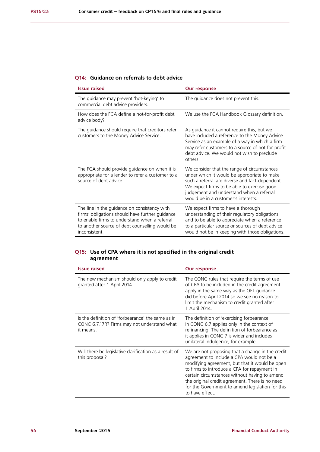### **Q14: Guidance on referrals to debt advice**

| <b>Issue raised</b>                                                                                                                                                                                                 | <b>Our response</b>                                                                                                                                                                                                                                                             |
|---------------------------------------------------------------------------------------------------------------------------------------------------------------------------------------------------------------------|---------------------------------------------------------------------------------------------------------------------------------------------------------------------------------------------------------------------------------------------------------------------------------|
| The guidance may prevent 'hot-keying' to<br>commercial debt advice providers.                                                                                                                                       | The quidance does not prevent this.                                                                                                                                                                                                                                             |
| How does the FCA define a not-for-profit debt<br>advice body?                                                                                                                                                       | We use the FCA Handbook Glossary definition.                                                                                                                                                                                                                                    |
| The guidance should require that creditors refer<br>customers to the Money Advice Service.                                                                                                                          | As guidance it cannot require this, but we<br>have included a reference to the Money Advice<br>Service as an example of a way in which a firm<br>may refer customers to a source of not-for-profit<br>debt advice. We would not wish to preclude<br>others                      |
| The FCA should provide guidance on when it is<br>appropriate for a lender to refer a customer to a<br>source of debt advice.                                                                                        | We consider that the range of circumstances<br>under which it would be appropriate to make<br>such a referral are diverse and fact-dependent.<br>We expect firms to be able to exercise good<br>judgement and understand when a referral<br>would be in a customer's interests. |
| The line in the guidance on consistency with<br>firms' obligations should have further guidance<br>to enable firms to understand when a referral<br>to another source of debt counselling would be<br>inconsistent. | We expect firms to have a thorough<br>understanding of their regulatory obligations<br>and to be able to appreciate when a reference<br>to a particular source or sources of debt advice<br>would not be in keeping with those obligations.                                     |

#### **Q15: Use of CPA where it is not specified in the original credit agreement**

| <b>Issue raised</b>                                                                                           | <b>Our response</b>                                                                                                                                                                                                                                                                                                                                                        |
|---------------------------------------------------------------------------------------------------------------|----------------------------------------------------------------------------------------------------------------------------------------------------------------------------------------------------------------------------------------------------------------------------------------------------------------------------------------------------------------------------|
| The new mechanism should only apply to credit<br>granted after 1 April 2014.                                  | The CONC rules that require the terms of use<br>of CPA to be included in the credit agreement<br>apply in the same way as the OFT guidance<br>did before April 2014 so we see no reason to<br>limit the mechanism to credit granted after<br>1 April 2014.                                                                                                                 |
| Is the definition of 'forbearance' the same as in<br>CONC 6.7.17R? Firms may not understand what<br>it means. | The definition of 'exercising forbearance'<br>in CONC 6.7 applies only in the context of<br>refinancing. The definition of forbearance as<br>it applies in CONC 7 is wider and includes<br>unilateral indulgence, for example.                                                                                                                                             |
| Will there be legislative clarification as a result of<br>this proposal?                                      | We are not proposing that a change in the credit<br>agreement to include a CPA would not be a<br>modifying agreement, but that it would be open<br>to firms to introduce a CPA for repayment in<br>certain circumstances without having to amend<br>the original credit agreement. There is no need<br>for the Government to amend legislation for this<br>to have effect. |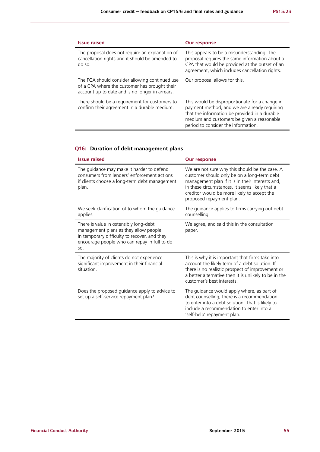| <b>Issue raised</b>                                                                                                                                | <b>Our response</b>                                                                                                                                                                                                                  |
|----------------------------------------------------------------------------------------------------------------------------------------------------|--------------------------------------------------------------------------------------------------------------------------------------------------------------------------------------------------------------------------------------|
| The proposal does not require an explanation of<br>cancellation rights and it should be amended to<br>do so.                                       | This appears to be a misunderstanding. The<br>proposal requires the same information about a<br>CPA that would be provided at the outset of an<br>agreement, which includes cancellation rights.                                     |
| The FCA should consider allowing continued use<br>of a CPA where the customer has brought their<br>account up to date and is no longer in arrears. | Our proposal allows for this.                                                                                                                                                                                                        |
| There should be a requirement for customers to<br>confirm their agreement in a durable medium.                                                     | This would be disproportionate for a change in<br>payment method, and we are already requiring<br>that the information be provided in a durable<br>medium and customers be given a reasonable<br>period to consider the information. |

## **Q16: Duration of debt management plans**

| <b>Issue raised</b>                                                                                                                                                                    | <b>Our response</b>                                                                                                                                                                                                                                                            |
|----------------------------------------------------------------------------------------------------------------------------------------------------------------------------------------|--------------------------------------------------------------------------------------------------------------------------------------------------------------------------------------------------------------------------------------------------------------------------------|
| The guidance may make it harder to defend<br>consumers from lenders' enforcement actions<br>if clients choose a long-term debt management<br>plan.                                     | We are not sure why this should be the case. A<br>customer should only be on a long-term debt<br>management plan if it is in their interests and,<br>in these circumstances, it seems likely that a<br>creditor would be more likely to accept the<br>proposed repayment plan. |
| We seek clarification of to whom the guidance<br>applies.                                                                                                                              | The guidance applies to firms carrying out debt<br>counselling.                                                                                                                                                                                                                |
| There is value in ostensibly long-debt<br>management plans as they allow people<br>in temporary difficulty to recover, and they<br>encourage people who can repay in full to do<br>SO. | We agree, and said this in the consultation<br>paper.                                                                                                                                                                                                                          |
| The majority of clients do not experience<br>significant improvement in their financial<br>situation.                                                                                  | This is why it is important that firms take into<br>account the likely term of a debt solution. If<br>there is no realistic prospect of improvement or<br>a better alternative then it is unlikely to be in the<br>customer's best interests.                                  |
| Does the proposed guidance apply to advice to<br>set up a self-service repayment plan?                                                                                                 | The guidance would apply where, as part of<br>debt counselling, there is a recommendation<br>to enter into a debt solution. That is likely to<br>include a recommendation to enter into a<br>'self-help' repayment plan.                                                       |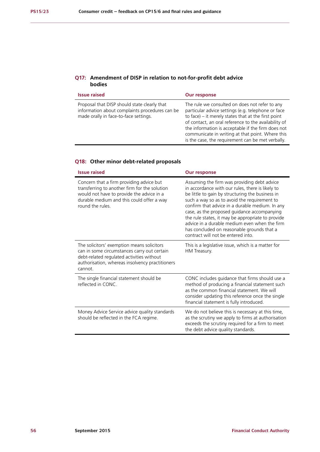#### **Q17: Amendment of DISP in relation to not-for-profit debt advice bodies**

| <b>Issue raised</b>                                                                                                                     | <b>Our response</b>                                                                                                                                                                                                                                                                                                                                                                  |
|-----------------------------------------------------------------------------------------------------------------------------------------|--------------------------------------------------------------------------------------------------------------------------------------------------------------------------------------------------------------------------------------------------------------------------------------------------------------------------------------------------------------------------------------|
| Proposal that DISP should state clearly that<br>information about complaints procedures can be<br>made orally in face-to-face settings. | The rule we consulted on does not refer to any<br>particular advice settings (e.g. telephone or face<br>to face) $-$ it merely states that at the first point<br>of contact, an oral reference to the availability of<br>the information is acceptable if the firm does not<br>communicate in writing at that point. Where this<br>is the case, the requirement can be met verbally. |

#### **Q18: Other minor debt-related proposals**

| <b>Issue raised</b>                                                                                                                                                                                     | <b>Our response</b>                                                                                                                                                                                                                                                                                                                                                                                                                                                                            |
|---------------------------------------------------------------------------------------------------------------------------------------------------------------------------------------------------------|------------------------------------------------------------------------------------------------------------------------------------------------------------------------------------------------------------------------------------------------------------------------------------------------------------------------------------------------------------------------------------------------------------------------------------------------------------------------------------------------|
| Concern that a firm providing advice but<br>transferring to another firm for the solution<br>would not have to provide the advice in a<br>durable medium and this could offer a way<br>round the rules. | Assuming the firm was providing debt advice<br>in accordance with our rules, there is likely to<br>be little to gain by structuring the business in<br>such a way so as to avoid the requirement to<br>confirm that advice in a durable medium. In any<br>case, as the proposed guidance accompanying<br>the rule states, it may be appropriate to provide<br>advice in a durable medium even when the firm<br>has concluded on reasonable grounds that a<br>contract will not be entered into |
| The solicitors' exemption means solicitors<br>can in some circumstances carry out certain<br>debt-related regulated activities without<br>authorisation, whereas insolvency practitioners<br>cannot.    | This is a legislative issue, which is a matter for<br>HM Treasury.                                                                                                                                                                                                                                                                                                                                                                                                                             |
| The single financial statement should be<br>reflected in CONC.                                                                                                                                          | CONC includes guidance that firms should use a<br>method of producing a financial statement such<br>as the common financial statement. We will<br>consider updating this reference once the single<br>financial statement is fully introduced.                                                                                                                                                                                                                                                 |
| Money Advice Service advice quality standards<br>should be reflected in the FCA regime.                                                                                                                 | We do not believe this is necessary at this time,<br>as the scrutiny we apply to firms at authorisation<br>exceeds the scrutiny required for a firm to meet<br>the debt advice quality standards.                                                                                                                                                                                                                                                                                              |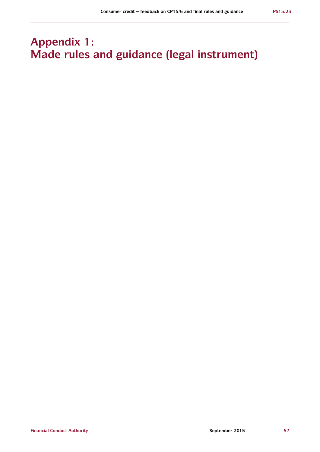# **Appendix 1: Made rules and guidance (legal instrument)**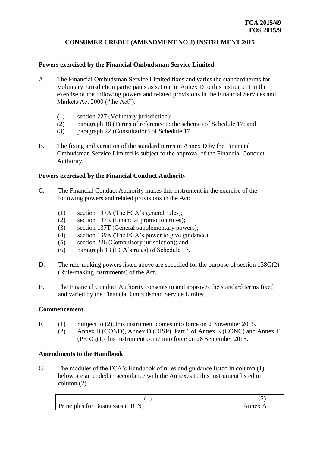## **CONSUMER CREDIT (AMENDMENT NO 2) INSTRUMENT 2015**

#### **Powers exercised by the Financial Ombudsman Service Limited**

- A. The Financial Ombudsman Service Limited fixes and varies the standard terms for Voluntary Jurisdiction participants as set out in Annex D to this instrument in the exercise of the following powers and related provisions in the Financial Services and Markets Act 2000 ("the Act"):
	- (1) section 227 (Voluntary jurisdiction);
	- (2) paragraph 18 (Terms of reference to the scheme) of Schedule 17; and
	- (3) paragraph 22 (Consultation) of Schedule 17.
- B. The fixing and variation of the standard terms in Annex D by the Financial Ombudsman Service Limited is subject to the approval of the Financial Conduct Authority.

#### **Powers exercised by the Financial Conduct Authority**

- C. The Financial Conduct Authority makes this instrument in the exercise of the following powers and related provisions in the Act:
	- (1) section 137A (The FCA's general rules);
	- (2) section 137R (Financial promotion rules);
	- (3) section 137T (General supplementary powers);
	- (4) section 139A (The FCA's power to give guidance);
	- (5) section 226 (Compulsory jurisdiction); and
	- (6) paragraph 13 (FCA's rules) of Schedule 17.
- D. The rule-making powers listed above are specified for the purpose of section 138G(2) (Rule-making instruments) of the Act.
- E. The Financial Conduct Authority consents to and approves the standard terms fixed and varied by the Financial Ombudsman Service Limited.

#### **Commencement**

- F. (1) Subject to (2), this instrument comes into force on 2 November 2015.
	- (2) Annex B (COND), Annex D (DISP), Part 1 of Annex E (CONC) and Annex F (PERG) to this instrument come into force on 28 September 2015.

#### **Amendments to the Handbook**

G. The modules of the FCA's Handbook of rules and guidance listed in column (1) below are amended in accordance with the Annexes to this instrument listed in column (2).

| Principles for Businesses (PRIN) | nnex |
|----------------------------------|------|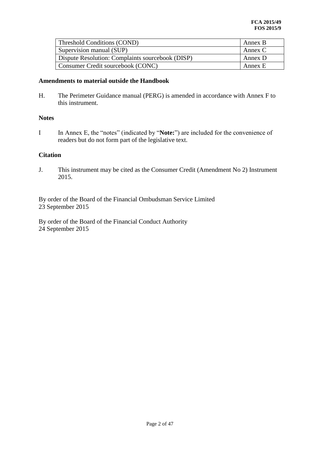| Threshold Conditions (COND)                      | Annex B |
|--------------------------------------------------|---------|
| Supervision manual (SUP)                         | Annex C |
| Dispute Resolution: Complaints sourcebook (DISP) | Annex D |
| Consumer Credit sourcebook (CONC)                | Annex E |

### **Amendments to material outside the Handbook**

H. The Perimeter Guidance manual (PERG) is amended in accordance with Annex F to this instrument.

#### **Notes**

I In Annex E, the "notes" (indicated by "**Note:**") are included for the convenience of readers but do not form part of the legislative text.

#### **Citation**

J. This instrument may be cited as the Consumer Credit (Amendment No 2) Instrument 2015.

By order of the Board of the Financial Ombudsman Service Limited 23 September 2015

By order of the Board of the Financial Conduct Authority 24 September 2015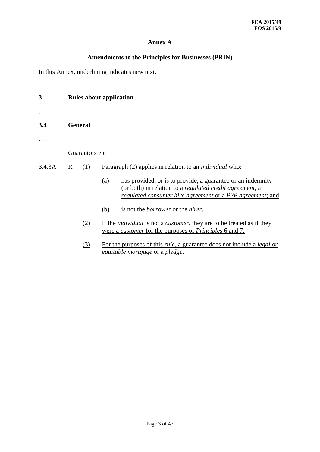## **Annex A**

## **Amendments to the Principles for Businesses (PRIN)**

In this Annex, underlining indicates new text.

| 3      | <b>Rules about application</b> |     |     |                                                                                                                                                                                      |
|--------|--------------------------------|-----|-----|--------------------------------------------------------------------------------------------------------------------------------------------------------------------------------------|
|        |                                |     |     |                                                                                                                                                                                      |
| 3.4    | <b>General</b>                 |     |     |                                                                                                                                                                                      |
|        |                                |     |     |                                                                                                                                                                                      |
|        | Guarantors etc                 |     |     |                                                                                                                                                                                      |
| 3.4.3A | $\underline{R}$                | (1) |     | Paragraph (2) applies in relation to an <i>individual</i> who:                                                                                                                       |
|        |                                |     | (a) | has provided, or is to provide, a guarantee or an indemnity<br>(or both) in relation to a regulated credit agreement, a<br>regulated consumer hire agreement or a P2P agreement; and |
|        |                                |     | (b) | is not the <i>borrower</i> or the <i>hirer</i> .                                                                                                                                     |
|        |                                | (2) |     | If the <i>individual</i> is not a <i>customer</i> , they are to be treated as if they<br><u>were a customer for the purposes of Principles 6 and 7.</u>                              |
|        |                                | (3) |     | For the purposes of this <i>rule</i> , a guarantee does not include a <i>legal or</i><br>equitable mortgage or a pledge.                                                             |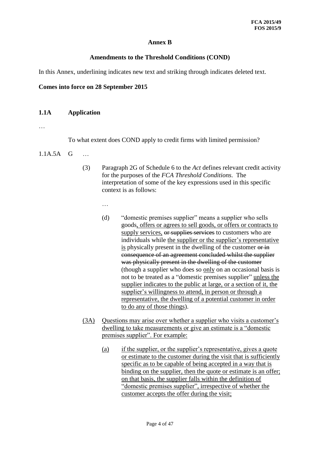## **Annex B**

## **Amendments to the Threshold Conditions (COND)**

In this Annex, underlining indicates new text and striking through indicates deleted text.

### **Comes into force on 28 September 2015**

### **1.1A Application**

…

To what extent does COND apply to credit firms with limited permission?

- 1.1A.5A G …
	- (3) Paragraph 2G of Schedule 6 to the *Act* defines relevant credit activity for the purposes of the *FCA Threshold Conditions*. The interpretation of some of the key expressions used in this specific context is as follows:
		- …
		- (d) "domestic premises supplier" means a supplier who sells goods, offers or agrees to sell goods, or offers or contracts to supply services, or supplies services to customers who are individuals while the supplier or the supplier's representative is physically present in the dwelling of the customer or in consequence of an agreement concluded whilst the supplier was physically present in the dwelling of the customer (though a supplier who does so only on an occasional basis is not to be treated as a "domestic premises supplier" unless the supplier indicates to the public at large, or a section of it, the supplier's willingness to attend, in person or through a representative, the dwelling of a potential customer in order to do any of those things).
	- (3A) Questions may arise over whether a supplier who visits a customer's dwelling to take measurements or give an estimate is a "domestic premises supplier". For example:
		- (a) if the supplier, or the supplier's representative, gives a quote or estimate to the customer during the visit that is sufficiently specific as to be capable of being accepted in a way that is binding on the supplier, then the quote or estimate is an offer; on that basis, the supplier falls within the definition of "domestic premises supplier", irrespective of whether the customer accepts the offer during the visit;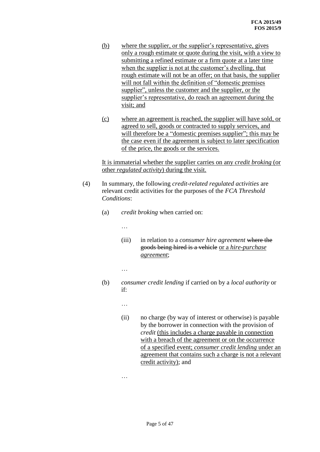- (b) where the supplier, or the supplier's representative, gives only a rough estimate or quote during the visit, with a view to submitting a refined estimate or a firm quote at a later time when the supplier is not at the customer's dwelling, that rough estimate will not be an offer; on that basis, the supplier will not fall within the definition of "domestic premises supplier", unless the customer and the supplier, or the supplier's representative, do reach an agreement during the visit; and
- (c) where an agreement is reached, the supplier will have sold, or agreed to sell, goods or contracted to supply services, and will therefore be a "domestic premises supplier"; this may be the case even if the agreement is subject to later specification of the price, the goods or the services.

It is immaterial whether the supplier carries on any *credit broking* (or other *regulated activity*) during the visit.

- (4) In summary, the following *credit-related regulated activities* are relevant credit activities for the purposes of the *FCA Threshold Conditions*:
	- (a) *credit broking* when carried on:
		- …
		- (iii) in relation to a *consumer hire agreement* where the goods being hired is a vehicle or a *hire-purchase agreement*;
		- …
	- (b) *consumer credit lending* if carried on by a *local authority* or if:
		- …
		- (ii) no charge (by way of interest or otherwise) is payable by the borrower in connection with the provision of *credit* (this includes a charge payable in connection with a breach of the agreement or on the occurrence of a specified event; *consumer credit lending* under an agreement that contains such a charge is not a relevant credit activity); and

…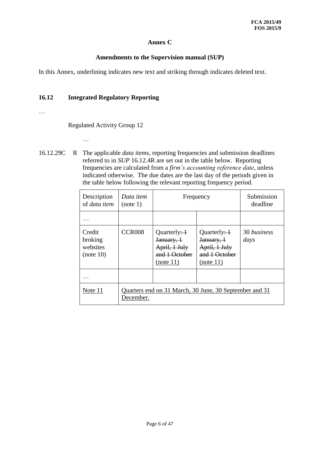## **Annex C**

## **Amendments to the Supervision manual (SUP)**

In this Annex, underlining indicates new text and striking through indicates deleted text.

## **16.12 Integrated Regulatory Reporting**

…

Regulated Activity Group 12

- …
- 16.12.29C R The applicable *data items*, reporting frequencies and submission deadlines referred to in *SUP* 16.12.4R are set out in the table below. Reporting frequencies are calculated from a *firm's accounting reference date*, unless indicated otherwise. The due dates are the last day of the periods given in the table below following the relevant reporting frequency period.

| Description<br>of <i>data item</i>         | Data item<br>Frequency<br>(note 1)                                  |                                                                                       | Submission<br>deadline                                                                |                     |
|--------------------------------------------|---------------------------------------------------------------------|---------------------------------------------------------------------------------------|---------------------------------------------------------------------------------------|---------------------|
|                                            |                                                                     |                                                                                       |                                                                                       |                     |
| Credit<br>broking<br>websites<br>(note 10) | <b>CCR008</b>                                                       | Quarterly: $\frac{1}{2}$<br>January, 1<br>April, 1 July<br>and 1 October<br>(note 11) | Quarterly: $\frac{1}{2}$<br>January, 1<br>April, 1 July<br>and 1 October<br>(note 11) | 30 business<br>days |
| .                                          |                                                                     |                                                                                       |                                                                                       |                     |
| Note 11                                    | Quarters end on 31 March, 30 June, 30 September and 31<br>December. |                                                                                       |                                                                                       |                     |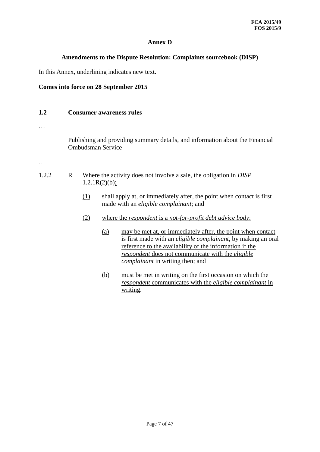## **Annex D**

### **Amendments to the Dispute Resolution: Complaints sourcebook (DISP)**

In this Annex, underlining indicates new text.

#### **Comes into force on 28 September 2015**

#### **1.2 Consumer awareness rules**

…

Publishing and providing summary details, and information about the Financial Ombudsman Service

…

- 1.2.2 R Where the activity does not involve a sale, the obligation in *DISP*  $1.2.1R(2)(b)$ :
	- (1) shall apply at, or immediately after, the point when contact is first made with an *eligible complainant*; and
	- (2) where the *respondent* is a *not-for-profit debt advice body*:
		- (a) may be met at, or immediately after, the point when contact is first made with an *eligible complainant*, by making an oral reference to the availability of the information if the *respondent* does not communicate with the *eligible complainant* in writing then; and
		- (b) must be met in writing on the first occasion on which the *respondent* communicates with the *eligible complainant* in writing.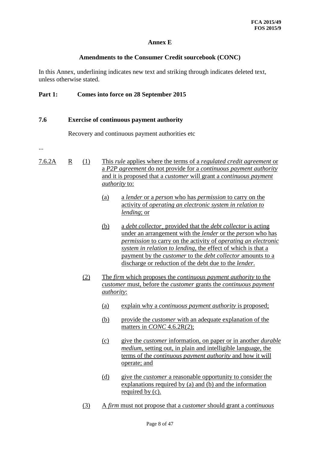## **Annex E**

### **Amendments to the Consumer Credit sourcebook (CONC)**

In this Annex, underlining indicates new text and striking through indicates deleted text, unless otherwise stated.

### **Part 1: Comes into force on 28 September 2015**

#### **7.6 Exercise of continuous payment authority**

Recovery and continuous payment authorities etc

...

- 7.6.2A R (1) This *rule* applies where the terms of a *regulated credit agreement* or a *P2P agreement* do not provide for a *continuous payment authority* and it is proposed that a *customer* will grant a *continuous payment authority* to:
	- (a) a *lender* or a *person* who has *permission* to carry on the activity of *operating an electronic system in relation to lending*; or
	- (b) a *debt collector*¸ provided that the *debt collector* is acting under an arrangement with the *lender* or the *person* who has *permission* to carry on the activity of *operating an electronic system in relation to lending*, the effect of which is that a payment by the *customer* to the *debt collector* amounts to a discharge or reduction of the debt due to the *lender*.
	- (2) The *firm* which proposes the *continuous payment authority* to the *customer* must, before the *customer* grants the *continuous payment authority*:
		- (a) explain why a *continuous payment authority* is proposed;
		- (b) provide the *customer* with an adequate explanation of the matters in *CONC* 4.6.2R(2);
		- (c) give the *customer* information, on paper or in another *durable medium*, setting out, in plain and intelligible language, the terms of the *continuous payment authority* and how it will operate; and
		- (d) give the *customer* a reasonable opportunity to consider the explanations required by (a) and (b) and the information required by (c).
	- (3) A *firm* must not propose that a *customer* should grant a *continuous*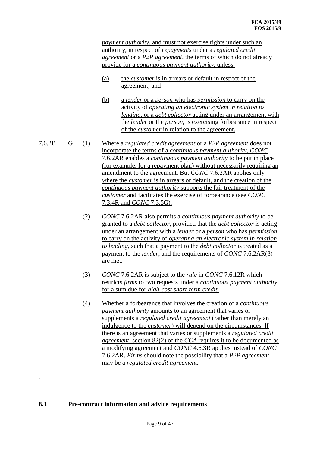*payment authority*, and must not exercise rights under such an authority, in respect of *repayments* under a *regulated credit agreement* or a *P2P agreement*, the terms of which do not already provide for a *continuous payment authority*, unless:

- (a) the *customer* is in arrears or default in respect of the agreement; and
- (b) a *lender* or a *person* who has *permission* to carry on the activity of *operating an electronic system in relation to lending*, or a *debt collector* acting under an arrangement with the *lender* or the *person*, is exercising forbearance in respect of the *customer* in relation to the agreement.
- 7.6.2B G (1) Where a *regulated credit agreement* or a *P2P agreement* does not incorporate the terms of a *continuous payment authority*, *CONC* 7.6.2AR enables a *continuous payment authority* to be put in place (for example, for a repayment plan) without necessarily requiring an amendment to the agreement. But *CONC* 7.6.2AR applies only where the *customer* is in arrears or default, and the creation of the *continuous payment authority* supports the fair treatment of the *customer* and facilitates the exercise of forbearance (see *CONC* 7.3.4R and *CONC* 7.3.5G).
	- (2) *CONC* 7.6.2AR also permits a *continuous payment authority* to be granted to a *debt collector*, provided that the *debt collector* is acting under an arrangement with a *lender* or a *person* who has *permission* to carry on the activity of *operating an electronic system in relation to lending*, such that a payment to the *debt collector* is treated as a payment to the *lender*, and the requirements of *CONC* 7.6.2AR(3) are met.
	- (3) *CONC* 7.6.2AR is subject to the *rule* in *CONC* 7.6.12R which restricts *firms* to two requests under a *continuous payment authority* for a sum due for *high-cost short-term credit*.
	- (4) Whether a forbearance that involves the creation of a *continuous payment authority* amounts to an agreement that varies or supplements a *regulated credit agreement* (rather than merely an indulgence to the *customer*) will depend on the circumstances. If there is an agreement that varies or supplements a *regulated credit agreement*, section 82(2) of the *CCA* requires it to be documented as a modifying agreement and *CONC* 4.6.3R applies instead of *CONC*  7.6.2AR. *Firms* should note the possibility that a *P2P agreement* may be a *regulated credit agreement.*

## **8.3 Pre-contract information and advice requirements**

…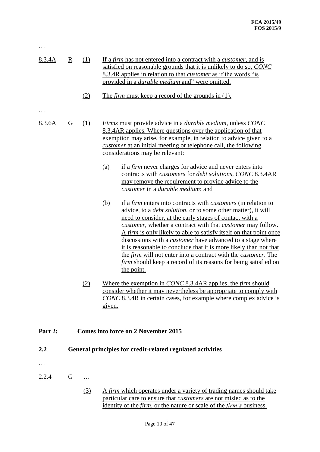| 8.3.4A  | $\overline{\mathbf{R}}$ | (1)<br>(2) | If a firm has not entered into a contract with a <i>customer</i> , and is<br>satisfied on reasonable grounds that it is unlikely to do so, CONC<br>8.3.4R applies in relation to that <i>customer</i> as if the words "is<br>provided in a <i>durable medium</i> and" were omitted.<br>The <i>firm</i> must keep a record of the grounds in (1).                                                                                                                                                                                                                                                                                                                                                                                                                                                                                                                                                                                                                                                                                                                                                                                                                                                                                                                                                        |
|---------|-------------------------|------------|---------------------------------------------------------------------------------------------------------------------------------------------------------------------------------------------------------------------------------------------------------------------------------------------------------------------------------------------------------------------------------------------------------------------------------------------------------------------------------------------------------------------------------------------------------------------------------------------------------------------------------------------------------------------------------------------------------------------------------------------------------------------------------------------------------------------------------------------------------------------------------------------------------------------------------------------------------------------------------------------------------------------------------------------------------------------------------------------------------------------------------------------------------------------------------------------------------------------------------------------------------------------------------------------------------|
| 8.3.6A  | $\overline{G}$          | (1)        | <i>Firms</i> must provide advice in a <i>durable medium</i> , unless CONC<br>8.3.4AR applies. Where questions over the application of that<br>exemption may arise, for example, in relation to advice given to a<br><i>customer</i> at an initial meeting or telephone call, the following<br>considerations may be relevant:<br>if a firm never charges for advice and never enters into<br><u>(a)</u><br>contracts with <i>customers</i> for <i>debt solutions</i> , <i>CONC</i> 8.3.4AR<br>may remove the requirement to provide advice to the<br>customer in a <i>durable medium</i> ; and<br>if a <i>firm</i> enters into contracts with <i>customers</i> (in relation to<br><u>(b)</u><br>advice, to a <i>debt solution</i> , or to some other matter), it will<br>need to consider, at the early stages of contact with a<br><i>customer</i> , whether a contract with that <i>customer</i> may follow.<br>A firm is only likely to able to satisfy itself on that point once<br>discussions with a <i>customer</i> have advanced to a stage where<br>it is reasonable to conclude that it is more likely than not that<br>the <i>firm</i> will not enter into a contract with the <i>customer</i> . The<br><i>firm</i> should keep a record of its reasons for being satisfied on<br>the point. |
|         |                         | (2)        | Where the exemption in CONC 8.3.4AR applies, the <i>firm</i> should<br>consider whether it may nevertheless be appropriate to comply with<br>CONC 8.3.4R in certain cases, for example where complex advice is<br>given.                                                                                                                                                                                                                                                                                                                                                                                                                                                                                                                                                                                                                                                                                                                                                                                                                                                                                                                                                                                                                                                                                |
| Part 2: |                         |            | <b>Comes into force on 2 November 2015</b>                                                                                                                                                                                                                                                                                                                                                                                                                                                                                                                                                                                                                                                                                                                                                                                                                                                                                                                                                                                                                                                                                                                                                                                                                                                              |
| 2.2     |                         |            | General principles for credit-related regulated activities                                                                                                                                                                                                                                                                                                                                                                                                                                                                                                                                                                                                                                                                                                                                                                                                                                                                                                                                                                                                                                                                                                                                                                                                                                              |

2.2.4 G …

…

(3) A *firm* which operates under a variety of trading names should take particular care to ensure that *customers* are not misled as to the identity of the *firm*, or the nature or scale of the *firm's* business.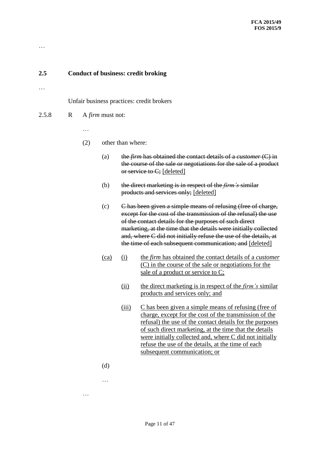## **2.5 Conduct of business: credit broking**

…

…

Unfair business practices: credit brokers

- 2.5.8 R A *firm* must not:
	- …
	- (2) other than where:
		- (a) the *firm* has obtained the contact details of a *customer* (C) in the course of the sale or negotiations for the sale of a product or service to C; [deleted]
		- (b) the direct marketing is in respect of the *firm's* similar products and services only; [deleted]
		- (c) C has been given a simple means of refusing (free of charge, except for the cost of the transmission of the refusal) the use of the contact details for the purposes of such direct marketing, at the time that the details were initially collected and, where C did not initially refuse the use of the details, at the time of each subsequent communication; and [deleted]
		- (ca) (i) the *firm* has obtained the contact details of a *customer* (C) in the course of the sale or negotiations for the sale of a product or service to C;
			- (ii) the direct marketing is in respect of the *firm's* similar products and services only; and
			- (iii) C has been given a simple means of refusing (free of charge, except for the cost of the transmission of the refusal) the use of the contact details for the purposes of such direct marketing, at the time that the details were initially collected and, where C did not initially refuse the use of the details, at the time of each subsequent communication; or
		- (d)

…

…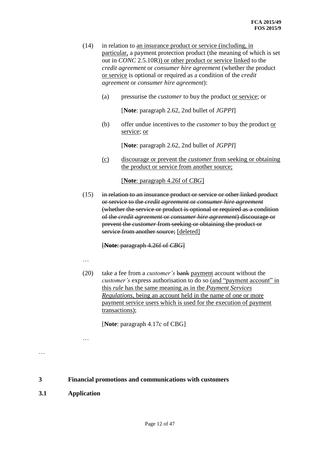- (14) in relation to an insurance product or service (including, in particular, a payment protection product (the meaning of which is set out in *CONC* 2.5.10R)) or other product or service linked to the *credit agreement* or *consumer hire agreement* (whether the product or service is optional or required as a condition of the *credit agreement* or *consumer hire agreement*):
	- (a) pressurise the *customer* to buy the product or service; or

[**Note**: paragraph 2.62, 2nd bullet of *JGPPI*]

(b) offer undue incentives to the *customer* to buy the product or service; or

[**Note**: paragraph 2.62, 2nd bullet of *JGPPI*]

(c) discourage or prevent the *customer* from seeking or obtaining the product or service from another source;

[**Note**: paragraph 4.26f of *CBG*]

(15) in relation to an insurance product or service or other linked product or service to the *credit agreement* or *consumer hire agreement* (whether the service or product is optional or required as a condition of the *credit agreement* or *consumer hire agreement*) discourage or prevent the *customer* from seeking or obtaining the product or service from another source; [deleted]

[**Note**: paragraph 4.26f of *CBG*]

…

…

(20) take a fee from a *customer's* bank payment account without the *customer's* express authorisation to do so (and "payment account" in this *rule* has the same meaning as in the *Payment Services Regulations*, being an account held in the name of one or more payment service users which is used for the execution of payment transactions);

[**Note**: paragraph 4.17c of CBG]

**3 Financial promotions and communications with customers**

**3.1 Application**

…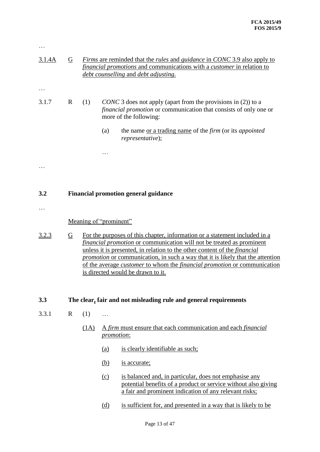| 3.1.4A | $\overline{G}$ | <i>Firms</i> are reminded that the <i>rules</i> and <i>guidance</i> in <i>CONC</i> 3.9 also apply to<br>financial promotions and communications with a customer in relation to<br>debt counselling and debt adjusting.                                                                                                                                                                                                                                                 |                        |                                                                                                                                                                                    |
|--------|----------------|------------------------------------------------------------------------------------------------------------------------------------------------------------------------------------------------------------------------------------------------------------------------------------------------------------------------------------------------------------------------------------------------------------------------------------------------------------------------|------------------------|------------------------------------------------------------------------------------------------------------------------------------------------------------------------------------|
|        |                |                                                                                                                                                                                                                                                                                                                                                                                                                                                                        |                        |                                                                                                                                                                                    |
| 3.1.7  | $\mathbf{R}$   | (1)                                                                                                                                                                                                                                                                                                                                                                                                                                                                    |                        | <i>CONC</i> 3 does not apply (apart from the provisions in (2)) to a<br><i>financial promotion</i> or communication that consists of only one or<br>more of the following:         |
|        |                |                                                                                                                                                                                                                                                                                                                                                                                                                                                                        | (a)                    | the name or a trading name of the firm (or its appointed<br>representative);                                                                                                       |
|        |                |                                                                                                                                                                                                                                                                                                                                                                                                                                                                        |                        |                                                                                                                                                                                    |
|        |                |                                                                                                                                                                                                                                                                                                                                                                                                                                                                        |                        |                                                                                                                                                                                    |
|        |                |                                                                                                                                                                                                                                                                                                                                                                                                                                                                        |                        |                                                                                                                                                                                    |
| 3.2    |                |                                                                                                                                                                                                                                                                                                                                                                                                                                                                        |                        | <b>Financial promotion general guidance</b>                                                                                                                                        |
|        |                |                                                                                                                                                                                                                                                                                                                                                                                                                                                                        |                        |                                                                                                                                                                                    |
|        |                |                                                                                                                                                                                                                                                                                                                                                                                                                                                                        | Meaning of "prominent" |                                                                                                                                                                                    |
| 3.2.3  | $\overline{G}$ | For the purposes of this chapter, information or a statement included in a<br><i>financial promotion</i> or communication will not be treated as prominent<br>unless it is presented, in relation to the other content of the <i>financial</i><br><i>promotion</i> or communication, in such a way that it is likely that the attention<br>of the average <i>customer</i> to whom the <i>financial promotion</i> or communication<br>is directed would be drawn to it. |                        |                                                                                                                                                                                    |
| 3.3    |                |                                                                                                                                                                                                                                                                                                                                                                                                                                                                        |                        | The clear, fair and not misleading rule and general requirements                                                                                                                   |
| 3.3.1  | $\mathbf R$    | (1)                                                                                                                                                                                                                                                                                                                                                                                                                                                                    | .                      |                                                                                                                                                                                    |
|        |                | (1A)                                                                                                                                                                                                                                                                                                                                                                                                                                                                   | promotion:             | A firm must ensure that each communication and each financial                                                                                                                      |
|        |                |                                                                                                                                                                                                                                                                                                                                                                                                                                                                        | <u>(a)</u>             | is clearly identifiable as such;                                                                                                                                                   |
|        |                |                                                                                                                                                                                                                                                                                                                                                                                                                                                                        | <u>(b)</u>             | is accurate;                                                                                                                                                                       |
|        |                |                                                                                                                                                                                                                                                                                                                                                                                                                                                                        | (c)                    | is balanced and, in particular, does not emphasise any<br>potential benefits of a product or service without also giving<br>a fair and prominent indication of any relevant risks; |
|        |                |                                                                                                                                                                                                                                                                                                                                                                                                                                                                        | <u>(d)</u>             | is sufficient for, and presented in a way that is likely to be                                                                                                                     |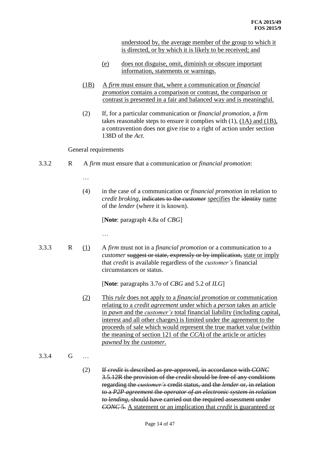understood by, the average member of the group to which it is directed, or by which it is likely to be received; and

- (e) does not disguise, omit, diminish or obscure important information, statements or warnings.
- (1B) A *firm* must ensure that, where a communication or *financial promotion* contains a comparison or contrast, the comparison or contrast is presented in a fair and balanced way and is meaningful.
- (2) If, for a particular communication or *financial promotion*, a *firm* takes reasonable steps to ensure it complies with (1), (1A) and (1B), a contravention does not give rise to a right of action under section 138D of the *Act*.

#### General requirements

…

3.3.2 R A *firm* must ensure that a communication or *financial promotion*:

…

(4) in the case of a communication or *financial promotion* in relation to *credit broking*, indicates to the *customer* specifies the identity name of the *lender* (where it is known).

[**Note**: paragraph 4.8a of *CBG*]

- 
- 3.3.3 R (1) A *firm* must not in a *financial promotion* or a communication to a *customer* suggest or state, expressly or by implication, state or imply that *credit* is available regardless of the *customer's* financial circumstances or status.

[**Note**: paragraphs 3.7o of *CBG* and 5.2 of *ILG*]

- (2) This *rule* does not apply to a *financial promotion* or communication relating to a *credit agreement* under which a *person* takes an article in *pawn* and the *customer's* total financial liability (including capital, interest and all other charges) is limited under the agreement to the proceeds of sale which would represent the true market value (within the meaning of section 121 of the *CCA*) of the article or articles *pawned* by the *customer*.
- 3.3.4 G …
	- (2) If *credit* is described as pre-approved, in accordance with *CONC* 3.5.12R the provision of the *credit* should be free of any conditions regarding the *customer's* credit status, and the *lender* or, in relation to a *P2P agreement* the *operator of an electronic system in relation to lending*, should have carried out the required assessment under *CONC* 5. A statement or an implication that *credit* is guaranteed or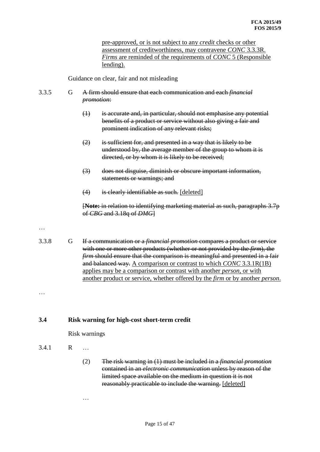pre-approved, or is not subject to any *credit* checks or other assessment of creditworthiness, may contravene *CONC* 3.3.3R. *Firms* are reminded of the requirements of *CONC* 5 (Responsible lending).

Guidance on clear, fair and not misleading

#### 3.3.5 G A firm should ensure that each communication and each *financial promotion*:

- (1) is accurate and, in particular, should not emphasise any potential benefits of a product or service without also giving a fair and prominent indication of any relevant risks;
- $(2)$  is sufficient for, and presented in a way that is likely to be understood by, the average member of the group to whom it is directed, or by whom it is likely to be received;
- (3) does not disguise, diminish or obscure important information, statements or warnings; and
- (4) is clearly identifiable as such. [deleted]

[**Note:** in relation to identifying marketing material as such, paragraphs 3.7p of *CBG* and 3.18q of *DMG*]

…

3.3.8 G If a communication or a *financial promotion* compares a product or service with one or more other products (whether or not provided by the *firm*), the *firm* should ensure that the comparison is meaningful and presented in a fair and balanced way. A comparison or contrast to which *CONC* 3.3.1R(1B) applies may be a comparison or contrast with another *person*, or with another product or service, whether offered by the *firm* or by another *person*.

…

#### **3.4 Risk warning for high-cost short-term credit**

Risk warnings

- 3.4.1 R …
	- (2) The risk warning in (1) must be included in a *financial promotion* contained in an *electronic communication* unless by reason of the limited space available on the medium in question it is not reasonably practicable to include the warning. [deleted]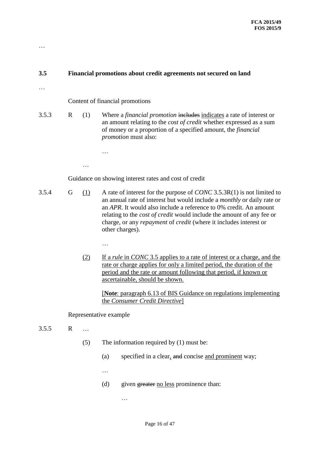# **3.5 Financial promotions about credit agreements not secured on land**

…

…

## Content of financial promotions

…

…

…

3.5.3 R (1) Where a *financial promotion* includes indicates a rate of interest or an amount relating to the *cost of credit* whether expressed as a sum of money or a proportion of a specified amount, the *financial promotion* must also:

Guidance on showing interest rates and cost of credit

- 3.5.4 G (1) A rate of interest for the purpose of *CONC* 3.5.3R(1) is not limited to an annual rate of interest but would include a *monthly* or daily rate or an *APR*. It would also include a reference to 0% credit. An amount relating to the *cost of credit* would include the amount of any fee or charge, or any *repayment* of *credit* (where it includes interest or other charges).
	- (2) If a *rule* in *CONC* 3.5 applies to a rate of interest or a charge, and the rate or charge applies for only a limited period, the duration of the period and the rate or amount following that period, if known or ascertainable, should be shown.

[**Note**: paragraph 6.13 of BIS Guidance on regulations implementing the *Consumer Credit Directive*]

#### Representative example

- 3.5.5 R …
	- (5) The information required by (1) must be:
		- (a) specified in a clear, and concise and prominent way;

…

…

(d) given greater no less prominence than: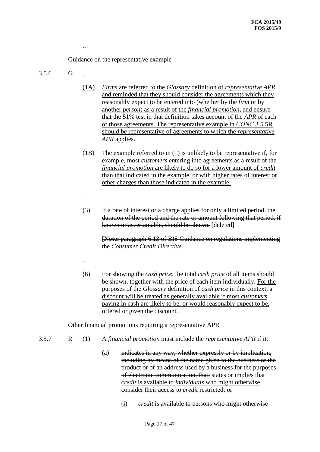Guidance on the representative example

#### 3.5.6 G …

- (1A) *Firms* are referred to the *Glossary* definition of *representative APR* and reminded that they should consider the agreements which they reasonably expect to be entered into (whether by the *firm* or by another *person*) as a result of the *financial promotion*, and ensure that the 51% test in that definition takes account of the *APR* of each of those agreements. The representative example in *CONC* 3.5.5R should be representative of agreements to which the *representative APR* applies.
- (1B) The example referred to in (1) is unlikely to be representative if, for example, most *customers* entering into agreements as a result of the *financial promotion* are likely to do so for a lower amount of *credit*  than that indicated in the example, or with higher rates of interest or other charges than those indicated in the example.
- …
- (3) If a rate of interest or a charge applies for only a limited period, the duration of the period and the rate or amount following that period, if known or ascertainable, should be shown. [deleted]

[**Note:** paragraph 6.13 of BIS Guidance on regulations implementing the *Consumer Credit Directive*]

- …
- (6) For showing the *cash price*, the total *cash price* of all items should be shown, together with the price of each item individually. For the purposes of the *Glossary* definition of *cash price* in this context, a discount will be treated as generally available if most *customers* paying in cash are likely to be, or would reasonably expect to be, offered or given the discount.

Other financial promotions requiring a representative APR

- 
- 3.5.7 R (1) A *financial promotion* must include the *representative APR* if it:
	- (a) indicates in any way, whether expressly or by implication, including by means of the name given to the business or the product or of an address used by a business for the purposes of electronic communication, that: states or implies that *credit* is available to *individuals* who might otherwise consider their access to *credit* restricted; or
		- (i) *credit* is available to persons who might otherwise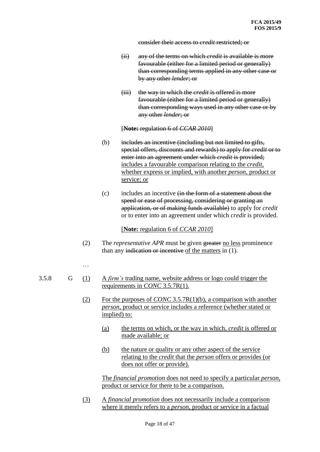consider their access to *credit* restricted; or

- (ii) any of the terms on which *credit* is available is more favourable (either for a limited period or generally) than corresponding terms applied in any other case or by any other *lender*; or
- (iii) the way in which the *credit* is offered is more favourable (either for a limited period or generally) than corresponding ways used in any other case or by any other *lender*; or

[**Note:** regulation 6 of *CCAR 2010*]

- (b) includes an incentive (including but not limited to gifts, special offers, discounts and rewards) to apply for *credit* or to enter into an agreement under which *credit* is provided; includes a favourable comparison relating to the *credit*, whether express or implied, with another *person*, product or service; or
- $(c)$  includes an incentive  $f(x)$  the form of a statement about the speed or ease of processing, considering or granting an application, or of making funds available) to apply for *credit* or to enter into an agreement under which *credit* is provided.

[**Note:** regulation 6 of *CCAR 2010*]

(2) The *representative APR* must be given greater no less prominence than any indication or incentive of the matters in (1).

#### …

- 3.5.8 G (1) A *firm's* trading name, website address or logo could trigger the requirements in *CONC* 3.5.7R(1).
	- (2) For the purposes of *CONC* 3.5.7R(1)(b), a comparison with another *person*, product or service includes a reference (whether stated or implied) to:
		- (a) the terms on which, or the way in which, *credit* is offered or made available; or
		- (b) the nature or quality or any other aspect of the service relating to the *credit* that the *person* offers or provides (or does not offer or provide).

The *financial promotion* does not need to specify a particular *person*, product or service for there to be a comparison.

(3) A *financial promotion* does not necessarily include a comparison where it merely refers to a *person*, product or service in a factual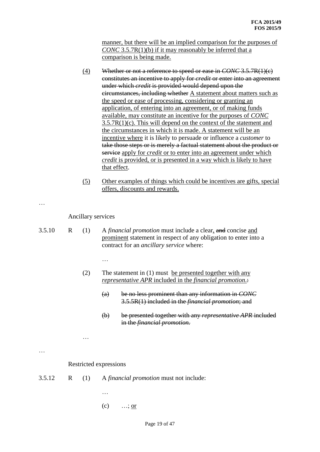manner, but there will be an implied comparison for the purposes of *CONC* 3.5.7R(1)(b) if it may reasonably be inferred that a comparison is being made.

- (4) Whether or not a reference to speed or ease in *CONC* 3.5.7R(1)(c) constitutes an incentive to apply for *credit* or enter into an agreement under which *credit* is provided would depend upon the circumstances, including whether A statement about matters such as the speed or ease of processing, considering or granting an application, of entering into an agreement, or of making funds available, may constitute an incentive for the purposes of *CONC*  3.5.7R(1)(c). This will depend on the context of the statement and the circumstances in which it is made. A statement will be an incentive where it is likely to persuade or influence a *customer* to take those steps or is merely a factual statement about the product or service apply for *credit* or to enter into an agreement under which *credit* is provided, or is presented in a way which is likely to have that effect.
- (5) Other examples of things which could be incentives are gifts, special offers, discounts and rewards.

…

Ancillary services

…

- 3.5.10 R (1) A *financial promotion* must include a clear, and concise and prominent statement in respect of any obligation to enter into a contract for an *ancillary service* where:
	- (2) The statement in (1) must be presented together with any *representative APR* included in the *financial promotion*.:
		- (a) be no less prominent than any information in *CONC* 3.5.5R(1) included in the *financial promotion*; and
		- (b) be presented together with any *representative APR* included in the *financial promotion.*

…

Restricted expressions

- 3.5.12 R (1) A *financial promotion* must not include:
	- …
	- $(c)$  …; <u>or</u>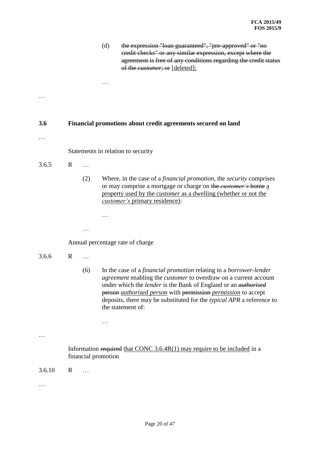|        |   |           | (d)                 | the expression "loan guaranteed", "pre-approved" or "no<br>eredit checks" or any similar expression, except where the<br>agreement is free of any conditions regarding the credit status<br>of the customer; or [deleted];                                                                                                                                                                                                      |
|--------|---|-----------|---------------------|---------------------------------------------------------------------------------------------------------------------------------------------------------------------------------------------------------------------------------------------------------------------------------------------------------------------------------------------------------------------------------------------------------------------------------|
|        |   |           |                     |                                                                                                                                                                                                                                                                                                                                                                                                                                 |
|        |   |           |                     |                                                                                                                                                                                                                                                                                                                                                                                                                                 |
| 3.6    |   |           |                     | Financial promotions about credit agreements secured on land                                                                                                                                                                                                                                                                                                                                                                    |
|        |   |           |                     |                                                                                                                                                                                                                                                                                                                                                                                                                                 |
|        |   |           |                     | Statements in relation to security                                                                                                                                                                                                                                                                                                                                                                                              |
| 3.6.5  | R |           |                     |                                                                                                                                                                                                                                                                                                                                                                                                                                 |
|        |   | (2)       |                     | Where, in the case of a <i>financial promotion</i> , the <i>security</i> comprises<br>or may comprise a mortgage or charge on the <i>customer's</i> home a<br>property used by the <i>customer</i> as a dwelling (whether or not the<br>customer's primary residence):                                                                                                                                                          |
|        |   |           | .                   |                                                                                                                                                                                                                                                                                                                                                                                                                                 |
|        |   |           |                     |                                                                                                                                                                                                                                                                                                                                                                                                                                 |
|        |   |           |                     | Annual percentage rate of charge                                                                                                                                                                                                                                                                                                                                                                                                |
| 3.6.6  | R | $\ddotsc$ |                     |                                                                                                                                                                                                                                                                                                                                                                                                                                 |
|        |   | (6)       |                     | In the case of a <i>financial promotion</i> relating to a <i>borrower-lender</i><br><i>agreement</i> enabling the <i>customer</i> to overdraw on a current account<br>under which the <i>lender</i> is the Bank of England or an <i>authorised</i><br>person <i>authorised person</i> with permission <i>permission</i> to accept<br>deposits, there may be substituted for the typical APR a reference to<br>the statement of: |
|        |   |           | .                   |                                                                                                                                                                                                                                                                                                                                                                                                                                 |
|        |   |           |                     |                                                                                                                                                                                                                                                                                                                                                                                                                                 |
|        |   |           | financial promotion | Information required that CONC $3.6.4R(1)$ may require to be included in a                                                                                                                                                                                                                                                                                                                                                      |
| 3.6.10 | R | .         |                     |                                                                                                                                                                                                                                                                                                                                                                                                                                 |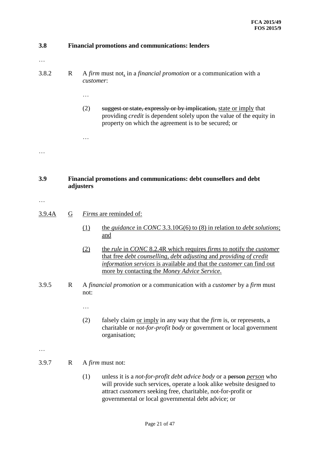| 3.8    |                | <b>Financial promotions and communications: lenders</b>                                                                                                                                                                                                                                       |
|--------|----------------|-----------------------------------------------------------------------------------------------------------------------------------------------------------------------------------------------------------------------------------------------------------------------------------------------|
| .      |                |                                                                                                                                                                                                                                                                                               |
| 3.8.2  | R              | A firm must not, in a financial promotion or a communication with a<br>customer:                                                                                                                                                                                                              |
|        |                | .                                                                                                                                                                                                                                                                                             |
|        |                | (2)<br>suggest or state, expressly or by implication, state or imply that<br>providing <i>credit</i> is dependent solely upon the value of the equity in<br>property on which the agreement is to be secured; or                                                                              |
|        |                | $\ddotsc$                                                                                                                                                                                                                                                                                     |
|        |                |                                                                                                                                                                                                                                                                                               |
|        |                |                                                                                                                                                                                                                                                                                               |
| 3.9    | adjusters      | Financial promotions and communications: debt counsellors and debt                                                                                                                                                                                                                            |
|        |                |                                                                                                                                                                                                                                                                                               |
| 3.9.4A | $\overline{G}$ | <i>Firms</i> are reminded of:                                                                                                                                                                                                                                                                 |
|        |                | (1)<br>the <i>guidance</i> in <i>CONC</i> 3.3.10 $G(6)$ to (8) in relation to <i>debt solutions</i> ;<br>and                                                                                                                                                                                  |
|        |                | the <i>rule</i> in CONC 8.2.4R which requires <i>firms</i> to notify the <i>customer</i><br>(2)<br>that free debt counselling, debt adjusting and providing of credit<br>information services is available and that the customer can find out<br>more by contacting the Money Advice Service. |
| 3.9.5  | $\mathbf R$    | A financial promotion or a communication with a customer by a firm must<br>not:                                                                                                                                                                                                               |
|        |                | .                                                                                                                                                                                                                                                                                             |
|        |                | (2)<br>falsely claim <u>or imply</u> in any way that the <i>firm</i> is, or represents, a<br>charitable or <i>not-for-profit body</i> or government or local government<br>organisation;                                                                                                      |
|        |                |                                                                                                                                                                                                                                                                                               |
| 3.9.7  | R              | A <i>firm</i> must not:                                                                                                                                                                                                                                                                       |
|        |                | unless it is a <i>not-for-profit debt advice body</i> or a person <i>person</i> who<br>(1)<br>will provide such services, operate a look alike website designed to<br>attract customers seeking free, charitable, not-for-profit or<br>governmental or local governmental debt advice; or     |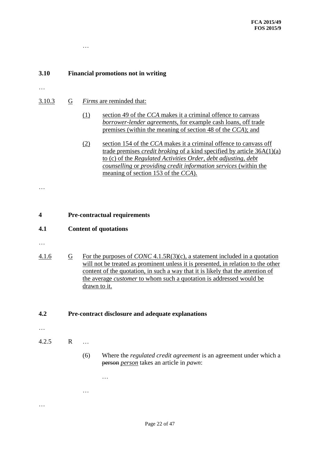# **3.10 Financial promotions not in writing**

- …
- 3.10.3 G *Firms* are reminded that:

…

- (1) section 49 of the *CCA* makes it a criminal offence to canvass *borrower-lender agreement*s, for example cash loans, off trade premises (within the meaning of section 48 of the *CCA*); and
- (2) section 154 of the *CCA* makes it a criminal offence to canvass off trade premises *credit broking* of a kind specified by article 36A(1)(a) to (c) of the *Regulated Activities Order*, *debt adjusting*, *debt counselling* or *providing credit information services* (within the meaning of section 153 of the *CCA*).

**4 Pre-contractual requirements**

#### **4.1 Content of quotations**

…

…

4.1.6 G For the purposes of *CONC* 4.1.5R(3)(c), a statement included in a quotation will not be treated as prominent unless it is presented, in relation to the other content of the quotation, in such a way that it is likely that the attention of the average *customer* to whom such a quotation is addressed would be drawn to it.

**4.2 Pre-contract disclosure and adequate explanations**

…

…

…

- 4.2.5 R …
	- (6) Where the *regulated credit agreement* is an agreement under which a person *person* takes an article in *pawn*: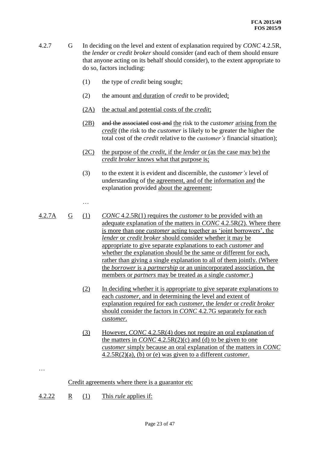- 4.2.7 G In deciding on the level and extent of explanation required by *CONC* 4.2.5R, the *lender* or *credit broker* should consider (and each of them should ensure that anyone acting on its behalf should consider), to the extent appropriate to do so, factors including:
	- (1) the type of *credit* being sought;
	- (2) the amount and duration of *credit* to be provided;
	- (2A) the actual and potential costs of the *credit*;
	- (2B) and the associated cost and the risk to the *customer* arising from the *credit* (the risk to the *customer* is likely to be greater the higher the total cost of the *credit* relative to the *customer's* financial situation);
	- (2C) the purpose of the *credit*, if the *lender* or (as the case may be) the *credit broker* knows what that purpose is;
	- (3) to the extent it is evident and discernible, the *customer's* level of understanding of the agreement, and of the information and the explanation provided about the agreement;
	- …
- 4.2.7A G (1) *CONC* 4.2.5R(1) requires the *customer* to be provided with an adequate explanation of the matters in *CONC* 4.2.5R(2). Where there is more than one *customer* acting together as 'joint borrowers', the *lender* or *credit broker* should consider whether it may be appropriate to give separate explanations to each *customer* and whether the explanation should be the same or different for each, rather than giving a single explanation to all of them jointly. (Where the *borrower* is a *partnership* or an unincorporated association, the members or *partners* may be treated as a single *customer*.)
	- (2) In deciding whether it is appropriate to give separate explanations to each *customer*, and in determining the level and extent of explanation required for each *customer*, the *lender* or *credit broker*  should consider the factors in *CONC* 4.2.7G separately for each *customer*.
	- (3) However, *CONC* 4.2.5R(4) does not require an oral explanation of the matters in *CONC* 4.2.5R(2)(c) and (d) to be given to one *customer* simply because an oral explanation of the matters in *CONC*  4.2.5R(2)(a), (b) or (e) was given to a different *customer*.

Credit agreements where there is a guarantor etc

4.2.22 R (1) This *rule* applies if: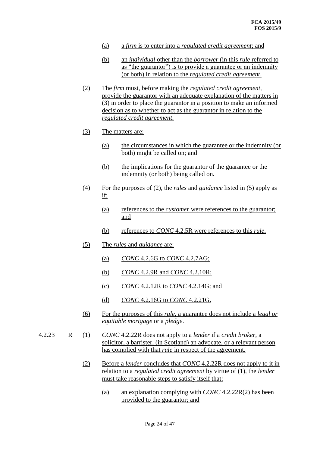- (a) a *firm* is to enter into a *regulated credit agreement*; and
- (b) an *individual* other than the *borrower* (in this *rule* referred to as "the guarantor") is to provide a guarantee or an indemnity (or both) in relation to the *regulated credit agreement*.
- (2) The *firm* must, before making the *regulated credit agreement*, provide the guarantor with an adequate explanation of the matters in (3) in order to place the guarantor in a position to make an informed decision as to whether to act as the guarantor in relation to the *regulated credit agreement*.
- (3) The matters are:
	- (a) the circumstances in which the guarantee or the indemnity (or both) might be called on; and
	- (b) the implications for the guarantor of the guarantee or the indemnity (or both) being called on.
- (4) For the purposes of (2), the *rules* and *guidance* listed in (5) apply as if:
	- (a) references to the *customer* were references to the guarantor; and
	- (b) references to *CONC* 4.2.5R were references to this *rule*.
- (5) The *rules* and *guidance* are:
	- (a) *CONC* 4.2.6G to *CONC* 4.2.7AG;
	- (b) *CONC* 4.2.9R and *CONC* 4.2.10R;
	- (c) *CONC* 4.2.12R to *CONC* 4.2.14G; and
	- (d) *CONC* 4.2.16G to *CONC* 4.2.21G.
- (6) For the purposes of this *rule*, a guarantee does not include a *legal or equitable mortgage* or a *pledge*.
- 4.2.23 R (1) *CONC* 4.2.22R does not apply to a *lender* if a *credit broker*, a solicitor, a barrister, (in Scotland) an advocate, or a relevant person has complied with that *rule* in respect of the agreement.
	- (2) Before a *lender* concludes that *CONC* 4.2.22R does not apply to it in relation to a *regulated credit agreement* by virtue of (1), the *lender* must take reasonable steps to satisfy itself that:
		- (a) an explanation complying with *CONC* 4.2.22R(2) has been provided to the guarantor; and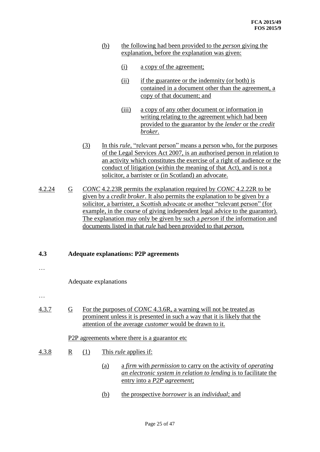- (b) the following had been provided to the *person* giving the explanation, before the explanation was given:
	- (i) a copy of the agreement;
	- (ii) if the guarantee or the indemnity (or both) is contained in a document other than the agreement, a copy of that document; and
	- (iii) a copy of any other document or information in writing relating to the agreement which had been provided to the guarantor by the *lender* or the *credit broker*.
- (3) In this *rule*, "relevant person" means a person who, for the purposes of the Legal Services Act 2007, is an authorised person in relation to an activity which constitutes the exercise of a right of audience or the conduct of litigation (within the meaning of that Act), and is not a solicitor, a barrister or (in Scotland) an advocate.
- 4.2.24 G *CONC* 4.2.23R permits the explanation required by *CONC* 4.2.22R to be given by a *credit broker*. It also permits the explanation to be given by a solicitor, a barrister, a Scottish advocate or another "relevant person" (for example, in the course of giving independent legal advice to the guarantor). The explanation may only be given by such a *person* if the information and documents listed in that *rule* had been provided to that *person*.

#### **4.3 Adequate explanations: P2P agreements**

…

Adequate explanations

…

4.3.7 G For the purposes of *CONC* 4.3.6R, a warning will not be treated as prominent unless it is presented in such a way that it is likely that the attention of the average *customer* would be drawn to it.

#### P<sub>2</sub>P agreements where there is a guarantor etc

- 4.3.8 R (1) This *rule* applies if:
	- (a) a *firm* with *permission* to carry on the activity of *operating an electronic system in relation to lending* is to facilitate the entry into a *P2P agreement*;
	- (b) the prospective *borrower* is an *individual*; and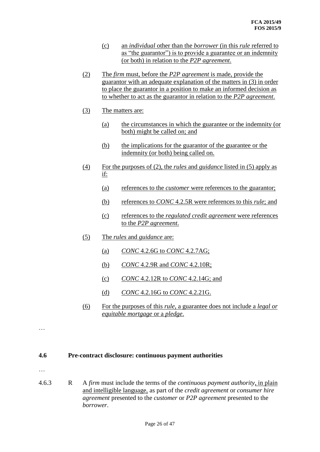- (c) an *individual* other than the *borrower* (in this *rule* referred to as "the guarantor") is to provide a guarantee or an indemnity (or both) in relation to the *P2P agreement*.
- (2) The *firm* must, before the *P2P agreement* is made, provide the guarantor with an adequate explanation of the matters in (3) in order to place the guarantor in a position to make an informed decision as to whether to act as the guarantor in relation to the *P2P agreement*.
- (3) The matters are:
	- (a) the circumstances in which the guarantee or the indemnity (or both) might be called on; and
	- (b) the implications for the guarantor of the guarantee or the indemnity (or both) being called on.
- (4) For the purposes of (2), the *rules* and *guidance* listed in (5) apply as if:
	- (a) references to the *customer* were references to the guarantor;
	- (b) references to *CONC* 4.2.5R were references to this *rule*; and
	- (c) references to the *regulated credit agreement* were references to the *P2P agreement*.
- (5) The *rules* and *guidance* are:
	- (a) *CONC* 4.2.6G to *CONC* 4.2.7AG;
	- (b) *CONC* 4.2.9R and *CONC* 4.2.10R;
	- (c) *CONC* 4.2.12R to *CONC* 4.2.14G; and
	- (d) *CONC* 4.2.16G to *CONC* 4.2.21G.
- (6) For the purposes of this *rule*, a guarantee does not include a *legal or equitable mortgage* or a *pledge*.

#### **4.6 Pre-contract disclosure: continuous payment authorities**

…

…

4.6.3 R A *firm* must include the terms of the *continuous payment authority*, in plain and intelligible language, as part of the *credit agreement* or *consumer hire agreement* presented to the *customer* or *P2P agreement* presented to the *borrower*.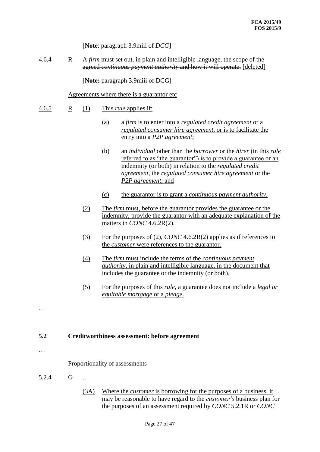[**Note**: paragraph 3.9miii of *DCG*]

4.6.4 R A *firm* must set out, in plain and intelligible language, the scope of the agreed *continuous payment authority* and how it will operate. [deleted]

[**Note:** paragraph 3.9miii of DCG]

Agreements where there is a guarantor etc

- 4.6.5 R (1) This *rule* applies if:
	- (a) a *firm* is to enter into a *regulated credit agreement* or a *regulated consumer hire agreement*, or is to facilitate the entry into a *P2P agreement*;
	- (b) an *individual* other than the *borrower* or the *hirer* (in this *rule* referred to as "the guarantor") is to provide a guarantee or an indemnity (or both) in relation to the *regulated credit agreement*, the *regulated consumer hire agreement* or the *P2P agreement*; and
	- (c) the guarantor is to grant a *continuous payment authority*.
	- (2) The *firm* must, before the guarantor provides the guarantee or the indemnity, provide the guarantor with an adequate explanation of the matters in *CONC* 4.6.2R(2).
	- (3) For the purposes of (2), *CONC* 4.6.2R(2) applies as if references to the *customer* were references to the guarantor.
	- (4) The *firm* must include the terms of the *continuous payment authority*, in plain and intelligible language, in the document that includes the guarantee or the indemnity (or both).
	- (5) For the purposes of this *rule*, a guarantee does not include a *legal or equitable mortgage* or a *pledge*.

#### **5.2 Creditworthiness assessment: before agreement**

…

…

Proportionality of assessments

- 5.2.4 G …
	- (3A) Where the *customer* is borrowing for the purposes of a business, it may be reasonable to have regard to the *customer's* business plan for the purposes of an assessment required by *CONC* 5.2.1R or *CONC*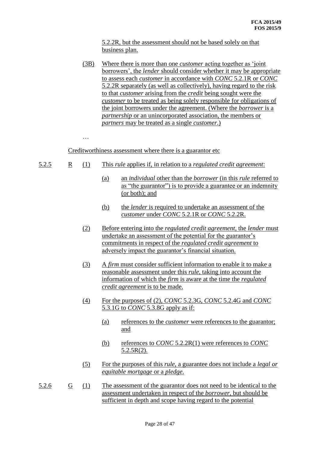5.2.2R, but the assessment should not be based solely on that business plan.

(3B) Where there is more than one *customer* acting together as 'joint borrowers', the *lender* should consider whether it may be appropriate to assess each *customer* in accordance with *CONC* 5.2.1R or *CONC*  5.2.2R separately (as well as collectively), having regard to the risk to that *customer* arising from the *credit* being sought were the *customer* to be treated as being solely responsible for obligations of the joint borrowers under the agreement. (Where the *borrower* is a *partnership* or an unincorporated association, the members or *partners* may be treated as a single *customer*.)

…

Creditworthiness assessment where there is a guarantor etc

- 5.2.5 R (1) This *rule* applies if, in relation to a *regulated credit agreement*:
	- (a) an *individual* other than the *borrower* (in this *rule* referred to as "the guarantor") is to provide a guarantee or an indemnity (or both); and
	- (b) the *lender* is required to undertake an assessment of the *customer* under *CONC* 5.2.1R or *CONC* 5.2.2R.
	- (2) Before entering into the *regulated credit agreement*, the *lender* must undertake an assessment of the potential for the guarantor's commitments in respect of the *regulated credit agreement* to adversely impact the guarantor's financial situation.
	- (3) A *firm* must consider sufficient information to enable it to make a reasonable assessment under this *rule*, taking into account the information of which the *firm* is aware at the time the *regulated credit agreement* is to be made.
	- (4) For the purposes of (2), *CONC* 5.2.3G, *CONC* 5.2.4G and *CONC*  5.3.1G to *CONC* 5.3.8G apply as if:
		- (a) references to the *customer* were references to the guarantor; and
		- (b) references to *CONC* 5.2.2R(1) were references to *CONC*   $5.2.5R(2)$ .
	- (5) For the purposes of this *rule*, a guarantee does not include a *legal or equitable mortgage* or a *pledge*.
- 5.2.6 G (1) The assessment of the guarantor does not need to be identical to the assessment undertaken in respect of the *borrower*, but should be sufficient in depth and scope having regard to the potential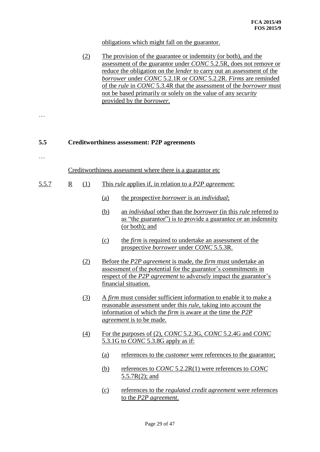#### obligations which might fall on the guarantor.

(2) The provision of the guarantee or indemnity (or both), and the assessment of the guarantor under *CONC* 5.2.5R, does not remove or reduce the obligation on the *lender* to carry out an assessment of the *borrower* under *CONC* 5.2.1R or *CONC* 5.2.2R. *Firms* are reminded of the *rule* in *CONC* 5.3.4R that the assessment of the *borrower* must not be based primarily or solely on the value of any *security* provided by the *borrower*.

## **5.5 Creditworthiness assessment: P2P agreements**

…

…

Creditworthiness assessment where there is a guarantor etc

- 5.5.7 R (1) This *rule* applies if, in relation to a *P2P agreement*:
	- (a) the prospective *borrower* is an *individual*;
	- (b) an *individual* other than the *borrower* (in this *rule* referred to as "the guarantor") is to provide a guarantee or an indemnity (or both); and
	- (c) the *firm* is required to undertake an assessment of the prospective *borrower* under *CONC* 5.5.3R.
	- (2) Before the *P2P agreement* is made, the *firm* must undertake an assessment of the potential for the guarantor's commitments in respect of the *P2P agreement* to adversely impact the guarantor's financial situation.
	- (3) A *firm* must consider sufficient information to enable it to make a reasonable assessment under this *rule*, taking into account the information of which the *firm* is aware at the time the *P2P agreement* is to be made.
	- (4) For the purposes of (2), *CONC* 5.2.3G, *CONC* 5.2.4G and *CONC*  5.3.1G to *CONC* 5.3.8G apply as if:
		- (a) references to the *customer* were references to the guarantor;
		- (b) references to *CONC* 5.2.2R(1) were references to *CONC*  5.5.7R(2); and
		- (c) references to the *regulated credit agreement* were references to the *P2P agreement*.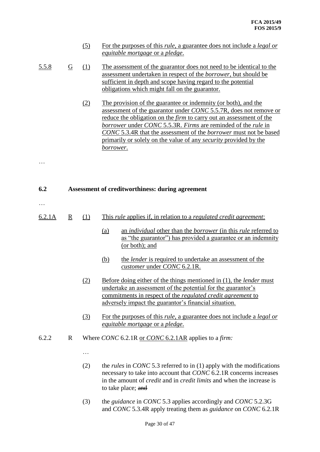|              |                         | (5) | For the purposes of this <i>rule</i> , a guarantee does not include a <i>legal or</i><br><i>equitable mortgage</i> or a <i>pledge</i> .                                                                                                                                                                                                                                                                                                                                            |
|--------------|-------------------------|-----|------------------------------------------------------------------------------------------------------------------------------------------------------------------------------------------------------------------------------------------------------------------------------------------------------------------------------------------------------------------------------------------------------------------------------------------------------------------------------------|
| <u>5.5.8</u> | $\overline{G}$          | (1) | The assessment of the guarantor does not need to be identical to the<br>assessment undertaken in respect of the <i>borrower</i> , but should be<br>sufficient in depth and scope having regard to the potential<br>obligations which might fall on the guarantor.                                                                                                                                                                                                                  |
|              |                         | (2) | The provision of the guarantee or indemnity (or both), and the<br>assessment of the guarantor under CONC 5.5.7R, does not remove or<br>reduce the obligation on the <i>firm</i> to carry out an assessment of the<br><i>borrower</i> under <i>CONC</i> 5.5.3R. <i>Firms</i> are reminded of the <i>rule</i> in<br>CONC 5.3.4R that the assessment of the borrower must not be based<br>primarily or solely on the value of any <i>security</i> provided by the<br><u>borrower.</u> |
|              |                         |     |                                                                                                                                                                                                                                                                                                                                                                                                                                                                                    |
| 6.2          |                         |     | Assessment of creditworthiness: during agreement                                                                                                                                                                                                                                                                                                                                                                                                                                   |
| 6.2.1A       | $\overline{\mathbf{R}}$ | (1) | This <i>rule</i> applies if, in relation to a <i>regulated credit agreement</i> :                                                                                                                                                                                                                                                                                                                                                                                                  |
|              |                         |     | an <i>individual</i> other than the <i>borrower</i> (in this <i>rule</i> referred to<br>(a)<br>as "the guarantor") has provided a guarantee or an indemnity<br>(or both); and                                                                                                                                                                                                                                                                                                      |
|              |                         |     | <u>(b)</u><br>the <i>lender</i> is required to undertake an assessment of the<br>customer under CONC 6.2.1R.                                                                                                                                                                                                                                                                                                                                                                       |
|              |                         | (2) | <u>Before doing either of the things mentioned in (1), the lender must</u><br>undertake an assessment of the potential for the guarantor's<br>commitments in respect of the <i>regulated credit agreement</i> to<br>adversely impact the guarantor's financial situation.                                                                                                                                                                                                          |
|              |                         | (3) | For the purposes of this <i>rule</i> , a guarantee does not include a <i>legal or</i><br><i>equitable mortgage or a pledge.</i>                                                                                                                                                                                                                                                                                                                                                    |
| 6.2.2        | $\mathbf R$             |     | Where CONC 6.2.1R or CONC 6.2.1AR applies to a firm:                                                                                                                                                                                                                                                                                                                                                                                                                               |
|              |                         |     |                                                                                                                                                                                                                                                                                                                                                                                                                                                                                    |
|              |                         | (2) | the <i>rules</i> in <i>CONC</i> 5.3 referred to in (1) apply with the modifications<br>necessary to take into account that CONC 6.2.1R concerns increases<br>in the amount of <i>credit</i> and in <i>credit limits</i> and when the increase is<br>to take place; and                                                                                                                                                                                                             |
|              |                         | (3) | the <i>guidance</i> in <i>CONC</i> 5.3 applies accordingly and <i>CONC</i> 5.2.3G<br>and CONC 5.3.4R apply treating them as <i>guidance</i> on CONC 6.2.1R                                                                                                                                                                                                                                                                                                                         |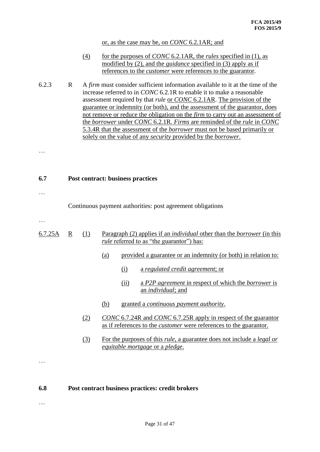or, as the case may be, on *CONC* 6.2.1AR; and

- (4) for the purposes of *CONC* 6.2.1AR, the *rules* specified in (1), as modified by (2), and the *guidance* specified in (3) apply as if references to the *customer* were references to the guarantor.
- 6.2.3 R A *firm* must consider sufficient information available to it at the time of the increase referred to in *CONC* 6.2.1R to enable it to make a reasonable assessment required by that *rule* or *CONC* 6.2.1AR. The provision of the guarantee or indemnity (or both), and the assessment of the guarantor, does not remove or reduce the obligation on the *firm* to carry out an assessment of the *borrower* under *CONC* 6.2.1R. *Firms* are reminded of the *rule* in *CONC*  5.3.4R that the assessment of the *borrower* must not be based primarily or solely on the value of any *security* provided by the *borrower*.

…

**6.7 Post contract: business practices**

Continuous payment authorities: post agreement obligations

…

…

- 6.7.25A R (1) Paragraph (2) applies if an *individual* other than the *borrower* (in this *rule* referred to as "the guarantor") has:
	- (a) provided a guarantee or an indemnity (or both) in relation to:
		- (i) a *regulated credit agreement*; or
		- (ii) a *P2P agreement* in respect of which the *borrower* is an *individual*; and
	- (b) granted a *continuous payment authority*.
	- (2) *CONC* 6.7.24R and *CONC* 6.7.25R apply in respect of the guarantor as if references to the *customer* were references to the guarantor.
	- (3) For the purposes of this *rule*, a guarantee does not include a *legal or equitable mortgage* or a *pledge*.

…

…

#### **6.8 Post contract business practices: credit brokers**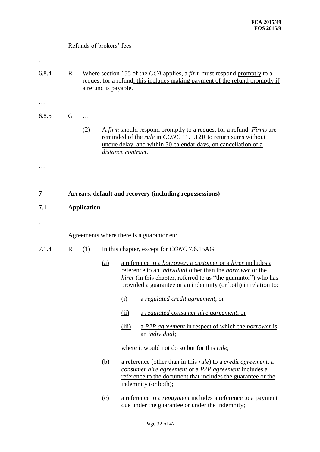|              | Refunds of brokers' fees                                                                                                                                                                                                                      |                    |                      |                                                                                                                                                                                                                                                                                    |  |  |
|--------------|-----------------------------------------------------------------------------------------------------------------------------------------------------------------------------------------------------------------------------------------------|--------------------|----------------------|------------------------------------------------------------------------------------------------------------------------------------------------------------------------------------------------------------------------------------------------------------------------------------|--|--|
| 6.8.4        | $\mathbf{R}$                                                                                                                                                                                                                                  |                    | a refund is payable. | Where section 155 of the CCA applies, a <i>firm</i> must respond promptly to a<br>request for a refund; this includes making payment of the refund promptly if                                                                                                                     |  |  |
|              |                                                                                                                                                                                                                                               |                    |                      |                                                                                                                                                                                                                                                                                    |  |  |
| 6.8.5        | G                                                                                                                                                                                                                                             |                    |                      |                                                                                                                                                                                                                                                                                    |  |  |
|              |                                                                                                                                                                                                                                               | (2)                |                      | A firm should respond promptly to a request for a refund. Firms are<br>reminded of the <i>rule</i> in <i>CONC</i> 11.1.12R to return sums without<br>undue delay, and within 30 calendar days, on cancellation of a<br>distance contract.                                          |  |  |
|              |                                                                                                                                                                                                                                               |                    |                      |                                                                                                                                                                                                                                                                                    |  |  |
| 7            |                                                                                                                                                                                                                                               |                    |                      | Arrears, default and recovery (including repossessions)                                                                                                                                                                                                                            |  |  |
| 7.1          |                                                                                                                                                                                                                                               | <b>Application</b> |                      |                                                                                                                                                                                                                                                                                    |  |  |
|              |                                                                                                                                                                                                                                               |                    |                      |                                                                                                                                                                                                                                                                                    |  |  |
|              |                                                                                                                                                                                                                                               |                    |                      | Agreements where there is a guarantor etc.                                                                                                                                                                                                                                         |  |  |
| <u>7.1.4</u> | $\underline{R}$                                                                                                                                                                                                                               | (1)                |                      | In this chapter, except for <i>CONC</i> 7.6.15AG:                                                                                                                                                                                                                                  |  |  |
|              |                                                                                                                                                                                                                                               |                    | <u>(a)</u>           | <u>a reference to a borrower, a customer or a hirer includes a</u><br>reference to an <i>individual</i> other than the <i>borrower</i> or the<br>hirer (in this chapter, referred to as "the guarantor") who has<br>provided a guarantee or an indemnity (or both) in relation to: |  |  |
|              |                                                                                                                                                                                                                                               |                    |                      | (i)<br>a regulated credit agreement; or                                                                                                                                                                                                                                            |  |  |
|              |                                                                                                                                                                                                                                               |                    |                      | <u>a regulated consumer hire agreement; or</u><br>$\overline{(\text{ii})}$                                                                                                                                                                                                         |  |  |
|              |                                                                                                                                                                                                                                               |                    |                      | <u>a P2P agreement in respect of which the borrower is</u><br>(iii)<br>an <i>individual</i> ;                                                                                                                                                                                      |  |  |
|              |                                                                                                                                                                                                                                               |                    |                      | where it would not do so but for this <i>rule</i> ;                                                                                                                                                                                                                                |  |  |
|              | a reference (other than in this <i>rule</i> ) to a <i>credit agreement</i> , a<br><u>(b)</u><br>consumer hire agreement or a P2P agreement includes a<br>reference to the document that includes the guarantee or the<br>indemnity (or both); |                    |                      |                                                                                                                                                                                                                                                                                    |  |  |
|              |                                                                                                                                                                                                                                               |                    | (c)                  | a reference to a <i>repayment</i> includes a reference to a payment<br>due under the guarantee or under the indemnity;                                                                                                                                                             |  |  |
|              |                                                                                                                                                                                                                                               |                    |                      | Page 32 of 47                                                                                                                                                                                                                                                                      |  |  |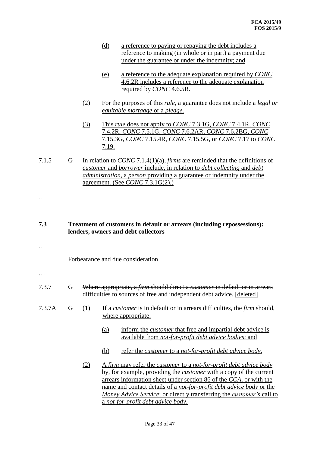- (d) a reference to paying or repaying the debt includes a reference to making (in whole or in part) a payment due under the guarantee or under the indemnity; and
- (e) a reference to the adequate explanation required by *CONC*  4.6.2R includes a reference to the adequate explanation required by *CONC* 4.6.5R.
- (2) For the purposes of this *rule*, a guarantee does not include a *legal or equitable mortgage* or a *pledge*.
- (3) This *rule* does not apply to *CONC* 7.3.1G, *CONC* 7.4.1R, *CONC*  7.4.2R, *CONC* 7.5.1G, *CONC* 7.6.2AR, *CONC* 7.6.2BG, *CONC*  7.15.3G, *CONC* 7.15.4R, *CONC* 7.15.5G, or *CONC* 7.17 to *CONC*  7.19.
- 7.1.5 G In relation to *CONC* 7.1.4(1)(a), *firms* are reminded that the definitions of *customer* and *borrower* include, in relation to *debt collecting* and *debt administration*, a *person* providing a guarantee or indemnity under the agreement. (See *CONC* 7.3.1G(2).)
- **7.3 Treatment of customers in default or arrears (including repossessions): lenders, owners and debt collectors**
- …

Forbearance and due consideration

- …
- 7.3.7 G Where appropriate, a *firm* should direct a *customer* in default or in arrears difficulties to sources of free and independent debt advice. [deleted]
- 7.3.7A G (1) If a *customer* is in default or in arrears difficulties, the *firm* should, where appropriate:
	- (a) inform the *customer* that free and impartial debt advice is available from *not-for-profit debt advice bodies*; and
	- (b) refer the *customer* to a *not-for-profit debt advice body*.
	- (2) A *firm* may refer the *customer* to a *not-for-profit debt advice body* by, for example, providing the *customer* with a copy of the current arrears information sheet under section 86 of the *CCA*, or with the name and contact details of a *not-for-profit debt advice body* or the *Money Advice Service*; or directly transferring the *customer's* call to a *not-for-profit debt advice body*.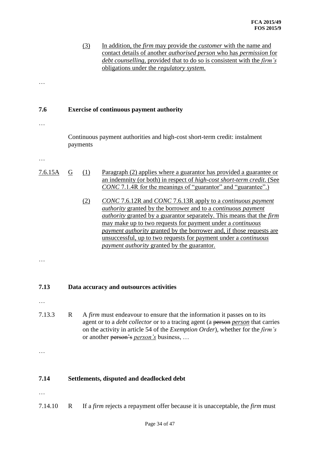|         |          | (3) | In addition, the <i>firm</i> may provide the <i>customer</i> with the name and<br>contact details of another <i>authorised person</i> who has <i>permission</i> for<br>debt counselling, provided that to do so is consistent with the firm's<br>obligations under the <i>regulatory</i> system.                                                                                                                                                                                                                      |
|---------|----------|-----|-----------------------------------------------------------------------------------------------------------------------------------------------------------------------------------------------------------------------------------------------------------------------------------------------------------------------------------------------------------------------------------------------------------------------------------------------------------------------------------------------------------------------|
|         |          |     |                                                                                                                                                                                                                                                                                                                                                                                                                                                                                                                       |
| 7.6     |          |     | <b>Exercise of continuous payment authority</b>                                                                                                                                                                                                                                                                                                                                                                                                                                                                       |
|         | payments |     | Continuous payment authorities and high-cost short-term credit: instalment                                                                                                                                                                                                                                                                                                                                                                                                                                            |
|         |          |     |                                                                                                                                                                                                                                                                                                                                                                                                                                                                                                                       |
| 7.6.15A | G        | (1) | Paragraph (2) applies where a guarantor has provided a guarantee or<br>an indemnity (or both) in respect of <i>high-cost short-term credit</i> . (See<br><i>CONC</i> 7.1.4R for the meanings of "guarantor" and "guarantee".)                                                                                                                                                                                                                                                                                         |
|         |          | (2) | CONC 7.6.12R and CONC 7.6.13R apply to a continuous payment<br><i>authority</i> granted by the borrower and to a <i>continuous payment</i><br><i>authority</i> granted by a guarantor separately. This means that the <i>firm</i><br>may make up to two requests for payment under a <i>continuous</i><br><i>payment authority</i> granted by the borrower and, if those requests are<br>unsuccessful, up to two requests for payment under a <i>continuous</i><br><i>payment authority</i> granted by the guarantor. |
|         |          |     |                                                                                                                                                                                                                                                                                                                                                                                                                                                                                                                       |
| 7.13    |          |     | Data accuracy and outsources activities                                                                                                                                                                                                                                                                                                                                                                                                                                                                               |
| 7.13.3  | R        |     | A firm must endeavour to ensure that the information it passes on to its<br>agent or to a <i>debt collector</i> or to a tracing agent (a person person that carries<br>on the activity in article 54 of the <i>Exemption Order</i> ), whether for the <i>firm's</i><br>or another person's <i>person's</i> business,                                                                                                                                                                                                  |
|         |          |     |                                                                                                                                                                                                                                                                                                                                                                                                                                                                                                                       |
| 7.14    |          |     | Settlements, disputed and deadlocked debt                                                                                                                                                                                                                                                                                                                                                                                                                                                                             |

- $\dots$
- 7.14.10 R If a *firm* rejects a repayment offer because it is unacceptable, the *firm* must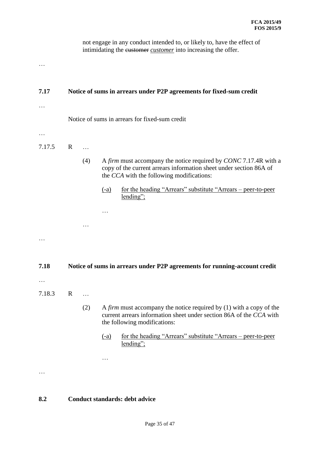not engage in any conduct intended to, or likely to, have the effect of intimidating the customer *customer* into increasing the offer.

| 7.17   |              |     | Notice of sums in arrears under P2P agreements for fixed-sum credit                                                                                                                                                                                                        |
|--------|--------------|-----|----------------------------------------------------------------------------------------------------------------------------------------------------------------------------------------------------------------------------------------------------------------------------|
|        |              |     | Notice of sums in arrears for fixed-sum credit                                                                                                                                                                                                                             |
|        |              |     |                                                                                                                                                                                                                                                                            |
| 7.17.5 | $\mathbf{R}$ |     |                                                                                                                                                                                                                                                                            |
|        |              | (4) | A firm must accompany the notice required by CONC 7.17.4R with a<br>copy of the current arrears information sheet under section 86A of<br>the CCA with the following modifications:<br>for the heading "Arrears" substitute "Arrears – peer-to-peer<br>$(-a)$<br>lending"; |
|        |              |     |                                                                                                                                                                                                                                                                            |
|        |              |     |                                                                                                                                                                                                                                                                            |
|        |              |     |                                                                                                                                                                                                                                                                            |
|        |              |     |                                                                                                                                                                                                                                                                            |
| 7.18   |              |     | Notice of sums in arrears under P2P agreements for running-account credit                                                                                                                                                                                                  |
|        |              |     |                                                                                                                                                                                                                                                                            |
| 7.18.3 | $\mathbf R$  |     |                                                                                                                                                                                                                                                                            |
|        |              | (2) | A <i>firm</i> must accompany the notice required by $(1)$ with a copy of the<br>current arrears information sheet under section 86A of the CCA with<br>the following modifications:                                                                                        |
|        |              |     | <u>for the heading "Arrears" substitute "Arrears – peer-to-peer</u><br>$(-a)$<br>lending";                                                                                                                                                                                 |
|        |              |     |                                                                                                                                                                                                                                                                            |
|        |              |     |                                                                                                                                                                                                                                                                            |

# **8.2 Conduct standards: debt advice**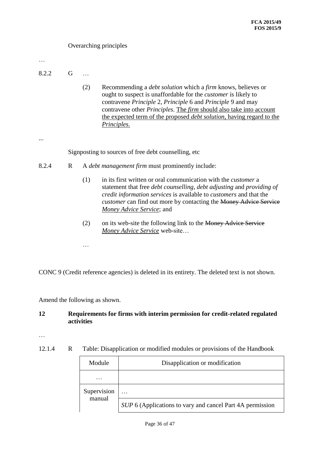## Overarching principles

…

- 8.2.2 G …
	- (2) Recommending a *debt solution* which a *firm* knows, believes or ought to suspect is unaffordable for the *customer* is likely to contravene *Principle* 2, *Principle* 6 and *Principle* 9 and may contravene other *Principles*. The *firm* should also take into account the expected term of the proposed *debt solution*, having regard to the *Principles.*

...

Signposting to sources of free debt counselling, etc

- 8.2.4 R A *debt management firm* must prominently include:
	- (1) in its first written or oral communication with the *customer* a statement that free *debt counselling*, *debt adjusting* and *providing of credit information services* is available to *customers* and that the *customer* can find out more by contacting the Money Advice Service *Money Advice Service*; and
	- (2) on its web-site the following link to the Money Advice Service *Money Advice Service* web-site…

CONC 9 (Credit reference agencies) is deleted in its entirety. The deleted text is not shown.

Amend the following as shown.

…

#### **12 Requirements for firms with interim permission for credit-related regulated activities**

…

12.1.4 R Table: Disapplication or modified modules or provisions of the Handbook

| Module                | Disapplication or modification                            |
|-----------------------|-----------------------------------------------------------|
|                       |                                                           |
| Supervision<br>manual | .                                                         |
|                       | SUP 6 (Applications to vary and cancel Part 4A permission |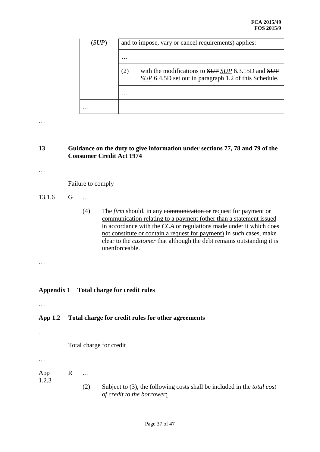| (SUP) | and to impose, vary or cancel requirements) applies:                                                              |
|-------|-------------------------------------------------------------------------------------------------------------------|
|       | .                                                                                                                 |
|       | with the modifications to SUP SUP 6.3.15D and SUP<br>(2)<br>SUP 6.4.5D set out in paragraph 1.2 of this Schedule. |
|       | .                                                                                                                 |
|       |                                                                                                                   |

## **13 Guidance on the duty to give information under sections 77, 78 and 79 of the Consumer Credit Act 1974**

…

Failure to comply

- 13.1.6 G …
	- (4) The *firm* should, in any communication or request for payment or communication relating to a payment (other than a statement issued in accordance with the *CCA* or regulations made under it which does not constitute or contain a request for payment) in such cases, make clear to the *customer* that although the debt remains outstanding it is unenforceable.

#### …

## **Appendix 1 Total charge for credit rules**

…

# **App 1.2 Total charge for credit rules for other agreements**

…

Total charge for credit

…

App R …

- 1.2.3
- (2) Subject to (3), the following costs shall be included in the *total cost of credit to the borrower*: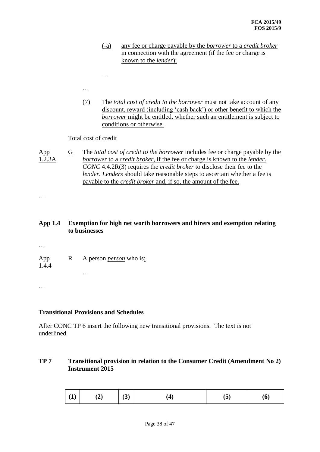- (-a) any fee or charge payable by the *borrower* to a *credit broker* in connection with the agreement (if the fee or charge is known to the *lender*);
- 

…

(7) The *total cost of credit to the borrower* must not take account of any discount, reward (including 'cash back') or other benefit to which the *borrower* might be entitled, whether such an entitlement is subject to conditions or otherwise.

#### Total cost of credit

App 1.2.3A G The *total cost of credit to the borrower* includes fee or charge payable by the *borrower* to a *credit broker*, if the fee or charge is known to the *lender*. *CONC* 4.4.2R(3) requires the *credit broker* to disclose their fee to the *lender*. *Lenders* should take reasonable steps to ascertain whether a fee is payable to the *credit broker* and, if so, the amount of the fee.

…

## **App 1.4 Exemption for high net worth borrowers and hirers and exemption relating to businesses**

…

App 1.4.4 R A person *person* who is: …

…

#### **Transitional Provisions and Schedules**

After CONC TP 6 insert the following new transitional provisions. The text is not underlined.

## **TP 7 Transitional provision in relation to the Consumer Credit (Amendment No 2) Instrument 2015**

| $\mid$ (1)<br>(2) | (3) |  | ιJ | (6) |
|-------------------|-----|--|----|-----|
|-------------------|-----|--|----|-----|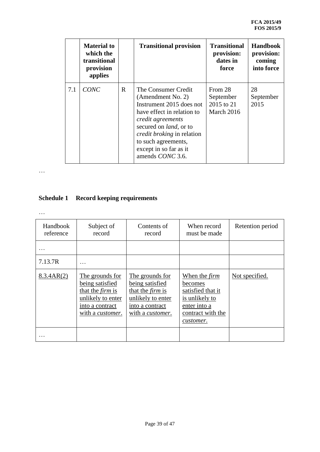|     | <b>Material to</b><br>which the<br>transitional<br>provision<br>applies |   | <b>Transitional provision</b>                                                                                                                                                                                                                                       | <b>Transitional</b><br>provision:<br>dates in<br>force | <b>Handbook</b><br>provision:<br>coming<br>into force |
|-----|-------------------------------------------------------------------------|---|---------------------------------------------------------------------------------------------------------------------------------------------------------------------------------------------------------------------------------------------------------------------|--------------------------------------------------------|-------------------------------------------------------|
| 7.1 | CONC                                                                    | R | The Consumer Credit<br>(Amendment No. 2)<br>Instrument 2015 does not<br>have effect in relation to<br>credit agreements<br>secured on <i>land</i> , or to<br><i>credit broking</i> in relation<br>to such agreements,<br>except in so far as it<br>amends CONC 3.6. | From 28<br>September<br>2015 to 21<br>March 2016       | 28<br>September<br>2015                               |

# **Schedule 1 Record keeping requirements**

| Handbook<br>reference   | Subject of<br>record                                                                                                              | Contents of<br>record                                                                                                     | When record<br>must be made                                                                                              | Retention period |
|-------------------------|-----------------------------------------------------------------------------------------------------------------------------------|---------------------------------------------------------------------------------------------------------------------------|--------------------------------------------------------------------------------------------------------------------------|------------------|
|                         |                                                                                                                                   |                                                                                                                           |                                                                                                                          |                  |
| 7.13.7R                 | .                                                                                                                                 |                                                                                                                           |                                                                                                                          |                  |
| 8.3.4AR(2)<br>$\ddotsc$ | The grounds for<br>being satisfied<br>that the <i>firm</i> is<br>unlikely to enter<br>into a contract<br>with a <i>customer</i> . | The grounds for<br>being satisfied<br>that the <i>firm</i> is<br>unlikely to enter<br>into a contract<br>with a customer. | When the <i>firm</i><br>becomes<br>satisfied that it<br>is unlikely to<br>enter into a<br>contract with the<br>customer. | Not specified.   |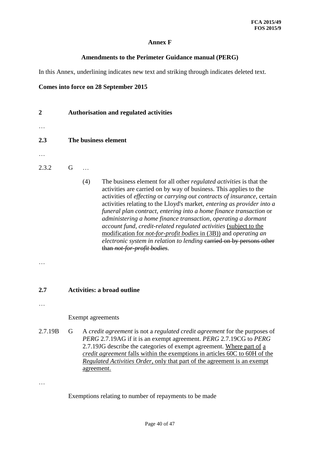## **Annex F**

#### **Amendments to the Perimeter Guidance manual (PERG)**

In this Annex, underlining indicates new text and striking through indicates deleted text.

#### **Comes into force on 28 September 2015**

- **2 Authorisation and regulated activities**
- …
- 
- **2.3 The business element**
- …
- 2.3.2 G …
	- (4) The business element for all other *regulated activities* is that the activities are carried on by way of business. This applies to the activities of *effecting* or *carrying out contracts of insurance*, certain activities relating to the Lloyd's market, *entering as provider into a funeral plan contract*, *entering into a home finance transaction* or *administering a home finance transaction*, *operating a dormant account fund*, *credit-related regulated activities* (subject to the modification for *not-for-profit bodies* in (3B)) and *operating an electronic system in relation to lending* earried on by persons other than *not-for-profit bodies*.

…

## **2.7 Activities: a broad outline**

…

#### Exempt agreements

2.7.19B G A *credit agreement* is not a *regulated credit agreement* for the purposes of *PERG* 2.7.19AG if it is an exempt agreement. *PERG* 2.7.19CG to *PERG* 2.7.19JG describe the categories of exempt agreement. Where part of a *credit agreement* falls within the exemptions in articles 60C to 60H of the *Regulated Activities Order*, only that part of the agreement is an exempt agreement.

…

Exemptions relating to number of repayments to be made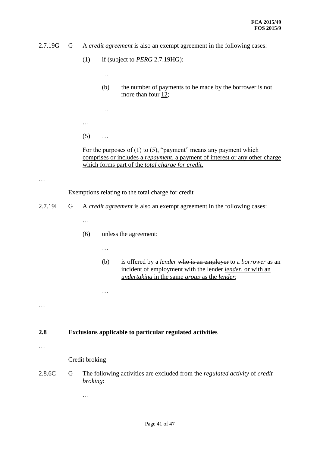- 2.7.19G G A *credit agreement* is also an exempt agreement in the following cases:
	- (1) if (subject to *PERG* 2.7.19HG):
		- …

- (b) the number of payments to be made by the borrower is not more than four 12;
- …
- $(5)$  ...

For the purposes of  $(1)$  to  $(5)$ , "payment" means any payment which comprises or includes a *repayment*, a payment of interest or any other charge which forms part of the *total charge for credit*.

…

Exemptions relating to the total charge for credit

2.7.19I G A *credit agreement* is also an exempt agreement in the following cases:

…

- (6) unless the agreement:
	- …

…

(b) is offered by a *lender* who is an employer to a *borrower* as an incident of employment with the lender *lender*, or with an *undertaking* in the same *group* as the *lender*;

…

#### **2.8 Exclusions applicable to particular regulated activities**

…

Credit broking

2.8.6C G The following activities are excluded from the *regulated activity* of *credit broking*: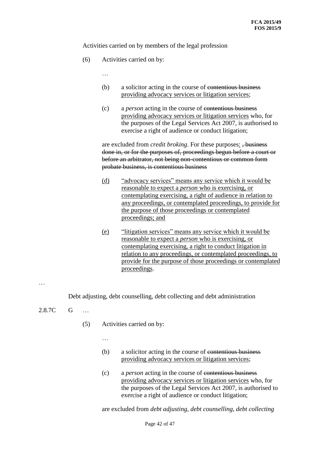Activities carried on by members of the legal profession

(6) Activities carried on by:

…

- (b) a solicitor acting in the course of contentious business providing advocacy services or litigation services;
- (c) a *person* acting in the course of contentious business providing advocacy services or litigation services who, for the purposes of the Legal Services Act 2007, is authorised to exercise a right of audience or conduct litigation;

are excluded from *credit broking*. For these purposes: , business done in, or for the purposes of, proceedings begun before a court or before an arbitrator, not being non-contentious or common form probate business, is contentious business

- (d) "advocacy services" means any service which it would be reasonable to expect a *person* who is exercising, or contemplating exercising, a right of audience in relation to any proceedings, or contemplated proceedings, to provide for the purpose of those proceedings or contemplated proceedings; and
- (e) "litigation services" means any service which it would be reasonable to expect a *person* who is exercising, or contemplating exercising, a right to conduct litigation in relation to any proceedings, or contemplated proceedings, to provide for the purpose of those proceedings or contemplated proceedings.

…

Debt adjusting, debt counselling, debt collecting and debt administration

- 2.8.7C G …
	- (5) Activities carried on by:
		- …
		- (b) a solicitor acting in the course of contentious business providing advocacy services or litigation services;
		- (c) a *person* acting in the course of contentious business providing advocacy services or litigation services who, for the purposes of the Legal Services Act 2007, is authorised to exercise a right of audience or conduct litigation;

are excluded from *debt adjusting*, *debt counselling*, *debt collecting*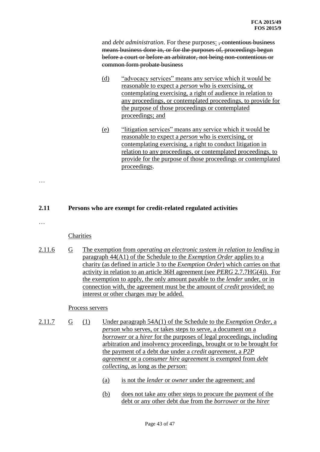and *debt administration*. For these purposes: <del>, contentious business</del> means business done in, or for the purposes of, proceedings begun before a court or before an arbitrator, not being non-contentious or common form probate business

- (d) "advocacy services" means any service which it would be reasonable to expect a *person* who is exercising, or contemplating exercising, a right of audience in relation to any proceedings, or contemplated proceedings, to provide for the purpose of those proceedings or contemplated proceedings; and
- (e) "litigation services" means any service which it would be reasonable to expect a *person* who is exercising, or contemplating exercising, a right to conduct litigation in relation to any proceedings, or contemplated proceedings, to provide for the purpose of those proceedings or contemplated proceedings.

#### **2.11 Persons who are exempt for credit-related regulated activities**

…

…

#### **Charities**

2.11.6 G The exemption from *operating an electronic system in relation to lending* in paragraph 44(A1) of the Schedule to the *Exemption Order* applies to a charity (as defined in article 3 to the *Exemption Order*) which carries on that activity in relation to an article 36H agreement (see *PERG* 2.7.7HG(4)). For the exemption to apply, the only amount payable to the *lender* under, or in connection with, the agreement must be the amount of *credit* provided; no interest or other charges may be added.

#### Process servers

- 2.11.7 G (1) Under paragraph 54A(1) of the Schedule to the *Exemption Order*, a *person* who serves, or takes steps to serve, a document on a *borrower* or a *hirer* for the purposes of legal proceedings, including arbitration and insolvency proceedings, brought or to be brought for the payment of a debt due under a *credit agreement*, a *P2P agreement* or a *consumer hire agreement* is exempted from *debt collecting*, as long as the *person*:
	- (a) is not the *lender* or *owner* under the agreement; and
	- (b) does not take any other steps to procure the payment of the debt or any other debt due from the *borrower* or the *hirer*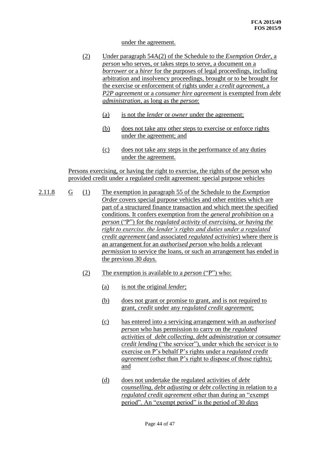#### under the agreement.

- (2) Under paragraph 54A(2) of the Schedule to the *Exemption Order*, a *person* who serves, or takes steps to serve, a document on a *borrower* or a *hirer* for the purposes of legal proceedings, including arbitration and insolvency proceedings, brought or to be brought for the exercise or enforcement of rights under a *credit agreement*, a *P2P agreement* or a *consumer hire agreement* is exempted from *debt administration*, as long as the *person*:
	- (a) is not the *lender* or *owner* under the agreement;
	- (b) does not take any other steps to exercise or enforce rights under the agreement; and
	- (c) does not take any steps in the performance of any duties under the agreement.

Persons exercising, or having the right to exercise, the rights of the person who provided credit under a regulated credit agreement: special purpose vehicles

- 2.11.8 G (1) The exemption in paragraph 55 of the Schedule to the *Exemption Order* covers special purpose vehicles and other entities which are part of a structured finance transaction and which meet the specified conditions. It confers exemption from the *general prohibition* on a *person* ("P") for the *regulated activity* of *exercising, or having the right to exercise. the lender's rights and duties under a regulated credit agreement* (and associated *regulated activities*) where there is an arrangement for an *authorised person* who holds a relevant *permission* to service the loans, or such an arrangement has ended in the previous 30 *days*.
	- (2) The exemption is available to a *person* ("P") who:
		- (a) is not the original *lender*;
		- (b) does not grant or promise to grant, and is not required to grant, *credit* under any *regulated credit agreement*;
		- (c) has entered into a servicing arrangement with an *authorised person* who has permission to carry on the *regulated activities* of *debt collecting*, *debt administration* or *consumer credit lending* ("the servicer"), under which the servicer is to exercise on P's behalf P's rights under a *regulated credit agreement* (other than P's right to dispose of those rights); and
		- (d) does not undertake the regulated activities of *debt counselling*, *debt adjusting* or *debt collecting* in relation to a *regulated credit agreement* other than during an "exempt period". An "exempt period" is the period of 30 *days*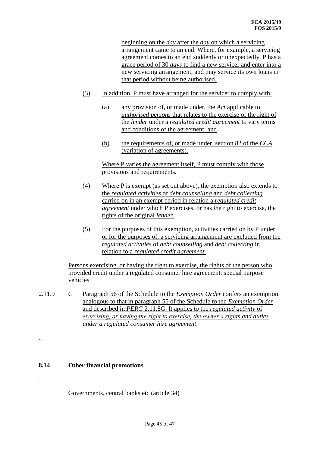beginning on the *day* after the *day* on which a servicing arrangement came to an end. Where, for example, a servicing agreement comes to an end suddenly or unexpectedly, P has a grace period of 30 *days* to find a new servicer and enter into a new servicing arrangement, and may service its own loans in that period without being authorised.

- (3) In addition, P must have arranged for the servicer to comply with:
	- (a) any provision of, or made under, the *Act* applicable to *authorised persons* that relates to the exercise of the right of the *lender* under a *regulated credit agreement* to vary terms and conditions of the agreement; and
	- (b) the requirements of, or made under, section 82 of the *CCA*  (variation of agreements).

Where P varies the agreement itself, P must comply with those provisions and requirements.

- (4) Where P is exempt (as set out above), the exemption also extends to the *regulated activities* of *debt counselling* and *debt collecting*  carried on in an exempt period in relation a *regulated credit agreement* under which P exercises, or has the right to exercise, the rights of the original *lender*.
- (5) For the purposes of this exemption, activities carried on by P under, or for the purposes of, a servicing arrangement are excluded from the *regulated activities* of *debt counselling* and *debt collecting* in relation to a *regulated credit agreement.*

Persons exercising, or having the right to exercise, the rights of the person who provided credit under a regulated consumer hire agreement: special purpose vehicles

- 2.11.9 G Paragraph 56 of the Schedule to the *Exemption Order* confers an exemption analogous to that in paragraph 55 of the Schedule to the *Exemption Order* and described in *PERG* 2.11.8G. It applies to the *regulated activity* of *exercising, or having the right to exercise, the owner's rights and duties under a regulated consumer hire agreement*.
- …

## **8.14 Other financial promotions**

…

Governments, central banks etc (article 34)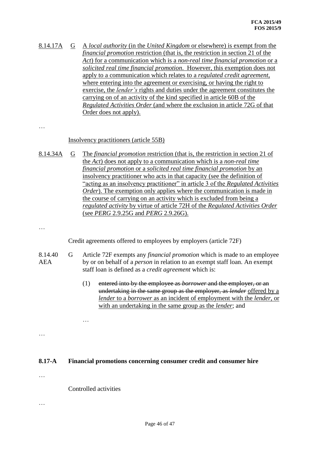8.14.17A G A *local authority* (in the *United Kingdom* or elsewhere) is exempt from the *financial promotion* restriction (that is, the restriction in section 21 of the *Act*) for a communication which is a *non-real time financial promotion* or a *solicited real time financial promotion*. However, this exemption does not apply to a communication which relates to a *regulated credit agreement*, where entering into the agreement or exercising, or having the right to exercise, the *lender's* rights and duties under the agreement constitutes the carrying on of an activity of the kind specified in article 60B of the *Regulated Activities Order* (and where the exclusion in article 72G of that Order does not apply).

…

#### Insolvency practitioners (article 55B)

8.14.34A G The *financial promotion* restriction (that is, the restriction in section 21 of the *Act*) does not apply to a communication which is a *non-real time financial promotion* or a *solicited real time financial promotion* by an insolvency practitioner who acts in that capacity (see the definition of "acting as an insolvency practitioner" in article 3 of the *Regulated Activities Order*). The exemption only applies where the communication is made in the course of carrying on an activity which is excluded from being a *regulated activity* by virtue of article 72H of the *Regulated Activities Order* (see *PERG* 2.9.25G and *PERG* 2.9.26G).

…

Credit agreements offered to employees by employers (article 72F)

- 8.14.40 AEA G Article 72F exempts any *financial promotion* which is made to an employee by or on behalf of a *person* in relation to an exempt staff loan. An exempt staff loan is defined as a *credit agreement* which is:
	- (1) entered into by the employee as *borrower* and the employer, or an undertaking in the same group as the employer, as *lender* offered by a *lender* to a *borrower* as an incident of employment with the *lender*, or with an undertaking in the same group as the *lender*; and

…

#### **8.17-A Financial promotions concerning consumer credit and consumer hire**

…

…

Controlled activities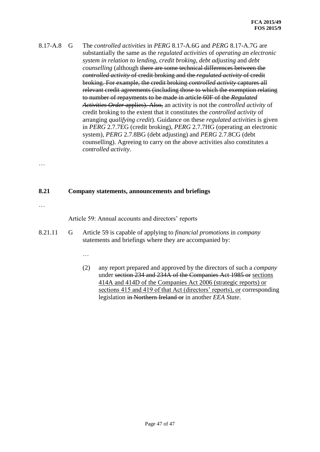8.17-A.8 G The *controlled activities* in *PERG* 8.17-A.6G and *PERG* 8.17-A.7G are substantially the same as the *regulated activities* of *operating an electronic system in relation to lending*, *credit broking*, *debt adjusting* and *debt counselling* (although there are some technical differences between the *controlled activity* of credit broking and the *regulated activity* of credit broking. For example, the credit broking *controlled activity* captures all relevant credit agreements (including those to which the exemption relating to number of repayments to be made in article 60F of the *Regulated Activities Order* applies). Also, an activity is not the *controlled activity* of credit broking to the extent that it constitutes the *controlled activity* of arranging *qualifying credit*). Guidance on these *regulated activities* is given in *PERG* 2.7.7EG (credit broking), *PERG* 2.7.7HG (operating an electronic system), *PERG* 2.7.8BG (debt adjusting) and *PERG* 2.7.8CG (debt counselling). Agreeing to carry on the above activities also constitutes a *controlled activity*.

# …

#### **8.21 Company statements, announcements and briefings**

…

Article 59: Annual accounts and directors' reports

8.21.11 G Article 59 is capable of applying to *financial promotions* in *company* statements and briefings where they are accompanied by:

…

(2) any report prepared and approved by the directors of such a *company* under section 234 and 234A of the Companies Act 1985 or sections 414A and 414D of the Companies Act 2006 (strategic reports) or sections 415 and 419 of that Act (directors' reports), or corresponding legislation in Northern Ireland or in another *EEA State*.